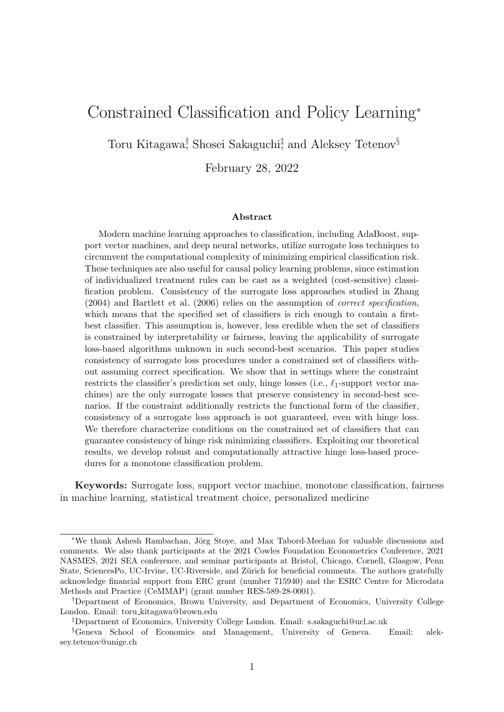## <span id="page-0-0"></span>Constrained Classification and Policy Learning<sup>∗</sup>

Toru Kitagawa<sup>†</sup>, Shosei Sakaguchi<sup>†</sup>, and Aleksey Tetenov<sup>§</sup>

February 28, 2022

#### Abstract

Modern machine learning approaches to classification, including AdaBoost, support vector machines, and deep neural networks, utilize surrogate loss techniques to circumvent the computational complexity of minimizing empirical classification risk. These techniques are also useful for causal policy learning problems, since estimation of individualized treatment rules can be cast as a weighted (cost-sensitive) classification problem. Consistency of the surrogate loss approaches studied in [Zhang](#page-84-0) [\(2004\)](#page-84-0) and [Bartlett et al.](#page-80-0) [\(2006\)](#page-80-0) relies on the assumption of correct specification, which means that the specified set of classifiers is rich enough to contain a firstbest classifier. This assumption is, however, less credible when the set of classifiers is constrained by interpretability or fairness, leaving the applicability of surrogate loss-based algorithms unknown in such second-best scenarios. This paper studies consistency of surrogate loss procedures under a constrained set of classifiers without assuming correct specification. We show that in settings where the constraint restricts the classifier's prediction set only, hinge losses (i.e.,  $\ell_1$ -support vector machines) are the only surrogate losses that preserve consistency in second-best scenarios. If the constraint additionally restricts the functional form of the classifier, consistency of a surrogate loss approach is not guaranteed, even with hinge loss. We therefore characterize conditions on the constrained set of classifiers that can guarantee consistency of hinge risk minimizing classifiers. Exploiting our theoretical results, we develop robust and computationally attractive hinge loss-based procedures for a monotone classification problem.

Keywords: Surrogate loss, support vector machine, monotone classification, fairness in machine learning, statistical treatment choice, personalized medicine

<sup>∗</sup>We thank Ashesh Rambachan, J¨org Stoye, and Max Tabord-Meehan for valuable discussions and comments. We also thank participants at the 2021 Cowles Foundation Econometrics Conference, 2021 NASMES, 2021 SEA conference, and seminar participants at Bristol, Chicago, Cornell, Glasgow, Penn State, SciencesPo, UC-Irvine, UC-Riverside, and Zürich for beneficial comments. The authors gratefully acknowledge financial support from ERC grant (number 715940) and the ESRC Centre for Microdata Methods and Practice (CeMMAP) (grant number RES-589-28-0001).

<sup>†</sup>Department of Economics, Brown University, and Department of Economics, University College London. Email: toru kitagawa@brown.edu

<sup>‡</sup>Department of Economics, University College London. Email: s.sakaguchi@ucl.ac.uk

<sup>§</sup>Geneva School of Economics and Management, University of Geneva. Email: aleksey.tetenov@unige.ch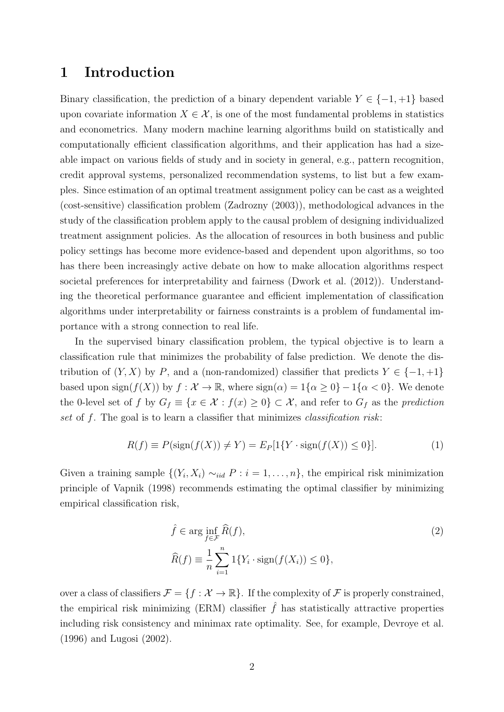## 1 Introduction

Binary classification, the prediction of a binary dependent variable  $Y \in \{-1, +1\}$  based upon covariate information  $X \in \mathcal{X}$ , is one of the most fundamental problems in statistics and econometrics. Many modern machine learning algorithms build on statistically and computationally efficient classification algorithms, and their application has had a sizeable impact on various fields of study and in society in general, e.g., pattern recognition, credit approval systems, personalized recommendation systems, to list but a few examples. Since estimation of an optimal treatment assignment policy can be cast as a weighted (cost-sensitive) classification problem [\(Zadrozny](#page-84-1) [\(2003\)](#page-84-1)), methodological advances in the study of the classification problem apply to the causal problem of designing individualized treatment assignment policies. As the allocation of resources in both business and public policy settings has become more evidence-based and dependent upon algorithms, so too has there been increasingly active debate on how to make allocation algorithms respect societal preferences for interpretability and fairness [\(Dwork et al.](#page-81-0) [\(2012\)](#page-81-0)). Understanding the theoretical performance guarantee and efficient implementation of classification algorithms under interpretability or fairness constraints is a problem of fundamental importance with a strong connection to real life.

In the supervised binary classification problem, the typical objective is to learn a classification rule that minimizes the probability of false prediction. We denote the distribution of  $(Y, X)$  by P, and a (non-randomized) classifier that predicts  $Y \in \{-1, +1\}$ based upon sign $(f(X))$  by  $f: \mathcal{X} \to \mathbb{R}$ , where  $sign(\alpha) = 1\{\alpha \geq 0\} - 1\{\alpha < 0\}$ . We denote the 0-level set of f by  $G_f \equiv \{x \in \mathcal{X} : f(x) \geq 0\} \subset \mathcal{X}$ , and refer to  $G_f$  as the prediction set of  $f$ . The goal is to learn a classifier that minimizes *classification risk*:

<span id="page-1-1"></span>
$$
R(f) \equiv P(\text{sign}(f(X)) \neq Y) = E_P[1\{Y \cdot \text{sign}(f(X)) \le 0\}].
$$
 (1)

Given a training sample  $\{(Y_i, X_i) \sim_{iid} P : i = 1, \ldots, n\}$ , the empirical risk minimization principle of [Vapnik](#page-84-2) [\(1998\)](#page-84-2) recommends estimating the optimal classifier by minimizing empirical classification risk,

<span id="page-1-0"></span>
$$
\hat{f} \in \arg\inf_{f \in \mathcal{F}} \hat{R}(f),
$$
\n
$$
\hat{R}(f) \equiv \frac{1}{n} \sum_{i=1}^{n} 1\{Y_i \cdot \text{sign}(f(X_i)) \le 0\},
$$
\n(2)

over a class of classifiers  $\mathcal{F} = \{f : \mathcal{X} \to \mathbb{R}\}.$  If the complexity of  $\mathcal{F}$  is properly constrained, the empirical risk minimizing (ERM) classifier  $\hat{f}$  has statistically attractive properties including risk consistency and minimax rate optimality. See, for example, [Devroye et al.](#page-81-1) [\(1996\)](#page-81-1) and [Lugosi](#page-82-0) [\(2002\)](#page-82-0).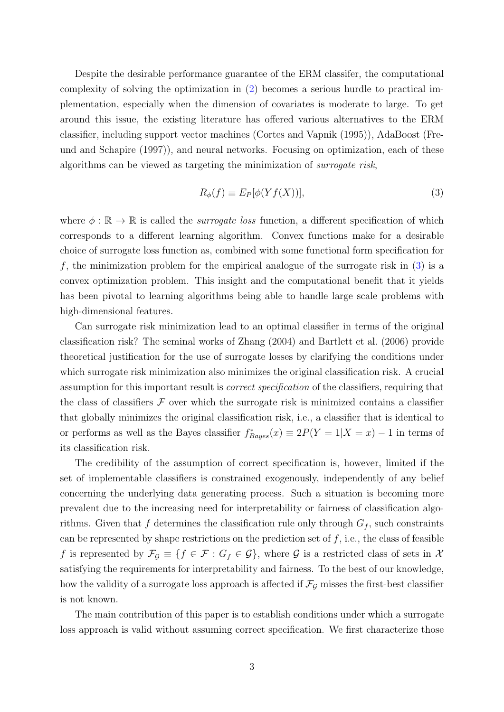Despite the desirable performance guarantee of the ERM classifer, the computational complexity of solving the optimization in [\(2\)](#page-1-0) becomes a serious hurdle to practical implementation, especially when the dimension of covariates is moderate to large. To get around this issue, the existing literature has offered various alternatives to the ERM classifier, including support vector machines [\(Cortes and Vapnik](#page-81-2) [\(1995\)](#page-81-2)), AdaBoost [\(Fre](#page-81-3)[und and Schapire](#page-81-3) [\(1997\)](#page-81-3)), and neural networks. Focusing on optimization, each of these algorithms can be viewed as targeting the minimization of surrogate risk,

<span id="page-2-0"></span>
$$
R_{\phi}(f) \equiv E_P[\phi(Yf(X))],\tag{3}
$$

where  $\phi : \mathbb{R} \to \mathbb{R}$  is called the *surrogate loss* function, a different specification of which corresponds to a different learning algorithm. Convex functions make for a desirable choice of surrogate loss function as, combined with some functional form specification for  $f$ , the minimization problem for the empirical analogue of the surrogate risk in  $(3)$  is a convex optimization problem. This insight and the computational benefit that it yields has been pivotal to learning algorithms being able to handle large scale problems with high-dimensional features.

Can surrogate risk minimization lead to an optimal classifier in terms of the original classification risk? The seminal works of [Zhang](#page-84-0) [\(2004\)](#page-84-0) and [Bartlett et al.](#page-80-0) [\(2006\)](#page-80-0) provide theoretical justification for the use of surrogate losses by clarifying the conditions under which surrogate risk minimization also minimizes the original classification risk. A crucial assumption for this important result is correct specification of the classifiers, requiring that the class of classifiers  $\mathcal F$  over which the surrogate risk is minimized contains a classifier that globally minimizes the original classification risk, i.e., a classifier that is identical to or performs as well as the Bayes classifier  $f^*_{Bayes}(x) \equiv 2P(Y = 1|X = x) - 1$  in terms of its classification risk.

The credibility of the assumption of correct specification is, however, limited if the set of implementable classifiers is constrained exogenously, independently of any belief concerning the underlying data generating process. Such a situation is becoming more prevalent due to the increasing need for interpretability or fairness of classification algorithms. Given that f determines the classification rule only through  $G_f$ , such constraints can be represented by shape restrictions on the prediction set of  $f$ , i.e., the class of feasible f is represented by  $\mathcal{F}_{\mathcal{G}} \equiv \{f \in \mathcal{F} : G_f \in \mathcal{G}\}\$ , where  $\mathcal{G}$  is a restricted class of sets in X satisfying the requirements for interpretability and fairness. To the best of our knowledge, how the validity of a surrogate loss approach is affected if  $\mathcal{F}_{\mathcal{G}}$  misses the first-best classifier is not known.

The main contribution of this paper is to establish conditions under which a surrogate loss approach is valid without assuming correct specification. We first characterize those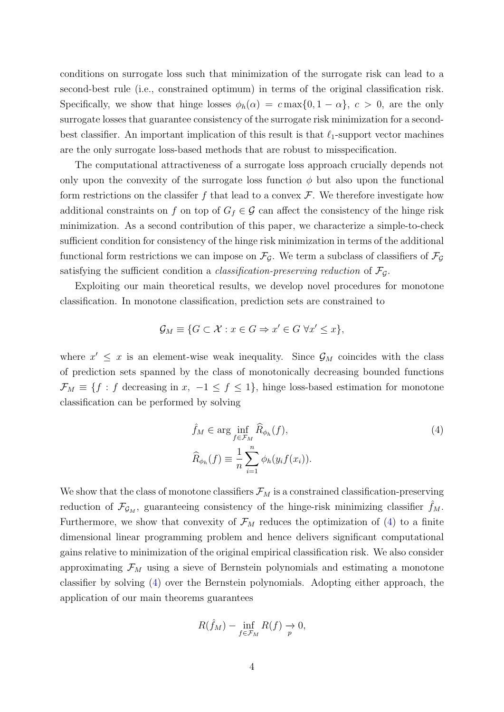conditions on surrogate loss such that minimization of the surrogate risk can lead to a second-best rule (i.e., constrained optimum) in terms of the original classification risk. Specifically, we show that hinge losses  $\phi_h(\alpha) = c \max\{0, 1 - \alpha\}, c > 0$ , are the only surrogate losses that guarantee consistency of the surrogate risk minimization for a secondbest classifier. An important implication of this result is that  $\ell_1$ -support vector machines are the only surrogate loss-based methods that are robust to misspecification.

The computational attractiveness of a surrogate loss approach crucially depends not only upon the convexity of the surrogate loss function  $\phi$  but also upon the functional form restrictions on the classifer f that lead to a convex  $\mathcal F$ . We therefore investigate how additional constraints on f on top of  $G_f \in \mathcal{G}$  can affect the consistency of the hinge risk minimization. As a second contribution of this paper, we characterize a simple-to-check sufficient condition for consistency of the hinge risk minimization in terms of the additional functional form restrictions we can impose on  $\mathcal{F}_{\mathcal{G}}$ . We term a subclass of classifiers of  $\mathcal{F}_{\mathcal{G}}$ satisfying the sufficient condition a *classification-preserving reduction* of  $\mathcal{F}_{\mathcal{G}}$ .

Exploiting our main theoretical results, we develop novel procedures for monotone classification. In monotone classification, prediction sets are constrained to

<span id="page-3-0"></span>
$$
\mathcal{G}_M \equiv \{ G \subset \mathcal{X} : x \in G \Rightarrow x' \in G \ \forall x' \leq x \},\
$$

where  $x' \leq x$  is an element-wise weak inequality. Since  $\mathcal{G}_M$  coincides with the class of prediction sets spanned by the class of monotonically decreasing bounded functions  $\mathcal{F}_M \equiv \{f : f \text{ decreasing in } x, -1 \leq f \leq 1\}$ , hinge loss-based estimation for monotone classification can be performed by solving

$$
\hat{f}_M \in \arg\inf_{f \in \mathcal{F}_M} \hat{R}_{\phi_h}(f),
$$
\n
$$
\hat{R}_{\phi_h}(f) \equiv \frac{1}{n} \sum_{i=1}^n \phi_h(y_i f(x_i)).
$$
\n(4)

We show that the class of monotone classifiers  $\mathcal{F}_M$  is a constrained classification-preserving reduction of  $\mathcal{F}_{\mathcal{G}_M}$ , guaranteeing consistency of the hinge-risk minimizing classifier  $f_M$ . Furthermore, we show that convexity of  $\mathcal{F}_M$  reduces the optimization of [\(4\)](#page-3-0) to a finite dimensional linear programming problem and hence delivers significant computational gains relative to minimization of the original empirical classification risk. We also consider approximating  $\mathcal{F}_M$  using a sieve of Bernstein polynomials and estimating a monotone classifier by solving [\(4\)](#page-3-0) over the Bernstein polynomials. Adopting either approach, the application of our main theorems guarantees

<span id="page-3-1"></span>
$$
R(\hat{f}_M) - \inf_{f \in \mathcal{F}_M} R(f) \to 0,
$$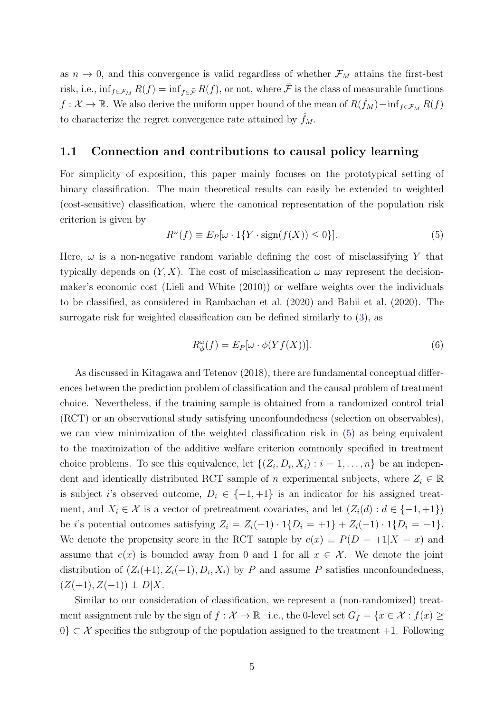as  $n \to 0$ , and this convergence is valid regardless of whether  $\mathcal{F}_M$  attains the first-best risk, i.e.,  $\inf_{f \in \mathcal{F}_M} R(f) = \inf_{f \in \mathcal{F}} R(f)$ , or not, where  $\bar{\mathcal{F}}$  is the class of measurable functions  $f: \mathcal{X} \to \mathbb{R}$ . We also derive the uniform upper bound of the mean of  $R(\hat{f}_M) - inf_{f \in \mathcal{F}_M} R(f)$ to characterize the regret convergence rate attained by  $f_M$ .

#### <span id="page-4-1"></span>1.1 Connection and contributions to causal policy learning

For simplicity of exposition, this paper mainly focuses on the prototypical setting of binary classification. The main theoretical results can easily be extended to weighted (cost-sensitive) classification, where the canonical representation of the population risk criterion is given by

$$
R^{\omega}(f) \equiv E_P[\omega \cdot 1\{Y \cdot \text{sign}(f(X)) \le 0\}].
$$
\n(5)

Here,  $\omega$  is a non-negative random variable defining the cost of misclassifying Y that typically depends on  $(Y, X)$ . The cost of misclassification  $\omega$  may represent the decisionmaker's economic cost [\(Lieli and White](#page-82-1) [\(2010\)](#page-82-1)) or welfare weights over the individuals to be classified, as considered in [Rambachan et al.](#page-83-0) [\(2020\)](#page-83-0) and [Babii et al.](#page-80-1) [\(2020\)](#page-80-1). The surrogate risk for weighted classification can be defined similarly to [\(3\)](#page-2-0), as

<span id="page-4-0"></span>
$$
R_{\phi}^{\omega}(f) = E_P[\omega \cdot \phi(Yf(X))]. \tag{6}
$$

As discussed in [Kitagawa and Tetenov](#page-82-2) [\(2018\)](#page-82-2), there are fundamental conceptual differences between the prediction problem of classification and the causal problem of treatment choice. Nevertheless, if the training sample is obtained from a randomized control trial (RCT) or an observational study satisfying unconfoundedness (selection on observables), we can view minimization of the weighted classification risk in [\(5\)](#page-3-1) as being equivalent to the maximization of the additive welfare criterion commonly specified in treatment choice problems. To see this equivalence, let  $\{(Z_i, D_i, X_i) : i = 1, \ldots, n\}$  be an independent and identically distributed RCT sample of n experimental subjects, where  $Z_i \in \mathbb{R}$ is subject i's observed outcome,  $D_i \in \{-1, +1\}$  is an indicator for his assigned treatment, and  $X_i \in \mathcal{X}$  is a vector of pretreatment covariates, and let  $(Z_i(d) : d \in \{-1, +1\})$ be i's potential outcomes satisfying  $Z_i = Z_i(+1) \cdot 1\{D_i = +1\} + Z_i(-1) \cdot 1\{D_i = -1\}.$ We denote the propensity score in the RCT sample by  $e(x) \equiv P(D = +1|X = x)$  and assume that  $e(x)$  is bounded away from 0 and 1 for all  $x \in \mathcal{X}$ . We denote the joint distribution of  $(Z_i(+1), Z_i(-1), D_i, X_i)$  by P and assume P satisfies unconfoundedness,  $(Z(+1), Z(-1)) \perp D[X]$ .

Similar to our consideration of classification, we represent a (non-randomized) treatment assignment rule by the sign of  $f : \mathcal{X} \to \mathbb{R}$  –i.e., the 0-level set  $G_f = \{x \in \mathcal{X} : f(x) \geq 0\}$  $0\} \subset \mathcal{X}$  specifies the subgroup of the population assigned to the treatment +1. Following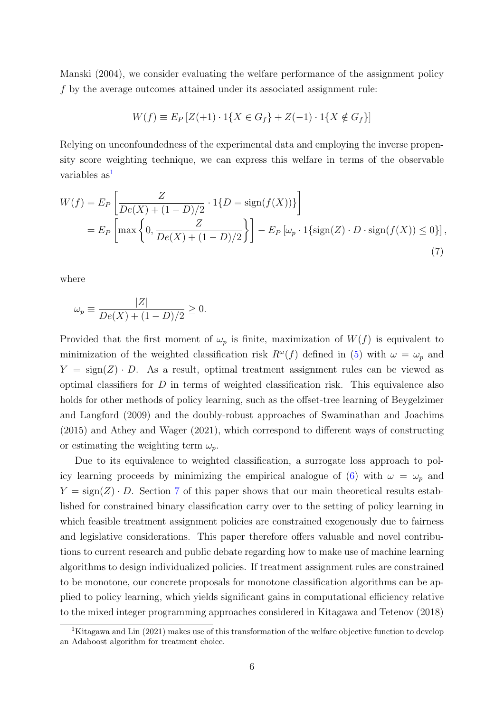[Manski](#page-83-1) [\(2004\)](#page-83-1), we consider evaluating the welfare performance of the assignment policy f by the average outcomes attained under its associated assignment rule:

<span id="page-5-1"></span>
$$
W(f) \equiv E_P \left[ Z(+1) \cdot 1\{ X \in G_f \} + Z(-1) \cdot 1\{ X \notin G_f \} \right]
$$

Relying on unconfoundedness of the experimental data and employing the inverse propensity score weighting technique, we can express this welfare in terms of the observable variables as<sup>[1](#page-5-0)</sup>

$$
W(f) = E_P \left[ \frac{Z}{De(X) + (1 - D)/2} \cdot 1\{D = \text{sign}(f(X))\} \right]
$$
  
=  $E_P \left[ \max \left\{ 0, \frac{Z}{De(X) + (1 - D)/2} \right\} \right] - E_P \left[ \omega_p \cdot 1\{\text{sign}(Z) \cdot D \cdot \text{sign}(f(X)) \le 0\} \right],$  (7)

where

$$
\omega_p \equiv \frac{|Z|}{De(X) + (1 - D)/2} \ge 0.
$$

Provided that the first moment of  $\omega_p$  is finite, maximization of  $W(f)$  is equivalent to minimization of the weighted classification risk  $R^{\omega}(f)$  defined in [\(5\)](#page-3-1) with  $\omega = \omega_p$  and  $Y = \text{sign}(Z) \cdot D$ . As a result, optimal treatment assignment rules can be viewed as optimal classifiers for  $D$  in terms of weighted classification risk. This equivalence also holds for other methods of policy learning, such as the offset-tree learning of [Beygelzimer](#page-80-2) [and Langford](#page-80-2) [\(2009\)](#page-80-2) and the doubly-robust approaches of [Swaminathan and Joachims](#page-84-3) [\(2015\)](#page-84-3) and [Athey and Wager](#page-80-3) [\(2021\)](#page-80-3), which correspond to different ways of constructing or estimating the weighting term  $\omega_n$ .

Due to its equivalence to weighted classification, a surrogate loss approach to pol-icy learning proceeds by minimizing the empirical analogue of [\(6\)](#page-4-0) with  $\omega = \omega_p$  and  $Y = \text{sign}(Z) \cdot D$ . Section [7](#page-33-0) of this paper shows that our main theoretical results established for constrained binary classification carry over to the setting of policy learning in which feasible treatment assignment policies are constrained exogenously due to fairness and legislative considerations. This paper therefore offers valuable and novel contributions to current research and public debate regarding how to make use of machine learning algorithms to design individualized policies. If treatment assignment rules are constrained to be monotone, our concrete proposals for monotone classification algorithms can be applied to policy learning, which yields significant gains in computational efficiency relative to the mixed integer programming approaches considered in [Kitagawa and Tetenov](#page-82-2) [\(2018\)](#page-82-2)

<span id="page-5-0"></span><sup>&</sup>lt;sup>1</sup>[Kitagawa and Lin](#page-82-3) [\(2021\)](#page-82-3) makes use of this transformation of the welfare objective function to develop an Adaboost algorithm for treatment choice.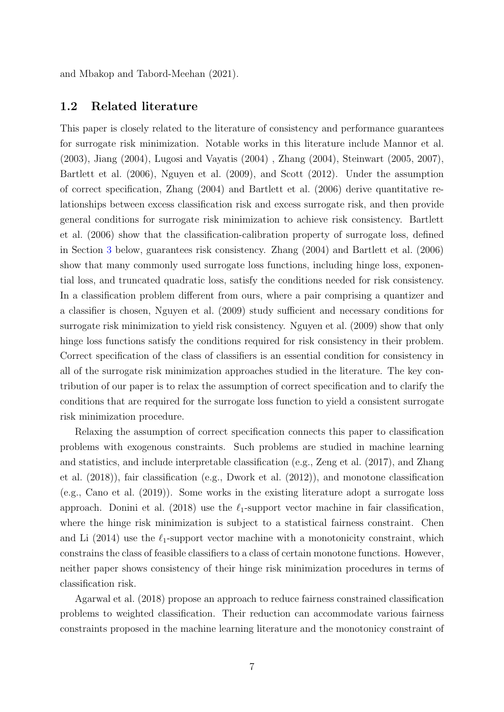and [Mbakop and Tabord-Meehan](#page-83-2) [\(2021\)](#page-83-2).

#### 1.2 Related literature

This paper is closely related to the literature of consistency and performance guarantees for surrogate risk minimization. Notable works in this literature include [Mannor et al.](#page-83-3) [\(2003\)](#page-83-3), [Jiang](#page-82-4) [\(2004\)](#page-82-4), [Lugosi and Vayatis](#page-82-5) [\(2004\)](#page-82-5) , [Zhang](#page-84-0) [\(2004\)](#page-84-0), [Steinwart](#page-83-4) [\(2005,](#page-83-4) [2007\)](#page-83-5), [Bartlett et al.](#page-80-0) [\(2006\)](#page-80-0), [Nguyen et al.](#page-83-6) [\(2009\)](#page-83-6), and [Scott](#page-83-7) [\(2012\)](#page-83-7). Under the assumption of correct specification, [Zhang](#page-84-0) [\(2004\)](#page-84-0) and [Bartlett et al.](#page-80-0) [\(2006\)](#page-80-0) derive quantitative relationships between excess classification risk and excess surrogate risk, and then provide general conditions for surrogate risk minimization to achieve risk consistency. [Bartlett](#page-80-0) [et al.](#page-80-0) [\(2006\)](#page-80-0) show that the classification-calibration property of surrogate loss, defined in Section [3](#page-13-0) below, guarantees risk consistency. [Zhang](#page-84-0) [\(2004\)](#page-84-0) and [Bartlett et al.](#page-80-0) [\(2006\)](#page-80-0) show that many commonly used surrogate loss functions, including hinge loss, exponential loss, and truncated quadratic loss, satisfy the conditions needed for risk consistency. In a classification problem different from ours, where a pair comprising a quantizer and a classifier is chosen, [Nguyen et al.](#page-83-6) [\(2009\)](#page-83-6) study sufficient and necessary conditions for surrogate risk minimization to yield risk consistency. [Nguyen et al.](#page-83-6) [\(2009\)](#page-83-6) show that only hinge loss functions satisfy the conditions required for risk consistency in their problem. Correct specification of the class of classifiers is an essential condition for consistency in all of the surrogate risk minimization approaches studied in the literature. The key contribution of our paper is to relax the assumption of correct specification and to clarify the conditions that are required for the surrogate loss function to yield a consistent surrogate risk minimization procedure.

Relaxing the assumption of correct specification connects this paper to classification problems with exogenous constraints. Such problems are studied in machine learning and statistics, and include interpretable classification (e.g., [Zeng et al.](#page-84-4) [\(2017\)](#page-84-4), and [Zhang](#page-84-5) [et al.](#page-84-5) [\(2018\)](#page-84-5)), fair classification (e.g., [Dwork et al.](#page-81-0) [\(2012\)](#page-81-0)), and monotone classification (e.g., [Cano et al.](#page-80-4) [\(2019\)](#page-80-4)). Some works in the existing literature adopt a surrogate loss approach. [Donini et al.](#page-81-4) [\(2018\)](#page-81-4) use the  $\ell_1$ -support vector machine in fair classification, where the hinge risk minimization is subject to a statistical fairness constraint. [Chen](#page-81-5) [and Li](#page-81-5)  $(2014)$  use the  $\ell_1$ -support vector machine with a monotonicity constraint, which constrains the class of feasible classifiers to a class of certain monotone functions. However, neither paper shows consistency of their hinge risk minimization procedures in terms of classification risk.

[Agarwal et al.](#page-80-5) [\(2018\)](#page-80-5) propose an approach to reduce fairness constrained classification problems to weighted classification. Their reduction can accommodate various fairness constraints proposed in the machine learning literature and the monotonicy constraint of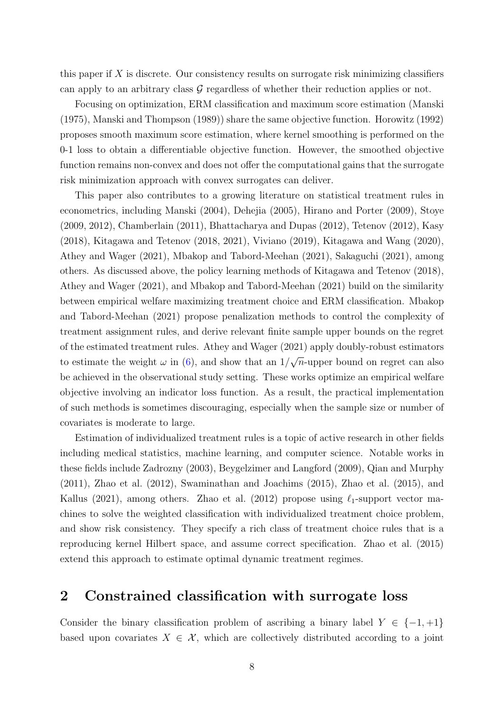this paper if  $X$  is discrete. Our consistency results on surrogate risk minimizing classifiers can apply to an arbitrary class  $\mathcal G$  regardless of whether their reduction applies or not.

Focusing on optimization, ERM classification and maximum score estimation [\(Manski](#page-83-8) [\(1975\)](#page-83-8), [Manski and Thompson](#page-83-9) [\(1989\)](#page-83-9)) share the same objective function. [Horowitz](#page-82-6) [\(1992\)](#page-82-6) proposes smooth maximum score estimation, where kernel smoothing is performed on the 0-1 loss to obtain a differentiable objective function. However, the smoothed objective function remains non-convex and does not offer the computational gains that the surrogate risk minimization approach with convex surrogates can deliver.

This paper also contributes to a growing literature on statistical treatment rules in econometrics, including [Manski](#page-83-1) [\(2004\)](#page-83-1), [Dehejia](#page-81-6) [\(2005\)](#page-81-6), [Hirano and Porter](#page-82-7) [\(2009\)](#page-82-7), [Stoye](#page-83-10) [\(2009,](#page-83-10) [2012\)](#page-83-11), [Chamberlain](#page-81-7) [\(2011\)](#page-81-7), [Bhattacharya and Dupas](#page-80-6) [\(2012\)](#page-80-6), [Tetenov](#page-84-6) [\(2012\)](#page-84-6), [Kasy](#page-82-8) [\(2018\)](#page-82-8), [Kitagawa and Tetenov](#page-82-2) [\(2018,](#page-82-2) [2021\)](#page-82-9), [Viviano](#page-84-7) [\(2019\)](#page-84-7), [Kitagawa and Wang](#page-82-10) [\(2020\)](#page-82-10), [Athey and Wager](#page-80-3) [\(2021\)](#page-80-3), [Mbakop and Tabord-Meehan](#page-83-2) [\(2021\)](#page-83-2), [Sakaguchi](#page-83-12) [\(2021\)](#page-83-12), among others. As discussed above, the policy learning methods of [Kitagawa and Tetenov](#page-82-2) [\(2018\)](#page-82-2), [Athey and Wager](#page-80-3) [\(2021\)](#page-80-3), and [Mbakop and Tabord-Meehan](#page-83-2) [\(2021\)](#page-83-2) build on the similarity between empirical welfare maximizing treatment choice and ERM classification. [Mbakop](#page-83-2) [and Tabord-Meehan](#page-83-2) [\(2021\)](#page-83-2) propose penalization methods to control the complexity of treatment assignment rules, and derive relevant finite sample upper bounds on the regret of the estimated treatment rules. [Athey and Wager](#page-80-3) [\(2021\)](#page-80-3) apply doubly-robust estimators to estimate the weight  $\omega$  in [\(6\)](#page-4-0), and show that an 1/ √  $\overline{n}$ -upper bound on regret can also be achieved in the observational study setting. These works optimize an empirical welfare objective involving an indicator loss function. As a result, the practical implementation of such methods is sometimes discouraging, especially when the sample size or number of covariates is moderate to large.

Estimation of individualized treatment rules is a topic of active research in other fields including medical statistics, machine learning, and computer science. Notable works in these fields include [Zadrozny](#page-84-1) [\(2003\)](#page-84-1), [Beygelzimer and Langford](#page-80-2) [\(2009\)](#page-80-2), [Qian and Murphy](#page-83-13) [\(2011\)](#page-83-13), [Zhao et al.](#page-84-8) [\(2012\)](#page-84-8), [Swaminathan and Joachims](#page-84-3) [\(2015\)](#page-84-3), [Zhao et al.](#page-84-9) [\(2015\)](#page-84-9), and [Kallus](#page-82-11) [\(2021\)](#page-82-11), among others. [Zhao et al.](#page-84-8) [\(2012\)](#page-84-8) propose using  $\ell_1$ -support vector machines to solve the weighted classification with individualized treatment choice problem, and show risk consistency. They specify a rich class of treatment choice rules that is a reproducing kernel Hilbert space, and assume correct specification. [Zhao et al.](#page-84-9) [\(2015\)](#page-84-9) extend this approach to estimate optimal dynamic treatment regimes.

## <span id="page-7-0"></span>2 Constrained classification with surrogate loss

Consider the binary classification problem of ascribing a binary label  $Y \in \{-1, +1\}$ based upon covariates  $X \in \mathcal{X}$ , which are collectively distributed according to a joint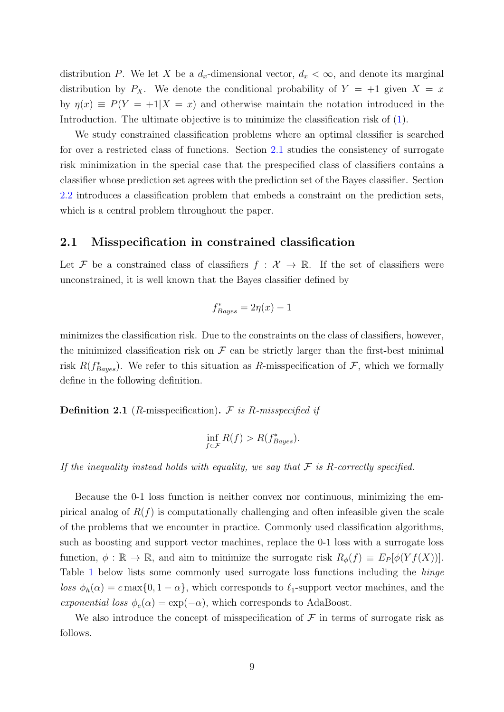distribution P. We let X be a  $d_x$ -dimensional vector,  $d_x < \infty$ , and denote its marginal distribution by  $P_X$ . We denote the conditional probability of  $Y = +1$  given  $X = x$ by  $\eta(x) \equiv P(Y = +1|X = x)$  and otherwise maintain the notation introduced in the Introduction. The ultimate objective is to minimize the classification risk of [\(1\)](#page-1-1).

We study constrained classification problems where an optimal classifier is searched for over a restricted class of functions. Section [2.1](#page-8-0) studies the consistency of surrogate risk minimization in the special case that the prespecified class of classifiers contains a classifier whose prediction set agrees with the prediction set of the Bayes classifier. Section [2.2](#page-10-0) introduces a classification problem that embeds a constraint on the prediction sets, which is a central problem throughout the paper.

#### <span id="page-8-0"></span>2.1 Misspecification in constrained classification

Let F be a constrained class of classifiers  $f : \mathcal{X} \to \mathbb{R}$ . If the set of classifiers were unconstrained, it is well known that the Bayes classifier defined by

$$
f^*_{Bayes} = 2\eta(x) - 1
$$

minimizes the classification risk. Due to the constraints on the class of classifiers, however, the minimized classification risk on  $\mathcal F$  can be strictly larger than the first-best minimal risk  $R(f_{Bayes}^*)$ . We refer to this situation as R-misspecification of F, which we formally define in the following definition.

<span id="page-8-1"></span>**Definition 2.1** (*R*-misspecification).  $\mathcal F$  is *R*-misspecified if

$$
\inf_{f \in \mathcal{F}} R(f) > R(f_{Bayes}^*).
$$

If the inequality instead holds with equality, we say that  $\mathcal F$  is R-correctly specified.

Because the 0-1 loss function is neither convex nor continuous, minimizing the empirical analog of  $R(f)$  is computationally challenging and often infeasible given the scale of the problems that we encounter in practice. Commonly used classification algorithms, such as boosting and support vector machines, replace the 0-1 loss with a surrogate loss function,  $\phi : \mathbb{R} \to \mathbb{R}$ , and aim to minimize the surrogate risk  $R_{\phi}(f) \equiv E_P[\phi(Yf(X))].$ Table [1](#page-17-0) below lists some commonly used surrogate loss functions including the hinge loss  $\phi_h(\alpha) = c \max\{0, 1 - \alpha\}$ , which corresponds to  $\ell_1$ -support vector machines, and the exponential loss  $\phi_e(\alpha) = \exp(-\alpha)$ , which corresponds to AdaBoost.

We also introduce the concept of misspecification of  $\mathcal F$  in terms of surrogate risk as follows.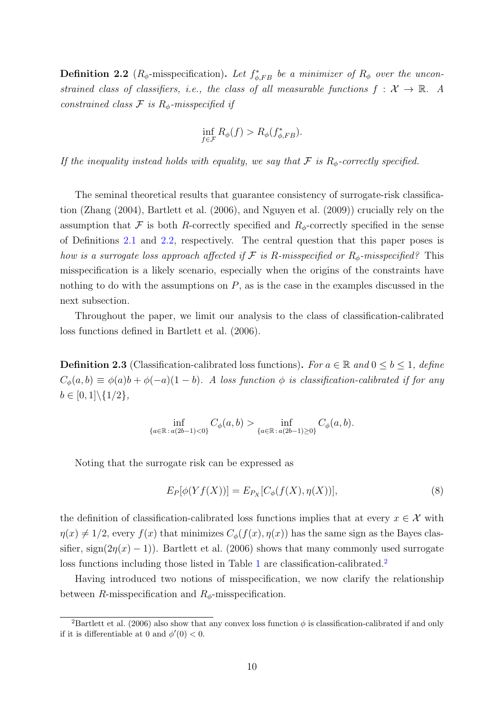<span id="page-9-0"></span>**Definition 2.2** ( $R_{\phi}$ -misspecification). Let  $f_{\phi,FB}^*$  be a minimizer of  $R_{\phi}$  over the unconstrained class of classifiers, i.e., the class of all measurable functions  $f: \mathcal{X} \to \mathbb{R}$ . A constrained class  $\mathcal F$  is  $R_{\phi}$ -misspecified if

$$
\inf_{f \in \mathcal{F}} R_{\phi}(f) > R_{\phi}(f_{\phi, FB}^*).
$$

If the inequality instead holds with equality, we say that  $\mathcal F$  is  $R_{\phi}$ -correctly specified.

The seminal theoretical results that guarantee consistency of surrogate-risk classification [\(Zhang](#page-84-0) [\(2004\)](#page-84-0), [Bartlett et al.](#page-80-0) [\(2006\)](#page-80-0), and [Nguyen et al.](#page-83-6) [\(2009\)](#page-83-6)) crucially rely on the assumption that F is both R-correctly specified and  $R_{\phi}$ -correctly specified in the sense of Definitions [2.1](#page-8-1) and [2.2,](#page-9-0) respectively. The central question that this paper poses is how is a surrogate loss approach affected if  $\mathcal F$  is R-misspecified or  $R_{\phi}$ -misspecified? This misspecification is a likely scenario, especially when the origins of the constraints have nothing to do with the assumptions on  $P$ , as is the case in the examples discussed in the next subsection.

Throughout the paper, we limit our analysis to the class of classification-calibrated loss functions defined in [Bartlett et al.](#page-80-0) [\(2006\)](#page-80-0).

<span id="page-9-2"></span>**Definition 2.3** (Classification-calibrated loss functions). For  $a \in \mathbb{R}$  and  $0 \leq b \leq 1$ , define  $C_{\phi}(a, b) \equiv \phi(a)b + \phi(-a)(1 - b)$ . A loss function  $\phi$  is classification-calibrated if for any  $b \in [0,1] \backslash \{1/2\},\$ 

$$
\inf_{\{a \in \mathbb{R} \, : \, a(2b-1) < 0\}} C_{\phi}(a,b) > \inf_{\{a \in \mathbb{R} \, : \, a(2b-1) \ge 0\}} C_{\phi}(a,b).
$$

Noting that the surrogate risk can be expressed as

$$
E_P[\phi(Yf(X))] = E_{P_X}[C_{\phi}(f(X), \eta(X))],\tag{8}
$$

the definition of classification-calibrated loss functions implies that at every  $x \in \mathcal{X}$  with  $\eta(x) \neq 1/2$ , every  $f(x)$  that minimizes  $C_{\phi}(f(x), \eta(x))$  has the same sign as the Bayes classifier, sign( $2\eta(x) - 1$ )). [Bartlett et al.](#page-80-0) [\(2006\)](#page-80-0) shows that many commonly used surrogate loss functions including those listed in Table [1](#page-17-0) are classification-calibrated.<sup>[2](#page-9-1)</sup>

Having introduced two notions of misspecification, we now clarify the relationship between R-misspecification and  $R_{\phi}$ -misspecification.

<span id="page-9-1"></span><sup>&</sup>lt;sup>2</sup>[Bartlett et al.](#page-80-0) [\(2006\)](#page-80-0) also show that any convex loss function  $\phi$  is classification-calibrated if and only if it is differentiable at 0 and  $\phi'(0) < 0$ .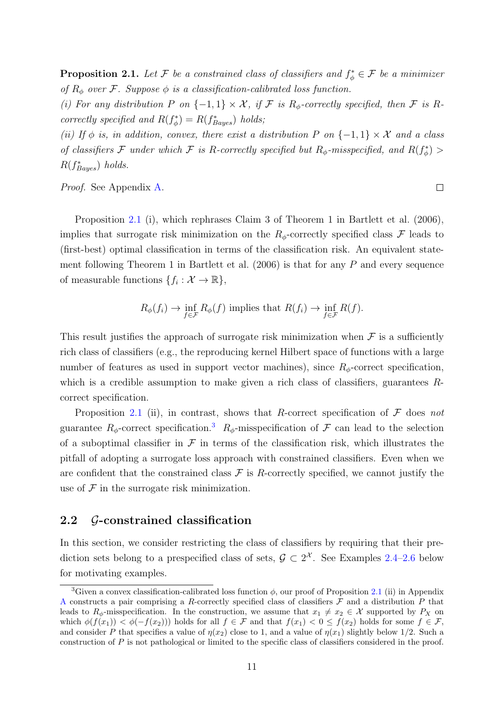<span id="page-10-1"></span>**Proposition 2.1.** Let F be a constrained class of classifiers and  $f^*_{\phi} \in \mathcal{F}$  be a minimizer of  $R_{\phi}$  over F. Suppose  $\phi$  is a classification-calibrated loss function.

(i) For any distribution P on  $\{-1,1\} \times \mathcal{X}$ , if F is  $R_{\phi}$ -correctly specified, then F is Rcorrectly specified and  $R(f^*_{\phi}) = R(f^*_{Bayes})$  holds;

(ii) If  $\phi$  is, in addition, convex, there exist a distribution P on {-1, 1}  $\times$  X and a class of classifiers F under which F is R-correctly specified but  $R_{\phi}$ -misspecified, and  $R(f_{\phi}^*)$  >  $R(f_{Bayes}^*)$  holds.

Proof. See Appendix [A.](#page-40-0)

Proposition [2.1](#page-10-1) (i), which rephrases Claim 3 of Theorem 1 in [Bartlett et al.](#page-80-0) [\(2006\)](#page-80-0), implies that surrogate risk minimization on the  $R_{\phi}$ -correctly specified class F leads to (first-best) optimal classification in terms of the classification risk. An equivalent state-ment following Theorem 1 in [Bartlett et al.](#page-80-0)  $(2006)$  is that for any P and every sequence of measurable functions  $\{f_i: \mathcal{X} \to \mathbb{R}\},\$ 

$$
R_{\phi}(f_i) \to \inf_{f \in \mathcal{F}} R_{\phi}(f)
$$
 implies that  $R(f_i) \to \inf_{f \in \mathcal{F}} R(f)$ .

This result justifies the approach of surrogate risk minimization when  $\mathcal F$  is a sufficiently rich class of classifiers (e.g., the reproducing kernel Hilbert space of functions with a large number of features as used in support vector machines), since  $R_{\phi}$ -correct specification, which is a credible assumption to make given a rich class of classifiers, guarantees  $R$ correct specification.

Proposition [2.1](#page-10-1) (ii), in contrast, shows that R-correct specification of  $\mathcal F$  does not guarantee  $R_{\phi}$ -correct specification.<sup>[3](#page-10-2)</sup>  $R_{\phi}$ -misspecification of  $\mathcal F$  can lead to the selection of a suboptimal classifier in  $\mathcal F$  in terms of the classification risk, which illustrates the pitfall of adopting a surrogate loss approach with constrained classifiers. Even when we are confident that the constrained class  $\mathcal F$  is R-correctly specified, we cannot justify the use of  $\mathcal F$  in the surrogate risk minimization.

## <span id="page-10-0"></span>2.2 G-constrained classification

In this section, we consider restricting the class of classifiers by requiring that their prediction sets belong to a prespecified class of sets,  $\mathcal{G} \subset 2^{\mathcal{X}}$ . See Examples [2.4–](#page-11-0)[2.6](#page-11-1) below for motivating examples.

<span id="page-10-2"></span><sup>&</sup>lt;sup>3</sup>Given a convex classification-calibrated loss function  $\phi$ , our proof of Proposition [2.1](#page-10-1) (ii) in Appendix [A](#page-40-0) constructs a pair comprising a R-correctly specified class of classifiers  $\mathcal F$  and a distribution P that leads to  $R_{\phi}$ -misspecification. In the construction, we assume that  $x_1 \neq x_2 \in \mathcal{X}$  supported by  $P_X$  on which  $\phi(f(x_1)) < \phi(-f(x_2))$  holds for all  $f \in \mathcal{F}$  and that  $f(x_1) < 0 \le f(x_2)$  holds for some  $f \in \mathcal{F}$ , and consider P that specifies a value of  $\eta(x_2)$  close to 1, and a value of  $\eta(x_1)$  slightly below 1/2. Such a construction of P is not pathological or limited to the specific class of classifiers considered in the proof.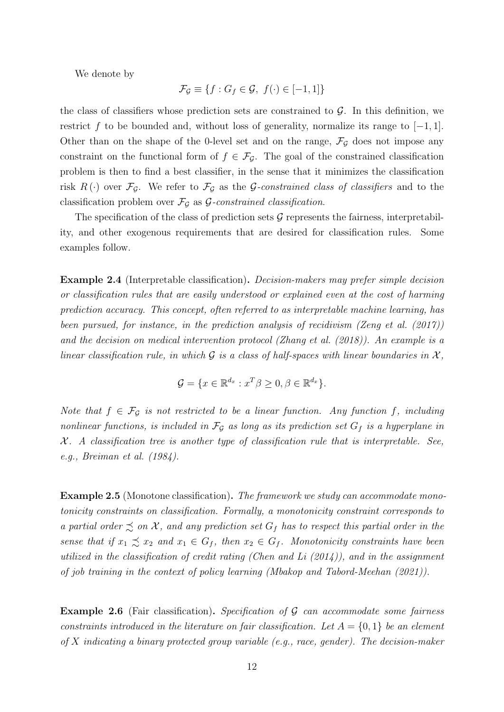We denote by

$$
\mathcal{F}_{\mathcal{G}} \equiv \{ f : G_f \in \mathcal{G}, f(\cdot) \in [-1, 1] \}
$$

the class of classifiers whose prediction sets are constrained to  $\mathcal{G}$ . In this definition, we restrict f to be bounded and, without loss of generality, normalize its range to  $[-1, 1]$ . Other than on the shape of the 0-level set and on the range,  $\mathcal{F}_{\mathcal{G}}$  does not impose any constraint on the functional form of  $f \in \mathcal{F}_{\mathcal{G}}$ . The goal of the constrained classification problem is then to find a best classifier, in the sense that it minimizes the classification risk  $R(\cdot)$  over  $\mathcal{F}_{\mathcal{G}}$ . We refer to  $\mathcal{F}_{\mathcal{G}}$  as the *G*-constrained class of classifiers and to the classification problem over  $\mathcal{F}_{\mathcal{G}}$  as  $\mathcal{G}\text{-}constrained$  classification.

The specification of the class of prediction sets  $\mathcal G$  represents the fairness, interpretability, and other exogenous requirements that are desired for classification rules. Some examples follow.

<span id="page-11-0"></span>Example 2.4 (Interpretable classification). Decision-makers may prefer simple decision or classification rules that are easily understood or explained even at the cost of harming prediction accuracy. This concept, often referred to as interpretable machine learning, has been pursued, for instance, in the prediction analysis of recidivism [\(Zeng et al.](#page-84-4) [\(2017\)](#page-84-4)) and the decision on medical intervention protocol [\(Zhang et al.](#page-84-5) [\(2018\)](#page-84-5)). An example is a linear classification rule, in which  $\mathcal G$  is a class of half-spaces with linear boundaries in  $\mathcal X$ ,

$$
\mathcal{G} = \{ x \in \mathbb{R}^{d_x} : x^T \beta \ge 0, \beta \in \mathbb{R}^{d_x} \}.
$$

Note that  $f \in \mathcal{F}_{\mathcal{G}}$  is not restricted to be a linear function. Any function f, including nonlinear functions, is included in  $\mathcal{F}_{\mathcal{G}}$  as long as its prediction set  $G_f$  is a hyperplane in  $X$ . A classification tree is another type of classification rule that is interpretable. See, e.g., [Breiman et al.](#page-80-7) [\(1984\)](#page-80-7).

<span id="page-11-2"></span>Example 2.5 (Monotone classification). The framework we study can accommodate monotonicity constraints on classification. Formally, a monotonicity constraint corresponds to a partial order  $\precsim$  on X, and any prediction set  $G_f$  has to respect this partial order in the sense that if  $x_1 \precsim x_2$  and  $x_1 \in G_f$ , then  $x_2 \in G_f$ . Monotonicity constraints have been utilized in the classification of credit rating [\(Chen and Li](#page-81-5)  $(2014)$ ), and in the assignment of job training in the context of policy learning [\(Mbakop and Tabord-Meehan](#page-83-2) [\(2021\)](#page-83-2)).

<span id="page-11-1"></span>**Example 2.6** (Fair classification). Specification of  $G$  can accommodate some fairness constraints introduced in the literature on fair classification. Let  $A = \{0, 1\}$  be an element of X indicating a binary protected group variable (e.g., race, gender). The decision-maker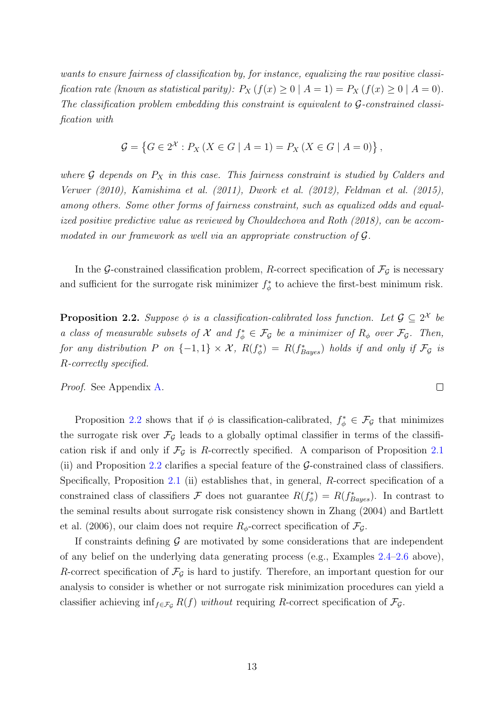wants to ensure fairness of classification by, for instance, equalizing the raw positive classification rate (known as statistical parity):  $P_X(f(x) \geq 0 \mid A = 1) = P_X(f(x) \geq 0 \mid A = 0)$ . The classification problem embedding this constraint is equivalent to G-constrained classification with

$$
\mathcal{G} = \{ G \in 2^{\mathcal{X}} : P_X \left( X \in G \mid A = 1 \right) = P_X \left( X \in G \mid A = 0 \right) \},
$$

where  $\mathcal G$  depends on  $P_X$  in this case. This fairness constraint is studied by [Calders and](#page-80-8) [Verwer](#page-80-8) [\(2010\)](#page-80-8), [Kamishima et al.](#page-82-12) [\(2011\)](#page-82-12), [Dwork et al.](#page-81-0) [\(2012\)](#page-81-0), [Feldman et al.](#page-81-8) [\(2015\)](#page-81-8), among others. Some other forms of fairness constraint, such as equalized odds and equalized positive predictive value as reviewed by [Chouldechova and Roth](#page-81-9) [\(2018\)](#page-81-9), can be accommodated in our framework as well via an appropriate construction of G.

In the G-constrained classification problem, R-correct specification of  $\mathcal{F}_{\mathcal{G}}$  is necessary and sufficient for the surrogate risk minimizer  $f^*_{\phi}$  to achieve the first-best minimum risk.

<span id="page-12-0"></span>**Proposition 2.2.** Suppose  $\phi$  is a classification-calibrated loss function. Let  $\mathcal{G} \subseteq 2^{\mathcal{X}}$  be a class of measurable subsets of  $\mathcal X$  and  $f^*_\phi \in \mathcal F_{\mathcal G}$  be a minimizer of  $R_\phi$  over  $\mathcal F_{\mathcal G}$ . Then, for any distribution P on  $\{-1,1\} \times \mathcal{X}$ ,  $R(f^*_{\phi}) = R(f^*_{Bayes})$  holds if and only if  $\mathcal{F}_{\mathcal{G}}$  is R-correctly specified.

 $\Box$ 

Proof. See Appendix [A.](#page-40-0)

Proposition [2.2](#page-12-0) shows that if  $\phi$  is classification-calibrated,  $f_{\phi}^* \in \mathcal{F}_{\mathcal{G}}$  that minimizes the surrogate risk over  $\mathcal{F}_{\mathcal{G}}$  leads to a globally optimal classifier in terms of the classification risk if and only if  $\mathcal{F}_{\mathcal{G}}$  is R-correctly specified. A comparison of Proposition [2.1](#page-10-1) (ii) and Proposition [2.2](#page-12-0) clarifies a special feature of the  $\mathcal{G}\text{-}constrained$  class of classifiers. Specifically, Proposition [2.1](#page-10-1) (ii) establishes that, in general, R-correct specification of a constrained class of classifiers F does not guarantee  $R(f_{\phi}^*) = R(f_{Bayes}^*)$ . In contrast to the seminal results about surrogate risk consistency shown in [Zhang](#page-84-0) [\(2004\)](#page-84-0) and [Bartlett](#page-80-0) [et al.](#page-80-0) [\(2006\)](#page-80-0), our claim does not require  $R_{\phi}$ -correct specification of  $\mathcal{F}_{\mathcal{G}}$ .

If constraints defining  $\mathcal G$  are motivated by some considerations that are independent of any belief on the underlying data generating process (e.g., Examples [2.4–](#page-11-0)[2.6](#page-11-1) above), R-correct specification of  $\mathcal{F}_{\mathcal{G}}$  is hard to justify. Therefore, an important question for our analysis to consider is whether or not surrogate risk minimization procedures can yield a classifier achieving inf<sub>f∈Fg</sub>  $R(f)$  without requiring R-correct specification of  $\mathcal{F}_{\mathcal{G}}$ .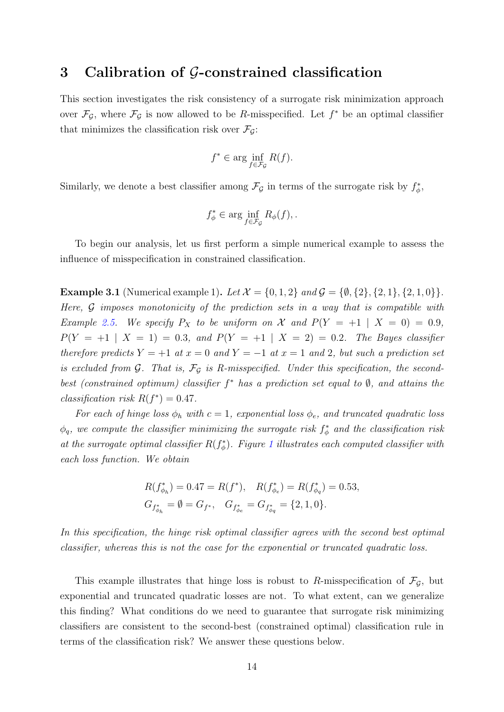## <span id="page-13-0"></span>3 Calibration of G-constrained classification

This section investigates the risk consistency of a surrogate risk minimization approach over  $\mathcal{F}_{\mathcal{G}}$ , where  $\mathcal{F}_{\mathcal{G}}$  is now allowed to be R-misspecified. Let  $f^*$  be an optimal classifier that minimizes the classification risk over  $\mathcal{F}_{\mathcal{G}}$ :

$$
f^* \in \arg\inf_{f \in \mathcal{F}_{\mathcal{G}}} R(f).
$$

Similarly, we denote a best classifier among  $\mathcal{F}_{\mathcal{G}}$  in terms of the surrogate risk by  $f^*_{\phi}$ ,

$$
f_{\phi}^* \in \arg\inf_{f \in \mathcal{F}_{\mathcal{G}}} R_{\phi}(f), \, .
$$

To begin our analysis, let us first perform a simple numerical example to assess the influence of misspecification in constrained classification.

<span id="page-13-1"></span>**Example 3.1** (Numerical example 1). Let  $\mathcal{X} = \{0, 1, 2\}$  and  $\mathcal{G} = \{\emptyset, \{2\}, \{2, 1\}, \{2, 1, 0\}\}.$ Here,  $G$  imposes monotonicity of the prediction sets in a way that is compatible with Example [2.5.](#page-11-2) We specify  $P_X$  to be uniform on X and  $P(Y = +1 | X = 0) = 0.9$ ,  $P(Y = +1 | X = 1) = 0.3$ , and  $P(Y = +1 | X = 2) = 0.2$ . The Bayes classifier therefore predicts  $Y = +1$  at  $x = 0$  and  $Y = -1$  at  $x = 1$  and 2, but such a prediction set is excluded from  $G$ . That is,  $\mathcal{F}_G$  is R-misspecified. Under this specification, the secondbest (constrained optimum) classifier  $f^*$  has a prediction set equal to  $\emptyset$ , and attains the classification risk  $R(f^*) = 0.47$ .

For each of hinge loss  $\phi_h$  with  $c = 1$ , exponential loss  $\phi_e$ , and truncated quadratic loss  $\phi_q$ , we compute the classifier minimizing the surrogate risk  $f^*_\phi$  and the classification risk at the surrogate optimal classifier  $R(f^*_{\phi})$ . Figure [1](#page-14-0) illustrates each computed classifier with each loss function. We obtain

$$
R(f_{\phi_h}^*) = 0.47 = R(f^*), \quad R(f_{\phi_e}^*) = R(f_{\phi_q}^*) = 0.53,
$$
  

$$
G_{f_{\phi_h}^*} = \emptyset = G_{f^*}, \quad G_{f_{\phi_e}^*} = G_{f_{\phi_q}^*} = \{2, 1, 0\}.
$$

In this specification, the hinge risk optimal classifier agrees with the second best optimal classifier, whereas this is not the case for the exponential or truncated quadratic loss.

This example illustrates that hinge loss is robust to R-misspecification of  $\mathcal{F}_{\mathcal{G}}$ , but exponential and truncated quadratic losses are not. To what extent, can we generalize this finding? What conditions do we need to guarantee that surrogate risk minimizing classifiers are consistent to the second-best (constrained optimal) classification rule in terms of the classification risk? We answer these questions below.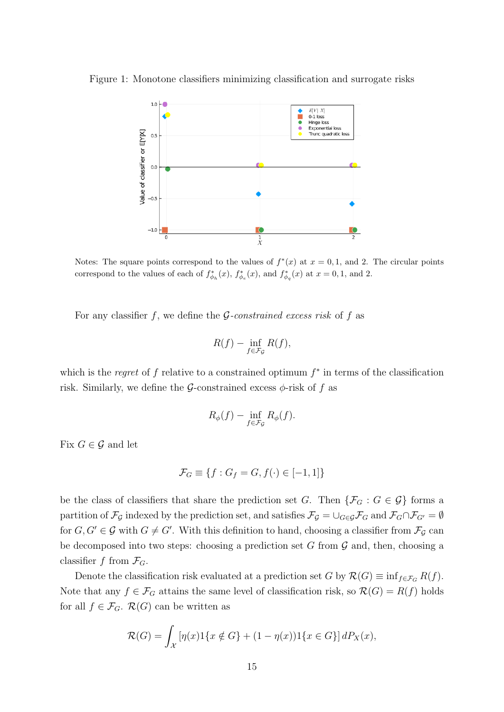Figure 1: Monotone classifiers minimizing classification and surrogate risks

<span id="page-14-0"></span>

Notes: The square points correspond to the values of  $f^*(x)$  at  $x = 0, 1$ , and 2. The circular points correspond to the values of each of  $f^*_{\phi_h}(x)$ ,  $f^*_{\phi_e}(x)$ , and  $f^*_{\phi_q}(x)$  at  $x = 0, 1$ , and 2.

For any classifier f, we define the  $G$ -constrained excess risk of f as

<span id="page-14-1"></span>
$$
R(f) - \inf_{f \in \mathcal{F}_{\mathcal{G}}} R(f),
$$

which is the regret of f relative to a constrained optimum  $f^*$  in terms of the classification risk. Similarly, we define the G-constrained excess  $\phi$ -risk of f as

$$
R_{\phi}(f) - \inf_{f \in \mathcal{F}_{\mathcal{G}}} R_{\phi}(f).
$$

Fix  $G \in \mathcal{G}$  and let

$$
\mathcal{F}_G \equiv \{ f : G_f = G, f(\cdot) \in [-1, 1] \}
$$

be the class of classifiers that share the prediction set G. Then  $\{\mathcal{F}_G : G \in \mathcal{G}\}\)$  forms a partition of  $\mathcal{F}_{\mathcal{G}}$  indexed by the prediction set, and satisfies  $\mathcal{F}_{\mathcal{G}} = \cup_{G \in \mathcal{G}} \mathcal{F}_G$  and  $\mathcal{F}_G \cap \mathcal{F}_{G'} = \emptyset$ for  $G, G' \in \mathcal{G}$  with  $G \neq G'$ . With this definition to hand, choosing a classifier from  $\mathcal{F}_{\mathcal{G}}$  can be decomposed into two steps: choosing a prediction set G from  $\mathcal G$  and, then, choosing a classifier f from  $\mathcal{F}_G$ .

Denote the classification risk evaluated at a prediction set G by  $\mathcal{R}(G) \equiv \inf_{f \in \mathcal{F}_G} R(f)$ . Note that any  $f \in \mathcal{F}_G$  attains the same level of classification risk, so  $\mathcal{R}(G) = R(f)$  holds for all  $f \in \mathcal{F}_G$ .  $\mathcal{R}(G)$  can be written as

$$
\mathcal{R}(G) = \int_{\mathcal{X}} \left[ \eta(x) 1\{x \notin G\} + (1 - \eta(x)) 1\{x \in G\} \right] dP_X(x),
$$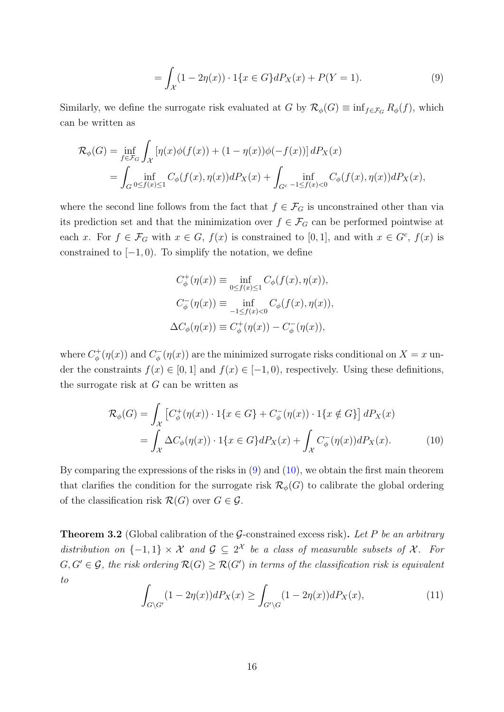$$
= \int_{\mathcal{X}} (1 - 2\eta(x)) \cdot 1\{x \in G\} dP_X(x) + P(Y = 1).
$$
 (9)

Similarly, we define the surrogate risk evaluated at G by  $\mathcal{R}_{\phi}(G) \equiv \inf_{f \in \mathcal{F}_G} R_{\phi}(f)$ , which can be written as

$$
\mathcal{R}_{\phi}(G) = \inf_{f \in \mathcal{F}_G} \int_{\mathcal{X}} \left[ \eta(x)\phi(f(x)) + (1 - \eta(x))\phi(-f(x)) \right] dP_X(x)
$$
  
= 
$$
\int_G \inf_{0 \le f(x) \le 1} C_{\phi}(f(x), \eta(x)) dP_X(x) + \int_{G^c} \inf_{-1 \le f(x) < 0} C_{\phi}(f(x), \eta(x)) dP_X(x),
$$

where the second line follows from the fact that  $f \in \mathcal{F}_G$  is unconstrained other than via its prediction set and that the minimization over  $f \in \mathcal{F}_G$  can be performed pointwise at each x. For  $f \in \mathcal{F}_G$  with  $x \in G$ ,  $f(x)$  is constrained to [0,1], and with  $x \in G^c$ ,  $f(x)$  is constrained to  $[-1, 0)$ . To simplify the notation, we define

<span id="page-15-0"></span>
$$
C_{\phi}^{+}(\eta(x)) \equiv \inf_{0 \le f(x) \le 1} C_{\phi}(f(x), \eta(x)),
$$
  

$$
C_{\phi}^{-}(\eta(x)) \equiv \inf_{-1 \le f(x) < 0} C_{\phi}(f(x), \eta(x)),
$$
  

$$
\Delta C_{\phi}(\eta(x)) \equiv C_{\phi}^{+}(\eta(x)) - C_{\phi}^{-}(\eta(x)),
$$

where  $C^+_{\phi}$  $\mathcal{O}_{\phi}^{(+}(\eta(x))$  and  $C_{\phi}^{-}$  $g_{\phi}^{-}(\eta(x))$  are the minimized surrogate risks conditional on  $X=x$  under the constraints  $f(x) \in [0,1]$  and  $f(x) \in [-1,0)$ , respectively. Using these definitions, the surrogate risk at G can be written as

$$
\mathcal{R}_{\phi}(G) = \int_{\mathcal{X}} \left[ C_{\phi}^{+}(\eta(x)) \cdot 1\{x \in G\} + C_{\phi}^{-}(\eta(x)) \cdot 1\{x \notin G\} \right] dP_{X}(x)
$$

$$
= \int_{\mathcal{X}} \Delta C_{\phi}(\eta(x)) \cdot 1\{x \in G\} dP_{X}(x) + \int_{\mathcal{X}} C_{\phi}^{-}(\eta(x)) dP_{X}(x). \tag{10}
$$

By comparing the expressions of the risks in  $(9)$  and  $(10)$ , we obtain the first main theorem that clarifies the condition for the surrogate risk  $\mathcal{R}_{\phi}(G)$  to calibrate the global ordering of the classification risk  $\mathcal{R}(G)$  over  $G \in \mathcal{G}$ .

<span id="page-15-2"></span>**Theorem 3.2** (Global calibration of the  $G$ -constrained excess risk). Let P be an arbitrary distribution on  $\{-1,1\} \times \mathcal{X}$  and  $\mathcal{G} \subseteq 2^{\mathcal{X}}$  be a class of measurable subsets of  $\mathcal{X}$ . For  $G, G' \in \mathcal{G}$ , the risk ordering  $\mathcal{R}(G) \geq \mathcal{R}(G')$  in terms of the classification risk is equivalent to

<span id="page-15-1"></span>
$$
\int_{G\backslash G'} (1 - 2\eta(x))dP_X(x) \ge \int_{G'\backslash G} (1 - 2\eta(x))dP_X(x),\tag{11}
$$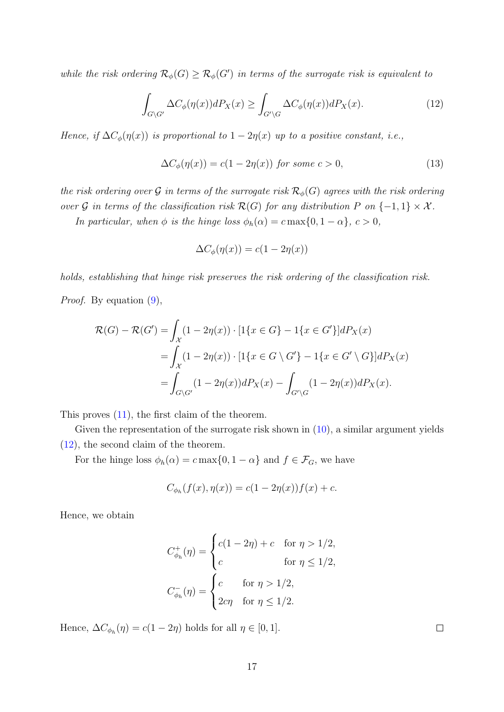while the risk ordering  $\mathcal{R}_{\phi}(G) \geq \mathcal{R}_{\phi}(G')$  in terms of the surrogate risk is equivalent to

<span id="page-16-0"></span>
$$
\int_{G \backslash G'} \Delta C_{\phi}(\eta(x)) dP_X(x) \ge \int_{G' \backslash G} \Delta C_{\phi}(\eta(x)) dP_X(x). \tag{12}
$$

Hence, if  $\Delta C_{\phi}(\eta(x))$  is proportional to  $1 - 2\eta(x)$  up to a positive constant, i.e.,

$$
\Delta C_{\phi}(\eta(x)) = c(1 - 2\eta(x)) \text{ for some } c > 0,
$$
\n(13)

the risk ordering over G in terms of the surrogate risk  $\mathcal{R}_{\phi}(G)$  agrees with the risk ordering over G in terms of the classification risk  $\mathcal{R}(G)$  for any distribution P on  $\{-1,1\} \times \mathcal{X}$ .

In particular, when  $\phi$  is the hinge loss  $\phi_h(\alpha) = c \max\{0, 1 - \alpha\}, c > 0$ ,

<span id="page-16-2"></span><span id="page-16-1"></span>
$$
\Delta C_{\phi}(\eta(x)) = c(1 - 2\eta(x))
$$

holds, establishing that hinge risk preserves the risk ordering of the classification risk.

Proof. By equation [\(9\)](#page-14-1),

$$
\mathcal{R}(G) - \mathcal{R}(G') = \int_{\mathcal{X}} (1 - 2\eta(x)) \cdot [1\{x \in G\} - 1\{x \in G'\}]dP_X(x)
$$
  
= 
$$
\int_{\mathcal{X}} (1 - 2\eta(x)) \cdot [1\{x \in G \setminus G'\} - 1\{x \in G' \setminus G\}]dP_X(x)
$$
  
= 
$$
\int_{G \setminus G'} (1 - 2\eta(x))dP_X(x) - \int_{G' \setminus G'} (1 - 2\eta(x))dP_X(x).
$$

This proves [\(11\)](#page-15-1), the first claim of the theorem.

Given the representation of the surrogate risk shown in  $(10)$ , a similar argument yields [\(12\)](#page-16-0), the second claim of the theorem.

For the hinge loss  $\phi_h(\alpha) = c \max\{0, 1 - \alpha\}$  and  $f \in \mathcal{F}_G$ , we have

$$
C_{\phi_h}(f(x), \eta(x)) = c(1 - 2\eta(x))f(x) + c.
$$

Hence, we obtain

$$
C_{\phi_h}^+(\eta) = \begin{cases} c(1 - 2\eta) + c & \text{for } \eta > 1/2, \\ c & \text{for } \eta \le 1/2, \end{cases}
$$
\n
$$
C_{\phi_h}^-(\eta) = \begin{cases} c & \text{for } \eta > 1/2, \\ 2c\eta & \text{for } \eta \le 1/2. \end{cases}
$$

Hence,  $\Delta C_{\phi_h}(\eta) = c(1 - 2\eta)$  holds for all  $\eta \in [0, 1]$ .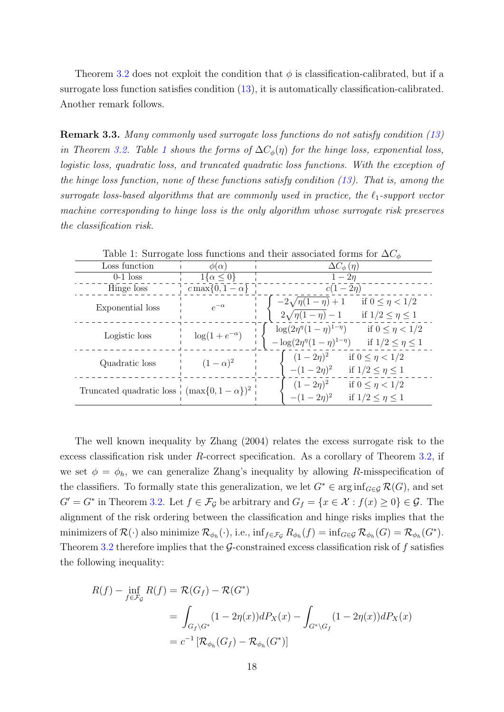Theorem [3.2](#page-15-2) does not exploit the condition that  $\phi$  is classification-calibrated, but if a surrogate loss function satisfies condition [\(13\)](#page-16-1), it is automatically classification-calibrated. Another remark follows.

Remark 3.3. Many commonly used surrogate loss functions do not satisfy condition [\(13\)](#page-16-1) in Theorem [3.2.](#page-15-2) Table [1](#page-17-0) shows the forms of  $\Delta C_{\phi}(\eta)$  for the hinge loss, exponential loss, logistic loss, quadratic loss, and truncated quadratic loss functions. With the exception of the hinge loss function, none of these functions satisfy condition [\(13\)](#page-16-1). That is, among the surrogate loss-based algorithms that are commonly used in practice, the  $\ell_1$ -support vector machine corresponding to hinge loss is the only algorithm whose surrogate risk preserves the classification risk.

| Lable 1. Duringate loss functions and their associated forms for $\Delta\mathcal{O}_\phi$ |                       |                                                                                                                                       |  |
|-------------------------------------------------------------------------------------------|-----------------------|---------------------------------------------------------------------------------------------------------------------------------------|--|
| Loss function                                                                             | $\phi(\alpha)$        | $\Delta C_{\phi}(\eta)$                                                                                                               |  |
| $0-1$ loss                                                                                | $1\{\alpha \leq 0\}$  | $1-2n$                                                                                                                                |  |
| Hinge loss                                                                                | $c\max\{0,1-\alpha\}$ | $c(1-2\eta)$                                                                                                                          |  |
| Exponential loss                                                                          | $e^{-\alpha}$         | $-2\sqrt{\eta(1-\eta)}+1$<br>if $0 \le \eta < 1/2$<br>$2\sqrt{\eta(1-\eta)}-1$<br>if $1/2 \leq \eta \leq 1$                           |  |
| Logistic loss                                                                             | $\log(1+e^{-\alpha})$ | $\log(2\eta^{\eta}(1-\eta)^{1-\eta})$<br>if $0 \le \eta < 1/2$<br>$-\log(2\eta^{\eta}(1-\eta)^{1-\eta})$<br>if $1/2 \leq \eta \leq 1$ |  |
| Quadratic loss                                                                            | $(1-\alpha)^2$        | $(1-2\eta)^2$<br>if $0 \leq \eta < 1/2$<br>$-(1-2\eta)^2$<br>if $1/2 \leq \eta \leq 1$                                                |  |
| Truncated quadratic loss $\frac{1}{2}$ (max $\{0, 1 - \alpha\}$ ) <sup>2</sup>            |                       | $(1-2\eta)^2$<br>if $0 \le \eta < 1/2$<br>$-(1-2\eta)^2$<br>if $1/2 \leq \eta \leq 1$                                                 |  |

<span id="page-17-0"></span>Table 1: Surrogate loss functions and their associated forms for  $\Delta C$ 

The well known inequality by [Zhang](#page-84-0) [\(2004\)](#page-84-0) relates the excess surrogate risk to the excess classification risk under R-correct specification. As a corollary of Theorem [3.2,](#page-15-2) if we set  $\phi = \phi_h$ , we can generalize Zhang's inequality by allowing R-misspecification of the classifiers. To formally state this generalization, we let  $G^* \in \arginf_{G \in \mathcal{G}} \mathcal{R}(G)$ , and set  $G' = G^*$  in Theorem [3.2.](#page-15-2) Let  $f \in \mathcal{F}_{\mathcal{G}}$  be arbitrary and  $G_f = \{x \in \mathcal{X} : f(x) \ge 0\} \in \mathcal{G}$ . The alignment of the risk ordering between the classification and hinge risks implies that the minimizers of  $\mathcal{R}(\cdot)$  also minimize  $\mathcal{R}_{\phi_h}(\cdot)$ , i.e.,  $\inf_{f \in \mathcal{F}_{\mathcal{G}}} R_{\phi_h}(f) = \inf_{G \in \mathcal{G}} \mathcal{R}_{\phi_h}(G) = \mathcal{R}_{\phi_h}(G^*).$ Theorem [3.2](#page-15-2) therefore implies that the  $G$ -constrained excess classification risk of f satisfies the following inequality:

$$
R(f) - \inf_{f \in \mathcal{F}_{\mathcal{G}}} R(f) = \mathcal{R}(G_f) - \mathcal{R}(G^*)
$$
  
= 
$$
\int_{G_f \backslash G^*} (1 - 2\eta(x)) dP_X(x) - \int_{G^* \backslash G_f} (1 - 2\eta(x)) dP_X(x)
$$
  
= 
$$
c^{-1} [\mathcal{R}_{\phi_h}(G_f) - \mathcal{R}_{\phi_h}(G^*)]
$$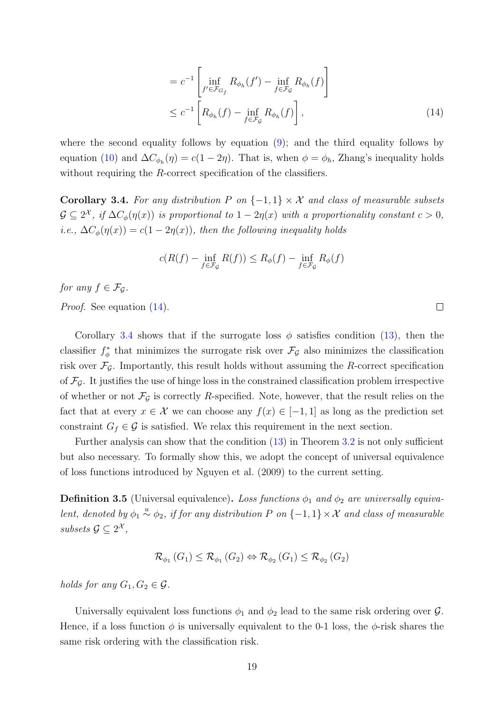$$
= c^{-1} \left[ \inf_{f' \in \mathcal{F}_{G_f}} R_{\phi_h}(f') - \inf_{f \in \mathcal{F}_{\mathcal{G}}} R_{\phi_h}(f) \right]
$$
  

$$
\leq c^{-1} \left[ R_{\phi_h}(f) - \inf_{f \in \mathcal{F}_{\mathcal{G}}} R_{\phi_h}(f) \right],
$$
 (14)

where the second equality follows by equation  $(9)$ ; and the third equality follows by equation [\(10\)](#page-15-0) and  $\Delta C_{\phi_h}(\eta) = c(1 - 2\eta)$ . That is, when  $\phi = \phi_h$ , Zhang's inequality holds without requiring the R-correct specification of the classifiers.

<span id="page-18-0"></span>Corollary 3.4. For any distribution P on  $\{-1,1\} \times \mathcal{X}$  and class of measurable subsets  $\mathcal{G} \subseteq 2^{\mathcal{X}}$ , if  $\Delta C_{\phi}(\eta(x))$  is proportional to  $1 - 2\eta(x)$  with a proportionality constant  $c > 0$ , i.e.,  $\Delta C_{\phi}(\eta(x)) = c(1 - 2\eta(x))$ , then the following inequality holds

$$
c(R(f) - \inf_{f \in \mathcal{F}_{\mathcal{G}}} R(f)) \le R_{\phi}(f) - \inf_{f \in \mathcal{F}_{\mathcal{G}}} R_{\phi}(f)
$$

for any  $f \in \mathcal{F}_G$ .

Proof. See equation  $(14)$ .

Corollary [3.4](#page-18-0) shows that if the surrogate loss  $\phi$  satisfies condition [\(13\)](#page-16-1), then the classifier  $f^*_{\phi}$  that minimizes the surrogate risk over  $\mathcal{F}_{\mathcal{G}}$  also minimizes the classification risk over  $\mathcal{F}_{\mathcal{G}}$ . Importantly, this result holds without assuming the R-correct specification of  $\mathcal{F}_{\mathcal{G}}$ . It justifies the use of hinge loss in the constrained classification problem irrespective of whether or not  $\mathcal{F}_{\mathcal{G}}$  is correctly R-specified. Note, however, that the result relies on the fact that at every  $x \in \mathcal{X}$  we can choose any  $f(x) \in [-1,1]$  as long as the prediction set constraint  $G_f \in \mathcal{G}$  is satisfied. We relax this requirement in the next section.

Further analysis can show that the condition  $(13)$  in Theorem [3.2](#page-15-2) is not only sufficient but also necessary. To formally show this, we adopt the concept of universal equivalence of loss functions introduced by [Nguyen et al.](#page-83-6) [\(2009\)](#page-83-6) to the current setting.

**Definition 3.5** (Universal equivalence). Loss functions  $\phi_1$  and  $\phi_2$  are universally equivalent, denoted by  $\phi_1 \stackrel{u}{\sim} \phi_2$ , if for any distribution P on  $\{-1,1\} \times \mathcal{X}$  and class of measurable subsets  $\mathcal{G} \subseteq 2^{\mathcal{X}},$ 

$$
\mathcal{R}_{\phi_1}\left(G_1\right) \leq \mathcal{R}_{\phi_1}\left(G_2\right) \Leftrightarrow \mathcal{R}_{\phi_2}\left(G_1\right) \leq \mathcal{R}_{\phi_2}\left(G_2\right)
$$

holds for any  $G_1, G_2 \in \mathcal{G}$ .

Universally equivalent loss functions  $\phi_1$  and  $\phi_2$  lead to the same risk ordering over  $\mathcal{G}$ . Hence, if a loss function  $\phi$  is universally equivalent to the 0-1 loss, the  $\phi$ -risk shares the same risk ordering with the classification risk.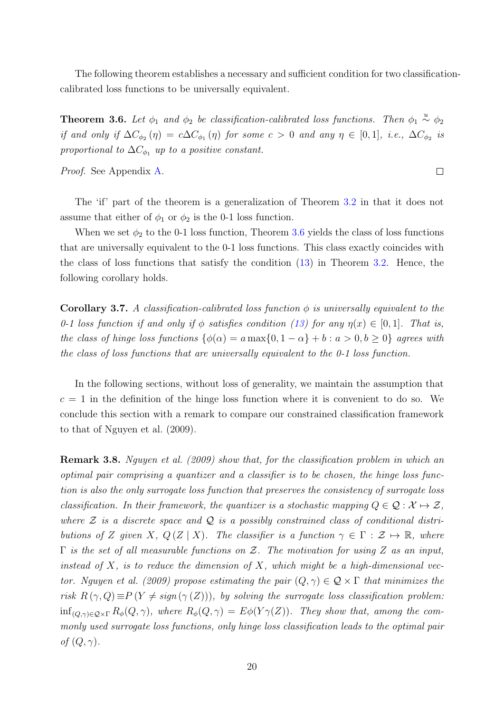The following theorem establishes a necessary and sufficient condition for two classificationcalibrated loss functions to be universally equivalent.

<span id="page-19-0"></span>**Theorem 3.6.** Let  $\phi_1$  and  $\phi_2$  be classification-calibrated loss functions. Then  $\phi_1 \stackrel{u}{\sim} \phi_2$ if and only if  $\Delta C_{\phi_2}(\eta) = c \Delta C_{\phi_1}(\eta)$  for some  $c > 0$  and any  $\eta \in [0,1]$ , i.e.,  $\Delta C_{\phi_2}$  is proportional to  $\Delta C_{\phi_1}$  up to a positive constant.

 $\Box$ 

Proof. See Appendix [A.](#page-40-0)

The 'if' part of the theorem is a generalization of Theorem [3.2](#page-15-2) in that it does not assume that either of  $\phi_1$  or  $\phi_2$  is the 0-1 loss function.

When we set  $\phi_2$  to the 0-1 loss function, Theorem [3.6](#page-19-0) yields the class of loss functions that are universally equivalent to the 0-1 loss functions. This class exactly coincides with the class of loss functions that satisfy the condition [\(13\)](#page-16-1) in Theorem [3.2.](#page-15-2) Hence, the following corollary holds.

<span id="page-19-1"></span>**Corollary 3.7.** A classification-calibrated loss function  $\phi$  is universally equivalent to the 0-1 loss function if and only if  $\phi$  satisfies condition [\(13\)](#page-16-1) for any  $\eta(x) \in [0,1]$ . That is, the class of hinge loss functions  $\{\phi(\alpha) = a \max\{0, 1 - \alpha\} + b : a > 0, b \ge 0\}$  agrees with the class of loss functions that are universally equivalent to the 0-1 loss function.

In the following sections, without loss of generality, we maintain the assumption that  $c = 1$  in the definition of the hinge loss function where it is convenient to do so. We conclude this section with a remark to compare our constrained classification framework to that of [Nguyen et al.](#page-83-6) [\(2009\)](#page-83-6).

Remark 3.8. [Nguyen et al.](#page-83-6) [\(2009\)](#page-83-6) show that, for the classification problem in which an optimal pair comprising a quantizer and a classifier is to be chosen, the hinge loss function is also the only surrogate loss function that preserves the consistency of surrogate loss classification. In their framework, the quantizer is a stochastic mapping  $Q \in \mathcal{Q} : \mathcal{X} \mapsto \mathcal{Z}$ , where  $\mathcal Z$  is a discrete space and  $\mathcal Q$  is a possibly constrained class of conditional distributions of Z given X,  $Q(Z | X)$ . The classifier is a function  $\gamma \in \Gamma : \mathcal{Z} \mapsto \mathbb{R}$ , where  $\Gamma$  is the set of all measurable functions on  $\mathcal{Z}$ . The motivation for using  $Z$  as an input, instead of X, is to reduce the dimension of X, which might be a high-dimensional vec-tor. [Nguyen et al.](#page-83-6) [\(2009\)](#page-83-6) propose estimating the pair  $(Q, \gamma) \in \mathcal{Q} \times \Gamma$  that minimizes the risk  $R(\gamma, Q) \equiv P(Y \neq sign(\gamma(Z))),$  by solving the surrogate loss classification problem:  $\inf_{(Q,\gamma)\in\mathcal{Q}\times\Gamma} R_{\phi}(Q,\gamma)$ , where  $R_{\phi}(Q,\gamma) = E\phi(Y\gamma(Z))$ . They show that, among the commonly used surrogate loss functions, only hinge loss classification leads to the optimal pair of  $(Q, \gamma)$ .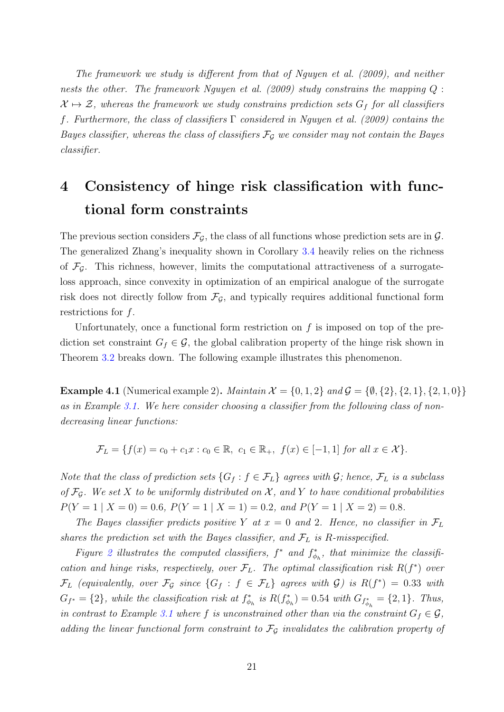The framework we study is different from that of [Nguyen et al.](#page-83-6) [\(2009\)](#page-83-6), and neither nests the other. The framework [Nguyen et al.](#page-83-6) [\(2009\)](#page-83-6) study constrains the mapping  $Q$ :  $X \mapsto Z$ , whereas the framework we study constrains prediction sets  $G_f$  for all classifiers f. Furthermore, the class of classifiers Γ considered in [Nguyen et al.](#page-83-6) [\(2009\)](#page-83-6) contains the Bayes classifier, whereas the class of classifiers  $\mathcal{F}_{\mathcal{G}}$  we consider may not contain the Bayes classifier.

# <span id="page-20-0"></span>4 Consistency of hinge risk classification with functional form constraints

The previous section considers  $\mathcal{F}_{\mathcal{G}}$ , the class of all functions whose prediction sets are in  $\mathcal{G}$ . The generalized Zhang's inequality shown in Corollary [3.4](#page-18-0) heavily relies on the richness of  $\mathcal{F}_{\mathcal{G}}$ . This richness, however, limits the computational attractiveness of a surrogateloss approach, since convexity in optimization of an empirical analogue of the surrogate risk does not directly follow from  $\mathcal{F}_{\mathcal{G}}$ , and typically requires additional functional form restrictions for f.

Unfortunately, once a functional form restriction on  $f$  is imposed on top of the prediction set constraint  $G_f \in \mathcal{G}$ , the global calibration property of the hinge risk shown in Theorem [3.2](#page-15-2) breaks down. The following example illustrates this phenomenon.

**Example 4.1** (Numerical example 2). Maintain  $\mathcal{X} = \{0, 1, 2\}$  and  $\mathcal{G} = \{\emptyset, \{2\}, \{2, 1\}, \{2, 1, 0\}\}\$ as in Example [3.1.](#page-13-1) We here consider choosing a classifier from the following class of nondecreasing linear functions:

 $\mathcal{F}_L = \{f(x) = c_0 + c_1x : c_0 \in \mathbb{R}, c_1 \in \mathbb{R}_+, f(x) \in [-1, 1] \text{ for all } x \in \mathcal{X}\}.$ 

Note that the class of prediction sets  $\{G_f : f \in \mathcal{F}_L\}$  agrees with  $\mathcal{G}$ ; hence,  $\mathcal{F}_L$  is a subclass of  $\mathcal{F}_{\mathcal{G}}$ . We set X to be uniformly distributed on X, and Y to have conditional probabilities  $P(Y = 1 | X = 0) = 0.6, P(Y = 1 | X = 1) = 0.2, and P(Y = 1 | X = 2) = 0.8.$ 

The Bayes classifier predicts positive Y at  $x = 0$  and 2. Hence, no classifier in  $\mathcal{F}_L$ shares the prediction set with the Bayes classifier, and  $\mathcal{F}_L$  is R-misspecified.

Figure [2](#page-21-0) illustrates the computed classifiers,  $f^*$  and  $f^*_{\phi_h}$ , that minimize the classification and hinge risks, respectively, over  $\mathcal{F}_L$ . The optimal classification risk  $R(f^*)$  over  $\mathcal{F}_L$  (equivalently, over  $\mathcal{F}_{\mathcal{G}}$  since  $\{G_f : f \in \mathcal{F}_L\}$  agrees with  $\mathcal{G}$ ) is  $R(f^*) = 0.33$  with  $G_{f^*} = \{2\}$ , while the classification risk at  $f_{\phi_h}^*$  is  $R(f_{\phi_h}^*) = 0.54$  with  $G_{f_{\phi_h}^*} = \{2, 1\}$ . Thus, in contrast to Example [3.1](#page-13-1) where f is unconstrained other than via the constraint  $G_f \in \mathcal{G}$ , adding the linear functional form constraint to  $\mathcal{F}_{\mathcal{G}}$  invalidates the calibration property of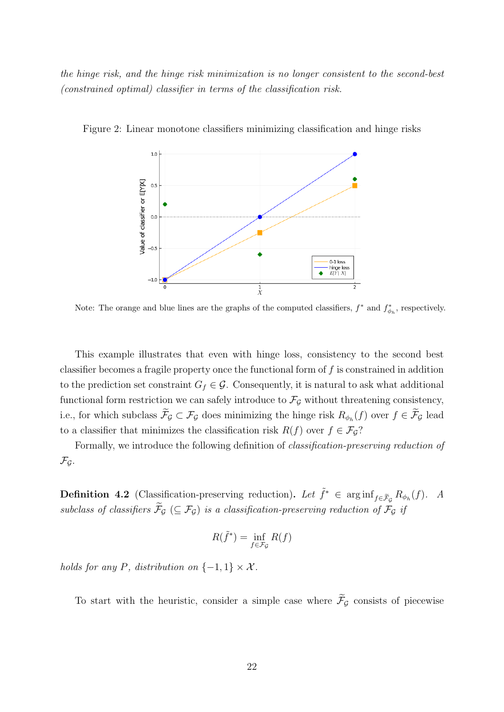the hinge risk, and the hinge risk minimization is no longer consistent to the second-best (constrained optimal) classifier in terms of the classification risk.

<span id="page-21-0"></span>

Figure 2: Linear monotone classifiers minimizing classification and hinge risks

Note: The orange and blue lines are the graphs of the computed classifiers,  $f^*$  and  $f^*_{\phi_h}$ , respectively.

This example illustrates that even with hinge loss, consistency to the second best classifier becomes a fragile property once the functional form of  $f$  is constrained in addition to the prediction set constraint  $G_f \in \mathcal{G}$ . Consequently, it is natural to ask what additional functional form restriction we can safely introduce to  $\mathcal{F}_{\mathcal{G}}$  without threatening consistency, i.e., for which subclass  $\mathcal{F}_{\mathcal{G}} \subset \mathcal{F}_{\mathcal{G}}$  does minimizing the hinge risk  $R_{\phi_h}(f)$  over  $f \in \mathcal{F}_{\mathcal{G}}$  lead to a classifier that minimizes the classification risk  $R(f)$  over  $f \in \mathcal{F}_G$ ?

Formally, we introduce the following definition of classification-preserving reduction of  $\mathcal{F}_{\mathcal{G}}$ .

<span id="page-21-1"></span>**Definition 4.2** (Classification-preserving reduction). Let  $\tilde{f}^* \in \arginf_{f \in \tilde{\mathcal{F}}_g} R_{\phi_h}(f)$ . A subclass of classifiers  $\widetilde{\mathcal{F}}_{\mathcal{G}}$  ( $\subseteq \mathcal{F}_{\mathcal{G}}$ ) is a classification-preserving reduction of  $\mathcal{F}_{\mathcal{G}}$  if

$$
R(\tilde{f}^*) = \inf_{f \in \mathcal{F}_{\mathcal{G}}} R(f)
$$

holds for any P, distribution on  $\{-1,1\} \times \mathcal{X}$ .

To start with the heuristic, consider a simple case where  $\widetilde{\mathcal{F}}_{\mathcal{G}}$  consists of piecewise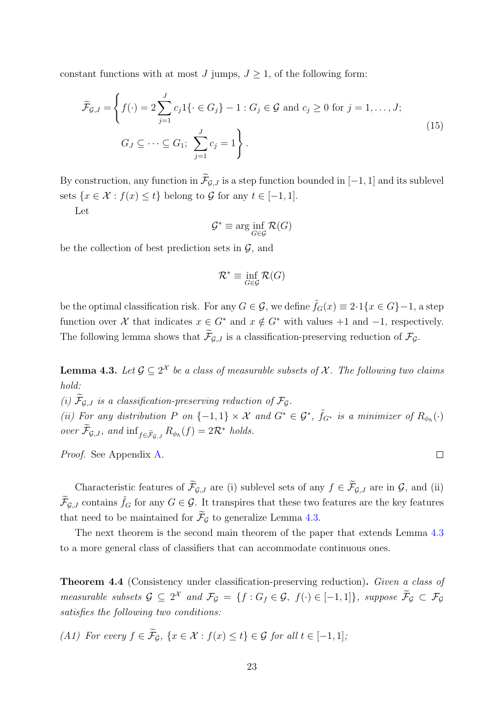constant functions with at most J jumps,  $J \geq 1$ , of the following form:

$$
\widetilde{\mathcal{F}}_{\mathcal{G},J} = \left\{ f(\cdot) = 2 \sum_{j=1}^{J} c_j 1 \{ \cdot \in G_j \} - 1 : G_j \in \mathcal{G} \text{ and } c_j \ge 0 \text{ for } j = 1, \dots, J; \right\}
$$
\n
$$
G_J \subseteq \dots \subseteq G_1; \sum_{j=1}^{J} c_j = 1 \right\}.
$$
\n(15)

By construction, any function in  $\widetilde{\mathcal{F}}_{G,J}$  is a step function bounded in [−1, 1] and its sublevel sets  $\{x \in \mathcal{X} : f(x) \leq t\}$  belong to G for any  $t \in [-1, 1]$ .

Let

$$
\mathcal{G}^* \equiv \arg\inf_{G \in \mathcal{G}} \mathcal{R}(G)
$$

be the collection of best prediction sets in  $\mathcal{G}$ , and

$$
\mathcal{R}^* \equiv \inf_{G \in \mathcal{G}} \mathcal{R}(G)
$$

be the optimal classification risk. For any  $G \in \mathcal{G}$ , we define  $\tilde{f}_G(x) \equiv 2 \cdot 1\{x \in G\} - 1$ , a step function over X that indicates  $x \in G^*$  and  $x \notin G^*$  with values +1 and -1, respectively. The following lemma shows that  $\widetilde{\mathcal{F}}_{\mathcal{G},J}$  is a classification-preserving reduction of  $\mathcal{F}_{\mathcal{G}}$ .

<span id="page-22-0"></span>**Lemma 4.3.** Let  $\mathcal{G} \subseteq 2^{\mathcal{X}}$  be a class of measurable subsets of  $\mathcal{X}$ . The following two claims hold:

(i)  $\widetilde{\mathcal{F}}_{\mathcal{G},J}$  is a classification-preserving reduction of  $\mathcal{F}_{\mathcal{G}}$ . (ii) For any distribution P on  $\{-1,1\} \times \mathcal{X}$  and  $G^* \in \mathcal{G}^*$ ,  $\tilde{f}_{G^*}$  is a minimizer of  $R_{\phi_h}(\cdot)$ over  $\widetilde{\mathcal{F}}_{\mathcal{G},J}$ , and  $\inf_{f \in \widetilde{\mathcal{F}}_{\mathcal{G},J}} R_{\phi_h}(f) = 2\mathcal{R}^*$  holds.

Proof. See Appendix [A.](#page-40-0)

Characteristic features of  $\widetilde{\mathcal{F}}_{\mathcal{G},J}$  are (i) sublevel sets of any  $f \in \widetilde{\mathcal{F}}_{\mathcal{G},J}$  are in  $\mathcal{G}$ , and (ii)  $\widetilde{\mathcal{F}}_{\mathcal{G},J}$  contains  $\widetilde{f}_G$  for any  $G \in \mathcal{G}$ . It transpires that these two features are the key features that need to be maintained for  $\widetilde{\mathcal{F}}_G$  to generalize Lemma [4.3.](#page-22-0)

The next theorem is the second main theorem of the paper that extends Lemma [4.3](#page-22-0) to a more general class of classifiers that can accommodate continuous ones.

<span id="page-22-2"></span>Theorem 4.4 (Consistency under classification-preserving reduction). Given a class of measurable subsets  $\mathcal{G} \subseteq 2^{\mathcal{X}}$  and  $\mathcal{F}_{\mathcal{G}} = \{f : G_f \in \mathcal{G}, f(\cdot) \in [-1,1]\},$  suppose  $\mathcal{F}_{\mathcal{G}} \subset \mathcal{F}_{\mathcal{G}}$ satisfies the following two conditions:

<span id="page-22-1"></span>(A1) For every  $f \in \widetilde{\mathcal{F}}_{\mathcal{G}}$ ,  $\{x \in \mathcal{X} : f(x) \leq t\} \in \mathcal{G}$  for all  $t \in [-1, 1]$ ;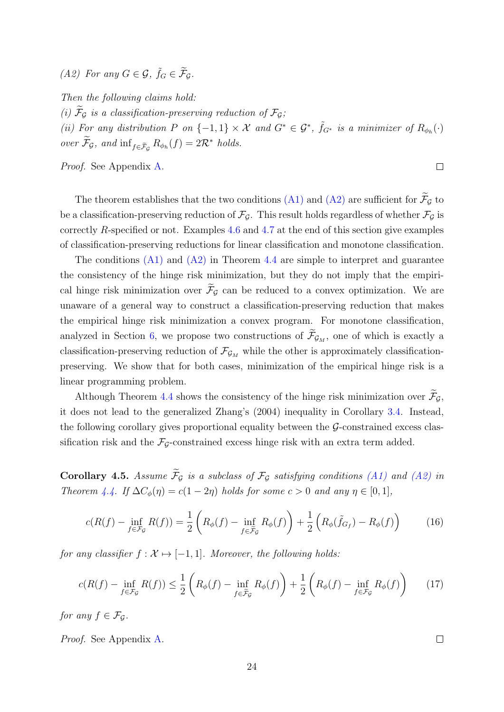<span id="page-23-0"></span>(A2) For any  $G \in \mathcal{G}$ ,  $\tilde{f}_G \in \tilde{\mathcal{F}}_{\mathcal{G}}$ .

Then the following claims hold:

(i)  $\widetilde{\mathcal{F}}_{\mathcal{G}}$  is a classification-preserving reduction of  $\mathcal{F}_{\mathcal{G}}$ ;

(ii) For any distribution P on  $\{-1,1\} \times \mathcal{X}$  and  $G^* \in \mathcal{G}^*$ ,  $\tilde{f}_{G^*}$  is a minimizer of  $R_{\phi_h}(\cdot)$ over  $\mathcal{F}_{\mathcal{G}}$ , and  $\inf_{f \in \mathcal{F}_{\mathcal{G}}} R_{\phi_h}(f) = 2\mathcal{R}^*$  holds.

Proof. See Appendix [A.](#page-40-0)

The theorem establishes that the two conditions [\(A1\)](#page-22-1) and [\(A2\)](#page-23-0) are sufficient for  $\widetilde{\mathcal{F}}_{\mathcal{G}}$  to be a classification-preserving reduction of  $\mathcal{F}_{\mathcal{G}}$ . This result holds regardless of whether  $\mathcal{F}_{\mathcal{G}}$  is correctly R-specified or not. Examples [4.6](#page-24-0) and [4.7](#page-24-1) at the end of this section give examples of classification-preserving reductions for linear classification and monotone classification.

The conditions  $(A1)$  and  $(A2)$  in Theorem [4.4](#page-22-2) are simple to interpret and guarantee the consistency of the hinge risk minimization, but they do not imply that the empirical hinge risk minimization over  $\widetilde{\mathcal{F}}_G$  can be reduced to a convex optimization. We are unaware of a general way to construct a classification-preserving reduction that makes the empirical hinge risk minimization a convex program. For monotone classification, analyzed in Section [6,](#page-28-0) we propose two constructions of  $\widetilde{\mathcal{F}}_{\mathcal{G}_M}$ , one of which is exactly a classification-preserving reduction of  $\mathcal{F}_{\mathcal{G}_M}$  while the other is approximately classificationpreserving. We show that for both cases, minimization of the empirical hinge risk is a linear programming problem.

Although Theorem [4.4](#page-22-2) shows the consistency of the hinge risk minimization over  $\widetilde{\mathcal{F}}_{\mathcal{G}}$ , it does not lead to the generalized [Zhang'](#page-84-0)s [\(2004\)](#page-84-0) inequality in Corollary [3.4.](#page-18-0) Instead, the following corollary gives proportional equality between the  $\mathcal{G}\text{-}constrained$  excess classification risk and the  $\mathcal{F}_{\mathcal{G}}$ -constrained excess hinge risk with an extra term added.

<span id="page-23-3"></span>Corollary 4.5. Assume  $\widetilde{\mathcal{F}}_G$  is a subclass of  $\mathcal{F}_G$  satisfying conditions [\(A1\)](#page-22-1) and [\(A2\)](#page-23-0) in Theorem [4.4.](#page-22-2) If  $\Delta C_{\phi}(\eta) = c(1 - 2\eta)$  holds for some  $c > 0$  and any  $\eta \in [0, 1]$ ,

$$
c(R(f) - \inf_{f \in \mathcal{F}_{\mathcal{G}}} R(f)) = \frac{1}{2} \left( R_{\phi}(f) - \inf_{f \in \widetilde{\mathcal{F}}_{\mathcal{G}}} R_{\phi}(f) \right) + \frac{1}{2} \left( R_{\phi}(\widetilde{f}_{G_f}) - R_{\phi}(f) \right) \tag{16}
$$

for any classifier  $f : \mathcal{X} \mapsto [-1, 1]$ . Moreover, the following holds:

$$
c(R(f) - \inf_{f \in \mathcal{F}_{\mathcal{G}}} R(f)) \le \frac{1}{2} \left( R_{\phi}(f) - \inf_{f \in \widetilde{\mathcal{F}}_{\mathcal{G}}} R_{\phi}(f) \right) + \frac{1}{2} \left( R_{\phi}(f) - \inf_{f \in \mathcal{F}_{\mathcal{G}}} R_{\phi}(f) \right) \tag{17}
$$

for any  $f \in \mathcal{F}_G$ .

Proof. See Appendix [A.](#page-40-0)

<span id="page-23-2"></span><span id="page-23-1"></span> $\Box$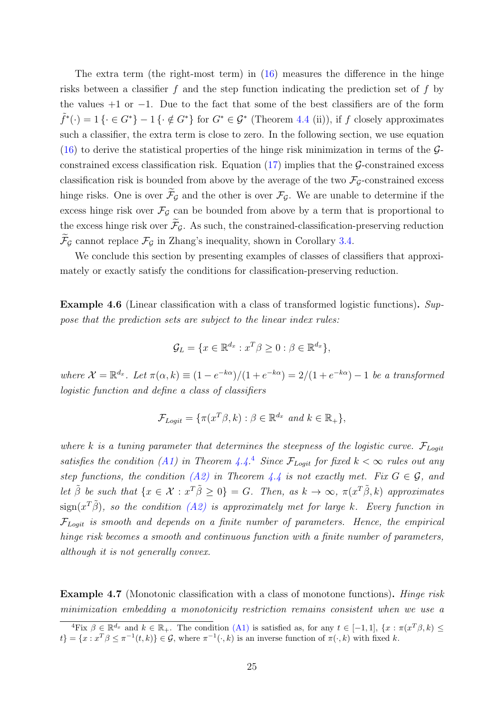The extra term (the right-most term) in [\(16\)](#page-23-1) measures the difference in the hinge risks between a classifier f and the step function indicating the prediction set of f by the values  $+1$  or  $-1$ . Due to the fact that some of the best classifiers are of the form  $\tilde{f}^*(\cdot) = 1\{\cdot \in G^*\} - 1\{\cdot \notin G^*\}\$ for  $G^* \in \mathcal{G}^*$  (Theorem [4.4](#page-22-2) (ii)), if f closely approximates such a classifier, the extra term is close to zero. In the following section, we use equation  $(16)$  to derive the statistical properties of the hinge risk minimization in terms of the  $\mathcal{G}$ constrained excess classification risk. Equation  $(17)$  implies that the G-constrained excess classification risk is bounded from above by the average of the two  $\mathcal{F}_G$ -constrained excess hinge risks. One is over  $\widetilde{\mathcal{F}}_G$  and the other is over  $\mathcal{F}_G$ . We are unable to determine if the excess hinge risk over  $\mathcal{F}_{\mathcal{G}}$  can be bounded from above by a term that is proportional to the excess hinge risk over  $\widetilde{\mathcal{F}}_G$ . As such, the constrained-classification-preserving reduction  $\mathcal{F}_{\mathcal{G}}$  cannot replace  $\mathcal{F}_{\mathcal{G}}$  in Zhang's inequality, shown in Corollary [3.4.](#page-18-0)

We conclude this section by presenting examples of classes of classifiers that approximately or exactly satisfy the conditions for classification-preserving reduction.

<span id="page-24-0"></span>Example 4.6 (Linear classification with a class of transformed logistic functions). Suppose that the prediction sets are subject to the linear index rules:

$$
\mathcal{G}_L = \{ x \in \mathbb{R}^{d_x} : x^T \beta \ge 0 : \beta \in \mathbb{R}^{d_x} \},
$$

where  $\mathcal{X} = \mathbb{R}^{d_x}$ . Let  $\pi(\alpha, k) \equiv (1 - e^{-k\alpha})/(1 + e^{-k\alpha}) = 2/(1 + e^{-k\alpha}) - 1$  be a transformed logistic function and define a class of classifiers

$$
\mathcal{F}_{Logit} = \{ \pi(x^T \beta, k) : \beta \in \mathbb{R}^{d_x} \text{ and } k \in \mathbb{R}_+ \},
$$

where k is a tuning parameter that determines the steepness of the logistic curve.  $\mathcal{F}_{Logit}$ satisfies the condition [\(A1\)](#page-0-0) in Theorem [4.4.](#page-22-2)<sup>[4](#page-24-2)</sup> Since  $\mathcal{F}_{Logit}$  for fixed  $k < \infty$  rules out any step functions, the condition [\(A2\)](#page-23-0) in Theorem [4.4](#page-22-2) is not exactly met. Fix  $G \in \mathcal{G}$ , and let  $\tilde{\beta}$  be such that  $\{x \in \mathcal{X} : x^T \tilde{\beta} \geq 0\} = G$ . Then, as  $k \to \infty$ ,  $\pi(x^T \tilde{\beta}, k)$  approximates  $\text{sign}(x^T\tilde{\beta})$ , so the condition [\(A2\)](#page-23-0) is approximately met for large k. Every function in  $\mathcal{F}_{Looli}$  is smooth and depends on a finite number of parameters. Hence, the empirical hinge risk becomes a smooth and continuous function with a finite number of parameters, although it is not generally convex.

<span id="page-24-1"></span>Example 4.7 (Monotonic classification with a class of monotone functions). Hinge risk minimization embedding a monotonicity restriction remains consistent when we use a

<span id="page-24-2"></span><sup>&</sup>lt;sup>4</sup>Fix  $\beta \in \mathbb{R}^{d_x}$  and  $k \in \mathbb{R}_+$ . The condition [\(A1\)](#page-22-1) is satisfied as, for any  $t \in [-1,1]$ ,  $\{x : \pi(x^T\beta, k) \leq$  $\{t\} = \{x : x^T \beta \leq \pi^{-1}(t, k)\} \in \mathcal{G}$ , where  $\pi^{-1}(\cdot, k)$  is an inverse function of  $\pi(\cdot, k)$  with fixed k.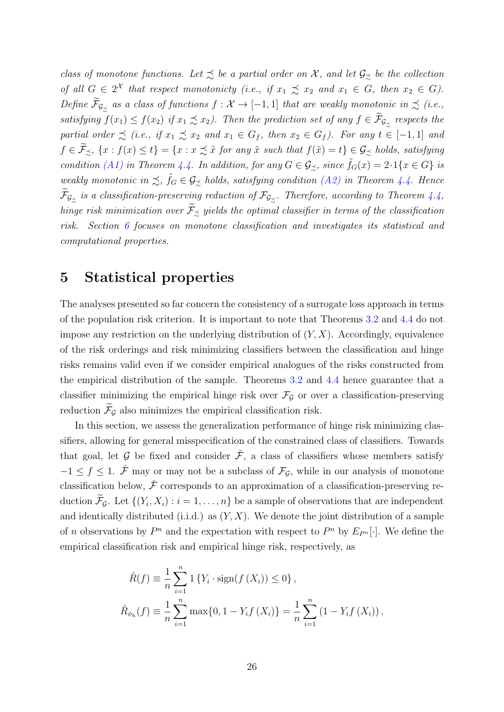class of monotone functions. Let  $\leq$  be a partial order on X, and let  $\mathcal{G}_{\leq}$  be the collection of all  $G \in 2^{\mathcal{X}}$  that respect monotonicty (i.e., if  $x_1 \precsim x_2$  and  $x_1 \in G$ , then  $x_2 \in G$ ). Define  $\widetilde{\mathcal{F}}_{\mathcal{G}_{\precsim}}$  as a class of functions  $f : \mathcal{X} \to [-1,1]$  that are weakly monotonic in  $\precsim$  (i.e., satisfying  $f(x_1) \le f(x_2)$  if  $x_1 \precsim x_2$ ). Then the prediction set of any  $f \in \widetilde{\mathcal{F}}_{\mathcal{G}_{\precsim}}$  respects the partial order  $\precsim$  (i.e., if  $x_1 \precsim x_2$  and  $x_1 \in G_f$ , then  $x_2 \in G_f$ ). For any  $t \in [-1,1]$  and  $f \in \widetilde{\mathcal{F}}_{\precsim}$ ,  $\{x : f(x) \leq t\} = \{x : x \precsim \widetilde{x} \text{ for any } \widetilde{x} \text{ such that } f(\widetilde{x}) = t\} \in \mathcal{G}_{\precsim}$  holds, satisfying condition [\(A1\)](#page-22-1) in Theorem [4.4.](#page-22-2) In addition, for any  $G \in \mathcal{G}_{\preceq}$ , since  $\tilde{f}_G(x) = 2 \cdot 1\{x \in G\}$  is weakly monotonic in  $\precsim$ ,  $\tilde{f}_G \in \mathcal{G}_{\precsim}$  holds, satisfying condition [\(A2\)](#page-23-0) in Theorem [4.4.](#page-22-2) Hence  $\mathcal{F}_{\mathcal{G}_{\precsim}}$  is a classification-preserving reduction of  $\mathcal{F}_{\mathcal{G}_{\precsim}}$ . Therefore, according to Theorem [4.4,](#page-22-2) hinge risk minimization over  $\widetilde{\mathcal{F}}_{\preceq}$  yields the optimal classifier in terms of the classification risk. Section [6](#page-28-0) focuses on monotone classification and investigates its statistical and computational properties.

## <span id="page-25-0"></span>5 Statistical properties

The analyses presented so far concern the consistency of a surrogate loss approach in terms of the population risk criterion. It is important to note that Theorems [3.2](#page-15-2) and [4.4](#page-22-2) do not impose any restriction on the underlying distribution of  $(Y, X)$ . Accordingly, equivalence of the risk orderings and risk minimizing classifiers between the classification and hinge risks remains valid even if we consider empirical analogues of the risks constructed from the empirical distribution of the sample. Theorems [3.2](#page-15-2) and [4.4](#page-22-2) hence guarantee that a classifier minimizing the empirical hinge risk over  $\mathcal{F}_{\mathcal{G}}$  or over a classification-preserving reduction  $\widetilde{\mathcal{F}}_{\mathcal{G}}$  also minimizes the empirical classification risk.

In this section, we assess the generalization performance of hinge risk minimizing classifiers, allowing for general misspecification of the constrained class of classifiers. Towards that goal, let G be fixed and consider  $\tilde{\mathcal{F}}$ , a class of classifiers whose members satisfy  $-1 \leq f \leq 1$ .  $\check{\mathcal{F}}$  may or may not be a subclass of  $\mathcal{F}_\mathcal{G}$ , while in our analysis of monotone classification below,  $\check{\mathcal{F}}$  corresponds to an approximation of a classification-preserving reduction  $\mathcal{F}_{\mathcal{G}}$ . Let  $\{(Y_i, X_i) : i = 1, \ldots, n\}$  be a sample of observations that are independent and identically distributed (i.i.d.) as  $(Y, X)$ . We denote the joint distribution of a sample of *n* observations by  $P^n$  and the expectation with respect to  $P^n$  by  $E_{P^n}[\cdot]$ . We define the empirical classification risk and empirical hinge risk, respectively, as

$$
\hat{R}(f) \equiv \frac{1}{n} \sum_{i=1}^{n} 1 \{ Y_i \cdot \text{sign}(f(X_i)) \le 0 \},
$$
\n
$$
\hat{R}_{\phi_h}(f) \equiv \frac{1}{n} \sum_{i=1}^{n} \max\{0, 1 - Y_i f(X_i)\} = \frac{1}{n} \sum_{i=1}^{n} (1 - Y_i f(X_i)),
$$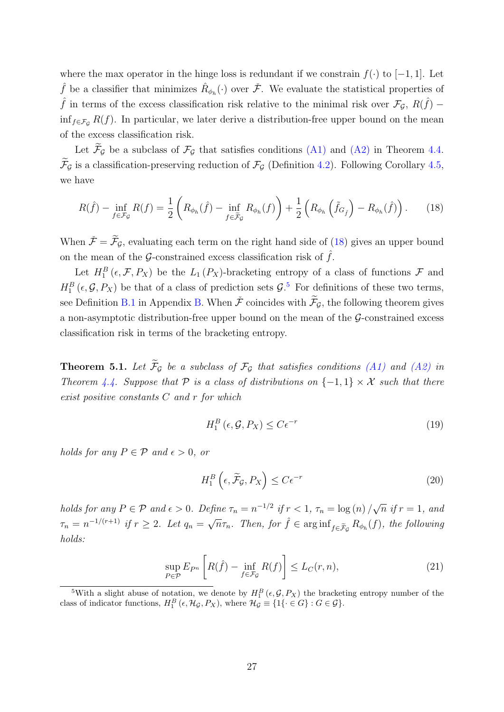where the max operator in the hinge loss is redundant if we constrain  $f(\cdot)$  to [−1, 1]. Let  $\hat{f}$  be a classifier that minimizes  $\hat{R}_{\phi_h}(\cdot)$  over  $\check{\mathcal{F}}$ . We evaluate the statistical properties of  $\hat{f}$  in terms of the excess classification risk relative to the minimal risk over  $\mathcal{F}_{\mathcal{G}}$ ,  $R(\hat{f})$  – inf<sub>f∈FG</sub> R(f). In particular, we later derive a distribution-free upper bound on the mean of the excess classification risk.

Let  $\widetilde{\mathcal{F}}_{\mathcal{G}}$  be a subclass of  $\mathcal{F}_{\mathcal{G}}$  that satisfies conditions [\(A1\)](#page-22-1) and [\(A2\)](#page-23-0) in Theorem [4.4.](#page-22-2)  $\widetilde{\mathcal{F}}_G$  is a classification-preserving reduction of  $\mathcal{F}_G$  (Definition [4.2\)](#page-21-1). Following Corollary [4.5,](#page-23-3) we have

$$
R(\hat{f}) - \inf_{f \in \mathcal{F}_{\mathcal{G}}} R(f) = \frac{1}{2} \left( R_{\phi_h}(\hat{f}) - \inf_{f \in \tilde{\mathcal{F}}_{\mathcal{G}}} R_{\phi_h}(f) \right) + \frac{1}{2} \left( R_{\phi_h} \left( \tilde{f}_{G_{\hat{f}}} \right) - R_{\phi_h}(\hat{f}) \right). \tag{18}
$$

When  $\check{\mathcal{F}} = \widetilde{\mathcal{F}}_{\mathcal{G}}$ , evaluating each term on the right hand side of [\(18\)](#page-26-0) gives an upper bound on the mean of the G-constrained excess classification risk of  $\hat{f}$ .

Let  $H_1^B(\epsilon, \mathcal{F}, P_X)$  be the  $L_1(P_X)$ -bracketing entropy of a class of functions  $\mathcal F$  and  $H_1^B(\epsilon, \mathcal{G}, P_X)$  be that of a class of prediction sets  $\mathcal{G}$ .<sup>[5](#page-26-1)</sup> For definitions of these two terms, see Definition [B.1](#page-48-0) in Appendix [B.](#page-48-1) When  $\check{\mathcal{F}}$  coincides with  $\widetilde{\mathcal{F}}_G$ , the following theorem gives a non-asymptotic distribution-free upper bound on the mean of the  $\mathcal{G}\text{-constrained excess}$ classification risk in terms of the bracketing entropy.

<span id="page-26-4"></span>**Theorem 5.1.** Let  $\widetilde{\mathcal{F}}_G$  be a subclass of  $\mathcal{F}_G$  that satisfies conditions [\(A1\)](#page-22-1) and [\(A2\)](#page-23-0) in Theorem [4.4.](#page-22-2) Suppose that P is a class of distributions on  $\{-1,1\} \times \mathcal{X}$  such that there exist positive constants C and r for which

<span id="page-26-2"></span><span id="page-26-0"></span>
$$
H_1^B\left(\epsilon, \mathcal{G}, P_X\right) \le C\epsilon^{-r} \tag{19}
$$

holds for any  $P \in \mathcal{P}$  and  $\epsilon > 0$ , or

<span id="page-26-3"></span>
$$
H_1^B\left(\epsilon, \widetilde{\mathcal{F}}_{\mathcal{G}}, P_X\right) \le C\epsilon^{-r} \tag{20}
$$

holds for any  $P \in \mathcal{P}$  and  $\epsilon > 0$ . Define  $\tau_n = n^{-1/2}$  if  $r < 1$ ,  $\tau_n = \log(n)$  / √  $\overline{n}$  if  $r=1$ , and  $\tau_n = n^{-1/(r+1)}$  if  $r \geq 2$ . Let  $q_n = \sqrt{n} \tau_n$ . Then, for  $\hat{f} \in \arginf_{f \in \tilde{\mathcal{F}}_{\mathcal{G}}} R_{\phi_h}(f)$ , the following holds:

$$
\sup_{P \in \mathcal{P}} E_{P^n} \left[ R(\hat{f}) - \inf_{f \in \mathcal{F}_{\mathcal{G}}} R(f) \right] \le L_C(r, n),\tag{21}
$$

<span id="page-26-1"></span><sup>&</sup>lt;sup>5</sup>With a slight abuse of notation, we denote by  $H_1^B(\epsilon, \mathcal{G}, P_X)$  the bracketing entropy number of the class of indicator functions,  $H_1^B(\epsilon, \mathcal{H}_{\mathcal{G}}, P_X)$ , where  $\mathcal{H}_{\mathcal{G}} \equiv \{1\{\cdot \in G\} : G \in \mathcal{G}\}.$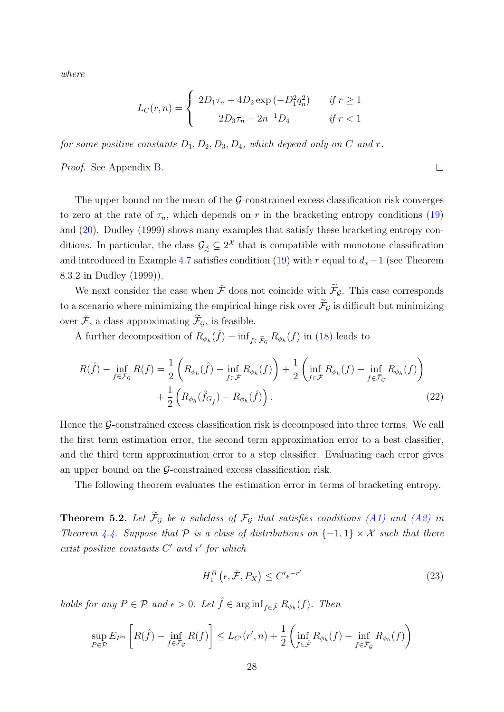where

$$
L_C(r,n) = \begin{cases} 2D_1\tau_n + 4D_2 \exp(-D_1^2 q_n^2) & \text{if } r \ge 1\\ 2D_3\tau_n + 2n^{-1}D_4 & \text{if } r < 1 \end{cases}
$$

for some positive constants  $D_1, D_2, D_3, D_4$ , which depend only on C and r.

Proof. See Appendix [B.](#page-48-1)

The upper bound on the mean of the  $\mathcal{G}$ -constrained excess classification risk converges to zero at the rate of  $\tau_n$ , which depends on r in the bracketing entropy conditions [\(19\)](#page-26-2) and [\(20\)](#page-26-3). [Dudley](#page-81-10) [\(1999\)](#page-81-10) shows many examples that satisfy these bracketing entropy conditions. In particular, the class  $\mathcal{G}_{\preceq} \subseteq 2^{\mathcal{X}}$  that is compatible with monotone classification and introduced in Example [4.7](#page-24-1) satisfies condition [\(19\)](#page-26-2) with r equal to  $d_x-1$  (see Theorem 8.3.2 in [Dudley](#page-81-10) [\(1999\)](#page-81-10)).

We next consider the case when  $\check{\mathcal{F}}$  does not coincide with  $\widetilde{\mathcal{F}}_G$ . This case corresponds to a scenario where minimizing the empirical hinge risk over  $\widetilde{\mathcal{F}}_{\mathcal{G}}$  is difficult but minimizing over  $\check{\mathcal{F}},$  a class approximating  $\widetilde{\mathcal{F}}_{\mathcal{G}},$  is feasible.

A further decomposition of  $R_{\phi_h}(\hat{f}) - \inf_{f \in \tilde{\mathcal{F}}_{\mathcal{G}}} R_{\phi_h}(f)$  in [\(18\)](#page-26-0) leads to

$$
R(\hat{f}) - \inf_{f \in \mathcal{F}_{\mathcal{G}}} R(f) = \frac{1}{2} \left( R_{\phi_h}(\hat{f}) - \inf_{f \in \tilde{\mathcal{F}}} R_{\phi_h}(f) \right) + \frac{1}{2} \left( \inf_{f \in \tilde{\mathcal{F}}} R_{\phi_h}(f) - \inf_{f \in \tilde{\mathcal{F}}_{\mathcal{G}}} R_{\phi_h}(f) \right) + \frac{1}{2} \left( R_{\phi_h}(\tilde{f}_{G_{\hat{f}}}) - R_{\phi_h}(\hat{f}) \right). \tag{22}
$$

Hence the  $\mathcal G$ -constrained excess classification risk is decomposed into three terms. We call the first term estimation error, the second term approximation error to a best classifier, and the third term approximation error to a step classifier. Evaluating each error gives an upper bound on the  $\mathcal{G}$ -constrained excess classification risk.

The following theorem evaluates the estimation error in terms of bracketing entropy.

<span id="page-27-0"></span>**Theorem 5.2.** Let  $\widetilde{\mathcal{F}}_G$  be a subclass of  $\mathcal{F}_G$  that satisfies conditions [\(A1\)](#page-22-1) and [\(A2\)](#page-23-0) in Theorem [4.4.](#page-22-2) Suppose that P is a class of distributions on  $\{-1,1\} \times \mathcal{X}$  such that there exist positive constants  $C'$  and  $r'$  for which

$$
H_1^B\left(\epsilon, \check{\mathcal{F}}, P_X\right) \le C' \epsilon^{-r'}\tag{23}
$$

holds for any  $P \in \mathcal{P}$  and  $\epsilon > 0$ . Let  $\hat{f} \in \arginf_{f \in \tilde{\mathcal{F}}} R_{\phi_h}(f)$ . Then

$$
\sup_{P \in \mathcal{P}} E_{P^n} \left[ R(\hat{f}) - \inf_{f \in \mathcal{F}_{\mathcal{G}}} R(f) \right] \le L_{C'}(r', n) + \frac{1}{2} \left( \inf_{f \in \tilde{\mathcal{F}}} R_{\phi_h}(f) - \inf_{f \in \tilde{\mathcal{F}}_{\mathcal{G}}} R_{\phi_h}(f) \right)
$$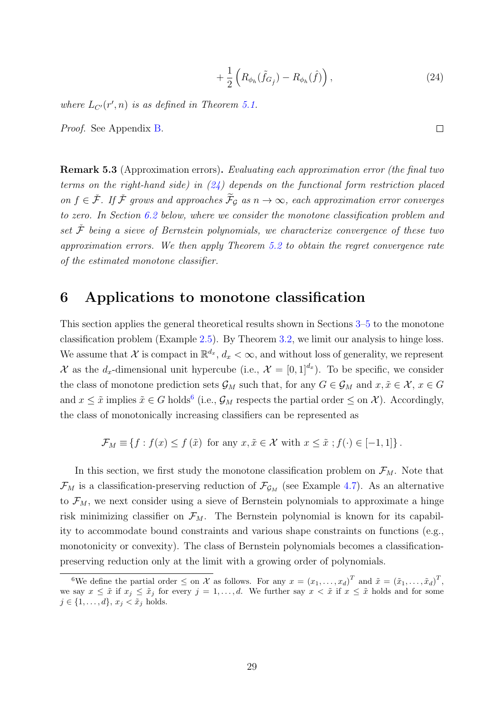<span id="page-28-1"></span>
$$
+\frac{1}{2}\left(R_{\phi_h}(\tilde{f}_{G_{\hat{f}}})-R_{\phi_h}(\hat{f})\right),\tag{24}
$$

where  $L_{C'}(r', n)$  is as defined in Theorem [5.1.](#page-26-4)

Proof. See Appendix [B.](#page-48-1)

Remark 5.3 (Approximation errors). Evaluating each approximation error (the final two terms on the right-hand side) in  $(24)$  depends on the functional form restriction placed on  $f \in \check{\mathcal{F}}$ . If  $\check{\mathcal{F}}$  grows and approaches  $\widetilde{\mathcal{F}}_G$  as  $n \to \infty$ , each approximation error converges to zero. In Section [6.2](#page-30-0) below, where we consider the monotone classification problem and set  $\mathcal F$  being a sieve of Bernstein polynomials, we characterize convergence of these two approximation errors. We then apply Theorem [5.2](#page-27-0) to obtain the regret convergence rate of the estimated monotone classifier.

## <span id="page-28-0"></span>6 Applications to monotone classification

This section applies the general theoretical results shown in Sections [3–](#page-13-0)[5](#page-25-0) to the monotone classification problem (Example [2.5\)](#page-11-2). By Theorem [3.2,](#page-15-2) we limit our analysis to hinge loss. We assume that X is compact in  $\mathbb{R}^{d_x}$ ,  $d_x < \infty$ , and without loss of generality, we represent X as the d<sub>x</sub>-dimensional unit hypercube (i.e.,  $\mathcal{X} = [0,1]^{d_x}$ ). To be specific, we consider the class of monotone prediction sets  $\mathcal{G}_M$  such that, for any  $G \in \mathcal{G}_M$  and  $x, \tilde{x} \in \mathcal{X}, x \in G$ and  $x \leq \tilde{x}$  implies  $\tilde{x} \in G$  holds<sup>[6](#page-28-2)</sup> (i.e.,  $\mathcal{G}_M$  respects the partial order  $\leq$  on  $\mathcal{X}$ ). Accordingly, the class of monotonically increasing classifiers can be represented as

$$
\mathcal{F}_M \equiv \{ f : f(x) \le f(\tilde{x}) \text{ for any } x, \tilde{x} \in \mathcal{X} \text{ with } x \le \tilde{x} \text{ ; } f(\cdot) \in [-1, 1] \}.
$$

In this section, we first study the monotone classification problem on  $\mathcal{F}_M$ . Note that  $\mathcal{F}_M$  is a classification-preserving reduction of  $\mathcal{F}_{\mathcal{G}_M}$  (see Example [4.7\)](#page-24-1). As an alternative to  $\mathcal{F}_M$ , we next consider using a sieve of Bernstein polynomials to approximate a hinge risk minimizing classifier on  $\mathcal{F}_M$ . The Bernstein polynomial is known for its capability to accommodate bound constraints and various shape constraints on functions (e.g., monotonicity or convexity). The class of Bernstein polynomials becomes a classificationpreserving reduction only at the limit with a growing order of polynomials.

<span id="page-28-2"></span><sup>&</sup>lt;sup>6</sup>We define the partial order  $\leq$  on  $\mathcal X$  as follows. For any  $x = (x_1, \ldots, x_d)^T$  and  $\tilde x = (\tilde x_1, \ldots, \tilde x_d)^T$ , we say  $x \leq \tilde{x}$  if  $x_j \leq \tilde{x}_j$  for every  $j = 1, \ldots, d$ . We further say  $x < \tilde{x}$  if  $x \leq \tilde{x}$  holds and for some  $j \in \{1, \ldots, d\}, x_j \leq \tilde{x}_j \text{ holds.}$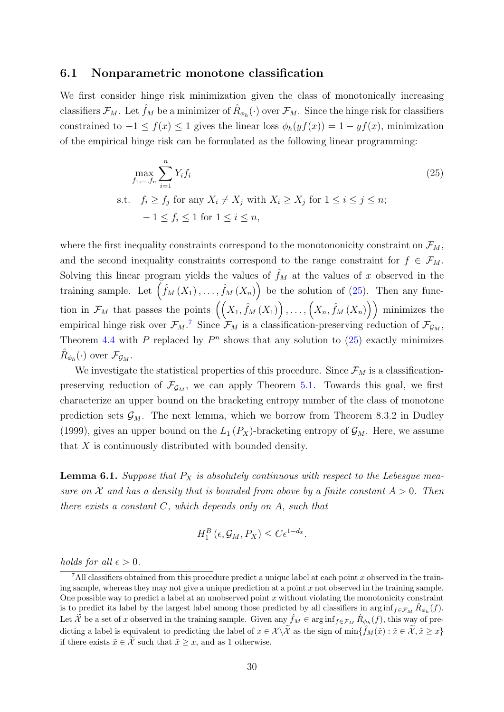#### 6.1 Nonparametric monotone classification

We first consider hinge risk minimization given the class of monotonically increasing classifiers  $\mathcal{F}_M$ . Let  $\hat{f}_M$  be a minimizer of  $\hat{R}_{\phi_h}(\cdot)$  over  $\mathcal{F}_M$ . Since the hinge risk for classifiers constrained to  $-1 \le f(x) \le 1$  gives the linear loss  $\phi_h(yf(x)) = 1 - yf(x)$ , minimization of the empirical hinge risk can be formulated as the following linear programming:

<span id="page-29-0"></span>
$$
\max_{f_1,\dots,f_n} \sum_{i=1}^n Y_i f_i
$$
\n
$$
\text{s.t.} \quad f_i \ge f_j \text{ for any } X_i \ne X_j \text{ with } X_i \ge X_j \text{ for } 1 \le i \le j \le n; \\
-1 \le f_i \le 1 \text{ for } 1 \le i \le n,
$$
\n
$$
(25)
$$

where the first inequality constraints correspond to the monotononicity constraint on  $\mathcal{F}_M$ , and the second inequality constraints correspond to the range constraint for  $f \in \mathcal{F}_M$ . Solving this linear program yields the values of  $\hat{f}_M$  at the values of x observed in the training sample. Let  $(\hat{f}_M(X_1), \ldots, \hat{f}_M(X_n))$  be the solution of [\(25\)](#page-29-0). Then any function in  $\mathcal{F}_M$  that passes the points  $((X_1, \hat{f}_M(X_1)), \ldots, (X_n, \hat{f}_M(X_n)))$  minimizes the empirical hinge risk over  $\mathcal{F}_M$ .<sup>[7](#page-29-1)</sup> Since  $\mathcal{F}_M$  is a classification-preserving reduction of  $\mathcal{F}_{\mathcal{G}_M}$ , Theorem [4.4](#page-22-2) with P replaced by  $P<sup>n</sup>$  shows that any solution to [\(25\)](#page-29-0) exactly minimizes  $\hat{R}_{\phi_h}(\cdot)$  over  $\mathcal{F}_{\mathcal{G}_M}$ .

We investigate the statistical properties of this procedure. Since  $\mathcal{F}_M$  is a classificationpreserving reduction of  $\mathcal{F}_{\mathcal{G}_M}$ , we can apply Theorem [5.1.](#page-26-4) Towards this goal, we first characterize an upper bound on the bracketing entropy number of the class of monotone prediction sets  $\mathcal{G}_M$ . The next lemma, which we borrow from Theorem 8.3.2 in [Dudley](#page-81-10) [\(1999\)](#page-81-10), gives an upper bound on the  $L_1(P_X)$ -bracketing entropy of  $\mathcal{G}_M$ . Here, we assume that X is continuously distributed with bounded density.

<span id="page-29-2"></span>**Lemma 6.1.** Suppose that  $P_X$  is absolutely continuous with respect to the Lebesgue measure on X and has a density that is bounded from above by a finite constant  $A > 0$ . Then there exists a constant  $C$ , which depends only on  $A$ , such that

$$
H_1^B\left(\epsilon, \mathcal{G}_M, P_X\right) \leq C\epsilon^{1-d_x}.
$$

holds for all  $\epsilon > 0$ .

<span id="page-29-1"></span><sup>&</sup>lt;sup>7</sup>All classifiers obtained from this procedure predict a unique label at each point x observed in the training sample, whereas they may not give a unique prediction at a point  $x$  not observed in the training sample. One possible way to predict a label at an unobserved point  $x$  without violating the monotonicity constraint is to predict its label by the largest label among those predicted by all classifiers in  $\arginf_{f \in \mathcal{F}_M} \hat{R}_{\phi_h}(f)$ . Let  $\widetilde{\mathcal{X}}$  be a set of x observed in the training sample. Given any  $\hat{f}_M \in \arginf_{f \in \mathcal{F}_M} \hat{R}_{\phi_h}(f)$ , this way of predicting a label is equivalent to predicting the label of  $x \in \mathcal{X} \setminus \widetilde{\mathcal{X}}$  as the sign of  $\min\{\hat{f}_M(\tilde{x}) : \tilde{x} \in \widetilde{\mathcal{X}}, \tilde{x} \geq x\}$ if there exists  $\tilde{x} \in \tilde{\mathcal{X}}$  such that  $\tilde{x} \geq x$ , and as 1 otherwise.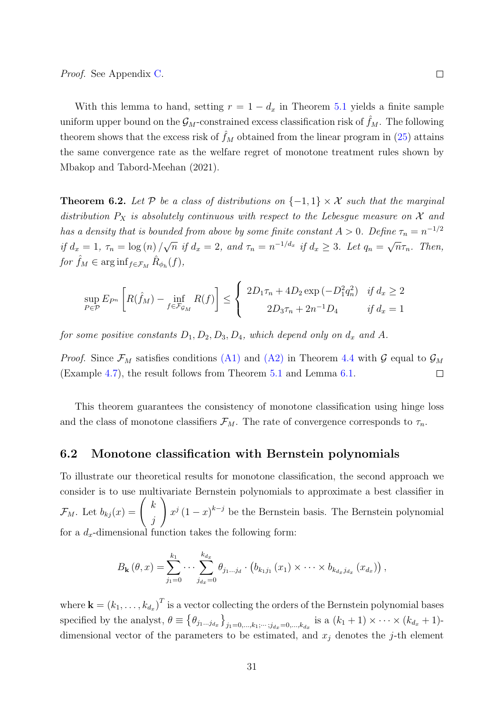With this lemma to hand, setting  $r = 1 - d_x$  in Theorem [5.1](#page-26-4) yields a finite sample uniform upper bound on the  $\mathcal{G}_M$ -constrained excess classification risk of  $\hat{f}_M$ . The following theorem shows that the excess risk of  $\hat{f}_M$  obtained from the linear program in [\(25\)](#page-29-0) attains the same convergence rate as the welfare regret of monotone treatment rules shown by [Mbakop and Tabord-Meehan](#page-83-2) [\(2021\)](#page-83-2).

<span id="page-30-1"></span>**Theorem 6.2.** Let P be a class of distributions on  $\{-1,1\} \times \mathcal{X}$  such that the marginal distribution  $P_X$  is absolutely continuous with respect to the Lebesgue measure on  $X$  and has a density that is bounded from above by some finite constant  $A > 0$ . Define  $\tau_n = n^{-1/2}$ if  $d_x = 1, \tau_n = \log(n)$ √  $\overline{n}$  if  $d_x = 2$ , and  $\tau_n = n^{-1/d_x}$  if  $d_x \geq 3$ . Let  $q_n =$ √  $\overline{n}\tau_n$ . Then, for  $\hat{f}_M \in \arginf_{f \in \mathcal{F}_M} \hat{R}_{\phi_h}(f)$ ,

$$
\sup_{P \in \mathcal{P}} E_{P^n} \left[ R(\hat{f}_M) - \inf_{f \in \mathcal{F}_{\mathcal{G}_M}} R(f) \right] \le \begin{cases} 2D_1 \tau_n + 4D_2 \exp(-D_1^2 q_n^2) & \text{if } d_x \ge 2 \\ 2D_3 \tau_n + 2n^{-1} D_4 & \text{if } d_x = 1 \end{cases}
$$

for some positive constants  $D_1, D_2, D_3, D_4$ , which depend only on  $d_x$  and A.

*Proof.* Since  $\mathcal{F}_M$  satisfies conditions [\(A1\)](#page-22-1) and [\(A2\)](#page-23-0) in Theorem [4.4](#page-22-2) with G equal to  $\mathcal{G}_M$ (Example [4.7\)](#page-24-1), the result follows from Theorem [5.1](#page-26-4) and Lemma [6.1.](#page-29-2)  $\Box$ 

This theorem guarantees the consistency of monotone classification using hinge loss and the class of monotone classifiers  $\mathcal{F}_M$ . The rate of convergence corresponds to  $\tau_n$ .

#### <span id="page-30-0"></span>6.2 Monotone classification with Bernstein polynomials

To illustrate our theoretical results for monotone classification, the second approach we consider is to use multivariate Bernstein polynomials to approximate a best classifier in  $\mathcal{F}_M$ . Let  $b_{kj}(x) = \begin{pmatrix} k \\ k \end{pmatrix}$ j  $\setminus$  $x^{j} (1-x)^{k-j}$  be the Bernstein basis. The Bernstein polynomial for a  $d_x$ -dimensional function takes the following form:

$$
B_{\mathbf{k}}(\theta, x) = \sum_{j_1=0}^{k_1} \cdots \sum_{j_{d_x}=0}^{k_{d_x}} \theta_{j_1...j_d} \cdot (b_{k_1j_1}(x_1) \times \cdots \times b_{k_{d_x}j_{d_x}}(x_{d_x})),
$$

where  $\mathbf{k} = (k_1, \ldots, k_{d_x})^T$  is a vector collecting the orders of the Bernstein polynomial bases specified by the analyst,  $\theta \equiv \left\{\theta_{j_1...j_{d_x}}\right\}_{j_1=0,\ldots,k_1;\cdots;j_{d_x}=0,\ldots,k_{d_x}}$  is a  $(k_1+1) \times \cdots \times (k_{d_x}+1)$ dimensional vector of the parameters to be estimated, and  $x_i$  denotes the j-th element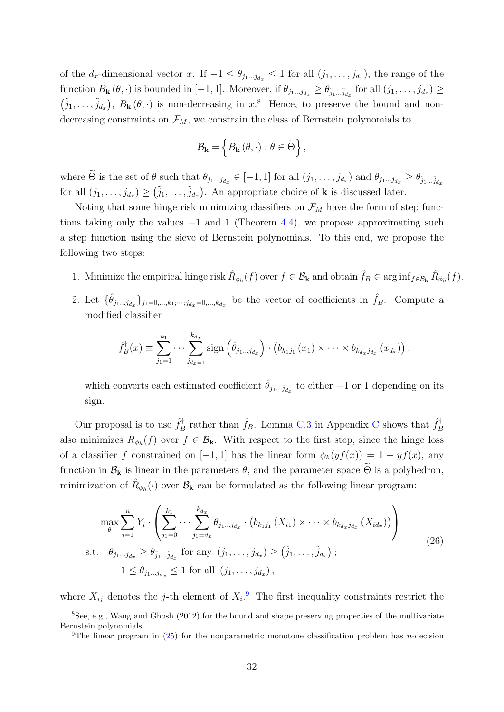of the d<sub>x</sub>-dimensional vector x. If  $-1 \leq \theta_{j_1...j_{d_x}} \leq 1$  for all  $(j_1,...,j_{d_x})$ , the range of the function  $B_{\mathbf{k}}(\theta,\cdot)$  is bounded in [-1, 1]. Moreover, if  $\theta_{j_1...j_{d_x}} \geq \theta_{\tilde{j}_1...\tilde{j}_{d_x}}$  for all  $(j_1,\ldots,j_{d_x}) \geq$  $(\tilde{j}_1,\ldots,\tilde{j}_{d_x}), B_{\mathbf{k}}(\theta,\cdot)$  is non-decreasing in  $x$ <sup>[8](#page-31-0)</sup>. Hence, to preserve the bound and nondecreasing constraints on  $\mathcal{F}_M$ , we constrain the class of Bernstein polynomials to

$$
\mathcal{B}_{\mathbf{k}} = \left\{ B_{\mathbf{k}}\left(\theta, \cdot\right) : \theta \in \widetilde{\Theta} \right\},\
$$

where  $\Theta$  is the set of  $\theta$  such that  $\theta_{j_1...j_{d_x}} \in [-1,1]$  for all  $(j_1,\ldots,j_{d_x})$  and  $\theta_{j_1...j_{d_x}} \geq \theta_{\tilde{j}_1...\tilde{j}_{d_x}}$ for all  $(j_1,\ldots,j_{d_x}) \geq (\tilde{j}_1,\ldots,\tilde{j}_{d_x})$ . An appropriate choice of **k** is discussed later.

Noting that some hinge risk minimizing classifiers on  $\mathcal{F}_M$  have the form of step functions taking only the values  $-1$  and 1 (Theorem [4.4\)](#page-22-2), we propose approximating such a step function using the sieve of Bernstein polynomials. To this end, we propose the following two steps:

- 1. Minimize the empirical hinge risk  $\hat{R}_{\phi_h}(f)$  over  $f \in \mathcal{B}_{\mathbf{k}}$  and obtain  $\hat{f}_B \in \arg\inf_{f \in \mathcal{B}_{\mathbf{k}}} \hat{R}_{\phi_h}(f)$ .
- 2. Let  $\{\hat{\theta}_{j_1...j_{d_x}}\}_{j_1=0,\dots,k_1;\dots;j_{d_x}=0,\dots,k_{d_x}}$  be the vector of coefficients in  $\hat{f}_B$ . Compute a modified classifier

$$
\hat{f}_B^{\dagger}(x) \equiv \sum_{j_1=1}^{k_1} \cdots \sum_{j_{d_x=1}}^{k_{d_x}} sign\left(\hat{\theta}_{j_1...j_{d_x}}\right) \cdot \left(b_{k_1j_1}(x_1) \times \cdots \times b_{k_{d_x}j_{d_x}}(x_{d_x})\right),
$$

which converts each estimated coefficient  $\hat{\theta}_{j_1...j_{d_x}}$  to either  $-1$  or 1 depending on its sign.

Our proposal is to use  $\hat{f}^{\dagger}_{F}$ <sup> $\hat{F}_B^{\dagger}$ </sup> rather than  $\hat{f}_B$ . Lemma [C.3](#page-59-0) in Appendix [C](#page-57-0) shows that  $\hat{f}_B^{\dagger}$ B also minimizes  $R_{\phi_h}(f)$  over  $f \in \mathcal{B}_{k}$ . With respect to the first step, since the hinge loss of a classifier f constrained on [−1, 1] has the linear form  $\phi_h(yf(x)) = 1 - yf(x)$ , any function in  $\mathcal{B}_{k}$  is linear in the parameters  $\theta$ , and the parameter space  $\Theta$  is a polyhedron, minimization of  $\hat{R}_{\phi_h}(\cdot)$  over  $\mathcal{B}_{\mathbf{k}}$  can be formulated as the following linear program:

<span id="page-31-2"></span>
$$
\max_{\theta} \sum_{i=1}^{n} Y_i \cdot \left( \sum_{j_1=0}^{k_1} \cdots \sum_{j_1=d_x}^{k_{d_x}} \theta_{j_1...j_{d_x}} \cdot (b_{k_1j_1}(X_{i1}) \times \cdots \times b_{k_{d_x}j_{d_x}} (X_{id_x})) \right)
$$
  
s.t.  $\theta_{j_1...j_{d_x}} \ge \theta_{\tilde{j}_1...\tilde{j}_{d_x}}$  for any  $(j_1, \ldots, j_{d_x}) \ge (\tilde{j}_1, \ldots, \tilde{j}_{d_x})$ ;  
 $-1 \le \theta_{j_1...j_{d_x}} \le 1$  for all  $(j_1, \ldots, j_{d_x})$ , (26)

where  $X_{ij}$  denotes the j-th element of  $X_i$ . The first inequality constraints restrict the

<span id="page-31-0"></span><sup>&</sup>lt;sup>8</sup>See, e.g., [Wang and Ghosh](#page-84-10) [\(2012\)](#page-84-10) for the bound and shape preserving properties of the multivariate Bernstein polynomials.

<span id="page-31-1"></span><sup>&</sup>lt;sup>9</sup>The linear program in  $(25)$  for the nonparametric monotone classification problem has *n*-decision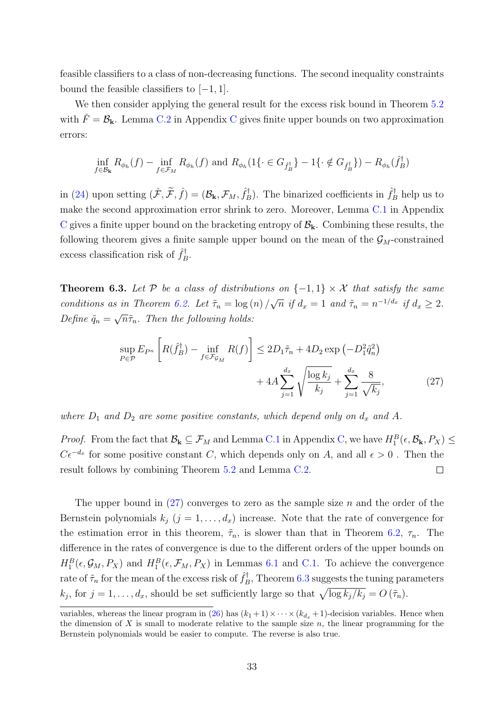feasible classifiers to a class of non-decreasing functions. The second inequality constraints bound the feasible classifiers to  $[-1, 1]$ .

We then consider applying the general result for the excess risk bound in Theorem [5.2](#page-27-0) with  $\ddot{F} = \mathcal{B}_{k}$ . Lemma [C.2](#page-58-0) in Appendix [C](#page-57-0) gives finite upper bounds on two approximation errors:

$$
\inf_{f \in \mathcal{B}_{\mathbf{k}}} R_{\phi_h}(f) - \inf_{f \in \mathcal{F}_M} R_{\phi_h}(f) \text{ and } R_{\phi_h}(1\{\cdot \in G_{\hat{f}_B}^{\dagger}\} - 1\{\cdot \notin G_{\hat{f}_B}^{\dagger}\}) - R_{\phi_h}(\hat{f}_B^{\dagger})
$$

in [\(24\)](#page-28-1) upon setting  $(\tilde{\mathcal{F}}, \tilde{\mathcal{F}}, \hat{f}) = (\mathcal{B}_{\mathbf{k}}, \mathcal{F}_M, \hat{f}_E^{\dagger})$  $\hat{f}_{B}^{\dagger}$ ). The binarized coefficients in  $\hat{f}_{B}^{\dagger}$  help us to make the second approximation error shrink to zero. Moreover, Lemma [C.1](#page-58-1) in Appendix [C](#page-57-0) gives a finite upper bound on the bracketing entropy of  $B_k$ . Combining these results, the following theorem gives a finite sample upper bound on the mean of the  $\mathcal{G}_M$ -constrained excess classification risk of  $\hat{f}_F^{\dagger}$  $B^{\cdot}$ 

<span id="page-32-1"></span>**Theorem 6.3.** Let P be a class of distributions on  $\{-1,1\} \times \mathcal{X}$  that satisfy the same conditions as in Theorem [6.2.](#page-30-1) Let  $\tilde{\tau}_n = \log(n)$ √  $\overline{n}$  if  $d_x = 1$  and  $\tilde{\tau}_n = n^{-1/d_x}$  if  $d_x \geq 2$ . Define  $\tilde{q}_n =$ √  $\overline{n}\tilde{\tau}_n$ . Then the following holds:

<span id="page-32-0"></span>
$$
\sup_{P \in \mathcal{P}} E_{P^n} \left[ R(\hat{f}_B^{\dagger}) - \inf_{f \in \mathcal{F}_{\mathcal{G}_M}} R(f) \right] \le 2D_1 \tilde{\tau}_n + 4D_2 \exp\left( -D_1^2 \tilde{q}_n^2 \right) + 4A \sum_{j=1}^{d_x} \sqrt{\frac{\log k_j}{k_j}} + \sum_{j=1}^{d_x} \frac{8}{\sqrt{k_j}},\tag{27}
$$

where  $D_1$  and  $D_2$  are some positive constants, which depend only on  $d_x$  and A.

*Proof.* From the fact that  $\mathcal{B}_{k} \subseteq \mathcal{F}_{M}$  and Lemma [C.1](#page-58-1) in Appendix [C,](#page-57-0) we have  $H_1^B(\epsilon, \mathcal{B}_{k}, P_X) \le$  $C\epsilon^{-d_x}$  for some positive constant C, which depends only on A, and all  $\epsilon > 0$ . Then the result follows by combining Theorem [5.2](#page-27-0) and Lemma [C.2.](#page-58-0)  $\Box$ 

The upper bound in  $(27)$  converges to zero as the sample size n and the order of the Bernstein polynomials  $k_j$   $(j = 1, \ldots, d_x)$  increase. Note that the rate of convergence for the estimation error in this theorem,  $\tilde{\tau}_n$ , is slower than that in Theorem [6.2,](#page-30-1)  $\tau_n$ . The difference in the rates of convergence is due to the different orders of the upper bounds on  $H_1^B(\epsilon, \mathcal{G}_M, P_X)$  and  $H_1^B(\epsilon, \mathcal{F}_M, P_X)$  in Lemmas [6.1](#page-29-2) and [C.1.](#page-58-1) To achieve the convergence rate of  $\tilde{\tau}_n$  for the mean of the excess risk of  $\hat{f}_E^{\dagger}$  $B_B^{\dagger}$ , Theorem [6.3](#page-32-1) suggests the tuning parameters  $k_j$ , for  $j = 1, \ldots, d_x$ , should be set sufficiently large so that  $\sqrt{\log k_j / k_j} = O(\tilde{\tau}_n)$ .

variables, whereas the linear program in [\(26\)](#page-31-2) has  $(k_1 + 1) \times \cdots \times (k_{d_x} + 1)$ -decision variables. Hence when the dimension of X is small to moderate relative to the sample size  $n$ , the linear programming for the Bernstein polynomials would be easier to compute. The reverse is also true.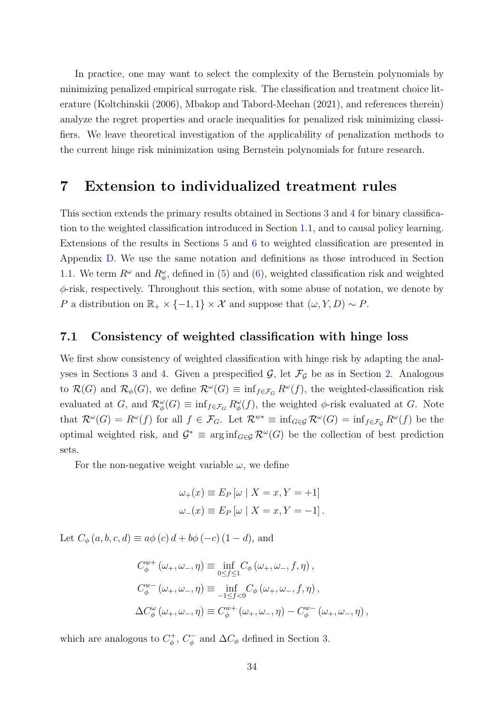In practice, one may want to select the complexity of the Bernstein polynomials by minimizing penalized empirical surrogate risk. The classification and treatment choice literature [\(Koltchinskii](#page-82-13) [\(2006\)](#page-82-13), [Mbakop and Tabord-Meehan](#page-83-2) [\(2021\)](#page-83-2), and references therein) analyze the regret properties and oracle inequalities for penalized risk minimizing classifiers. We leave theoretical investigation of the applicability of penalization methods to the current hinge risk minimization using Bernstein polynomials for future research.

## <span id="page-33-0"></span>7 Extension to individualized treatment rules

This section extends the primary results obtained in Sections [3](#page-13-0) and [4](#page-20-0) for binary classification to the weighted classification introduced in Section [1.1,](#page-4-1) and to causal policy learning. Extensions of the results in Sections [5](#page-25-0) and [6](#page-28-0) to weighted classification are presented in Appendix [D.](#page-65-0) We use the same notation and definitions as those introduced in Section [1.1.](#page-4-1) We term  $R^{\omega}$  and  $R^{\omega}_{\phi}$ , defined in [\(5\)](#page-3-1) and [\(6\)](#page-4-0), weighted classification risk and weighted  $\phi$ -risk, respectively. Throughout this section, with some abuse of notation, we denote by P a distribution on  $\mathbb{R}_+ \times \{-1,1\} \times \mathcal{X}$  and suppose that  $(\omega, Y, D) \sim P$ .

### 7.1 Consistency of weighted classification with hinge loss

We first show consistency of weighted classification with hinge risk by adapting the anal-yses in Sections [3](#page-13-0) and [4.](#page-20-0) Given a prespecified  $\mathcal{G}$ , let  $\mathcal{F}_{\mathcal{G}}$  be as in Section [2.](#page-7-0) Analogous to  $\mathcal{R}(G)$  and  $\mathcal{R}_{\phi}(G)$ , we define  $\mathcal{R}^{\omega}(G) \equiv \inf_{f \in \mathcal{F}_G} R^{\omega}(f)$ , the weighted-classification risk evaluated at G, and  $\mathcal{R}_{\phi}^{\omega}(G) \equiv \inf_{f \in \mathcal{F}_G} R_{\phi}^{\omega}(f)$ , the weighted  $\phi$ -risk evaluated at G. Note that  $\mathcal{R}^{\omega}(G) = R^{\omega}(f)$  for all  $f \in \mathcal{F}_G$ . Let  $\mathcal{R}^{w*} \equiv \inf_{G \in \mathcal{G}} \mathcal{R}^{\omega}(G) = \inf_{f \in \mathcal{F}_G} R^{\omega}(f)$  be the optimal weighted risk, and  $\mathcal{G}^* \equiv \arg \inf_{G \in \mathcal{G}} \mathcal{R}^{\omega}(G)$  be the collection of best prediction sets.

For the non-negative weight variable  $\omega$ , we define

$$
\omega_{+}(x) \equiv E_{P} \left[ \omega \mid X = x, Y = +1 \right]
$$

$$
\omega_{-}(x) \equiv E_{P} \left[ \omega \mid X = x, Y = -1 \right].
$$

Let  $C_{\phi}(a, b, c, d) \equiv a\phi(c) d + b\phi(-c) (1 - d)$ , and

$$
C_{\phi}^{w+}(\omega_{+}, \omega_{-}, \eta) \equiv \inf_{0 \le f \le 1} C_{\phi}(\omega_{+}, \omega_{-}, f, \eta),
$$
  
\n
$$
C_{\phi}^{w-}(\omega_{+}, \omega_{-}, \eta) \equiv \inf_{-1 \le f < 0} C_{\phi}(\omega_{+}, \omega_{-}, f, \eta),
$$
  
\n
$$
\Delta C_{\phi}^{\omega}(\omega_{+}, \omega_{-}, \eta) \equiv C_{\phi}^{w+}(\omega_{+}, \omega_{-}, \eta) - C_{\phi}^{w-}(\omega_{+}, \omega_{-}, \eta),
$$

which are analogous to  $C^+_{\phi}$  $\sigma_{\phi}^{+}$ ,  $C_{\phi}^{-}$  $\int_{\phi}^{\cdot}$  and  $\Delta C_{\phi}$  defined in Section [3.](#page-13-0)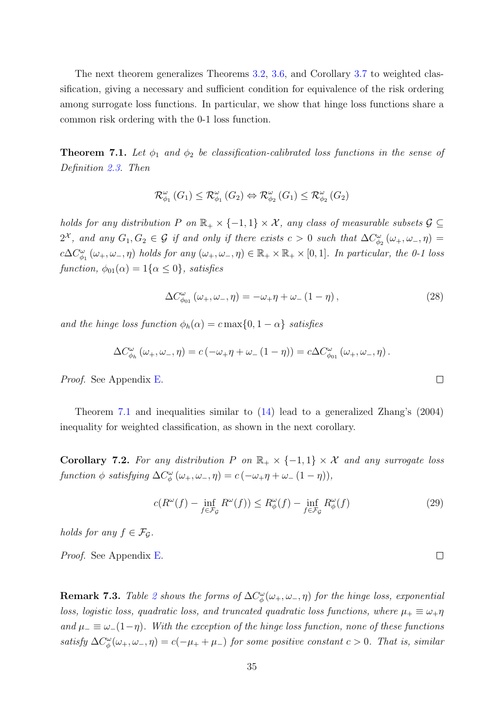The next theorem generalizes Theorems [3.2,](#page-15-2) [3.6,](#page-19-0) and Corollary [3.7](#page-19-1) to weighted classification, giving a necessary and sufficient condition for equivalence of the risk ordering among surrogate loss functions. In particular, we show that hinge loss functions share a common risk ordering with the 0-1 loss function.

<span id="page-34-0"></span>**Theorem 7.1.** Let  $\phi_1$  and  $\phi_2$  be classification-calibrated loss functions in the sense of Definition [2.3.](#page-9-2) Then

$$
\mathcal{R}_{\phi_1}^{\omega}(G_1) \leq \mathcal{R}_{\phi_1}^{\omega}(G_2) \Leftrightarrow \mathcal{R}_{\phi_2}^{\omega}(G_1) \leq \mathcal{R}_{\phi_2}^{\omega}(G_2)
$$

holds for any distribution P on  $\mathbb{R}_+ \times \{-1,1\} \times \mathcal{X}$ , any class of measurable subsets  $\mathcal{G} \subseteq$  $2^{\mathcal{X}}$ , and any  $G_1, G_2 \in \mathcal{G}$  if and only if there exists  $c > 0$  such that  $\Delta C_{\phi_2}^{\omega}(\omega_+, \omega_-, \eta) =$  $c\Delta C_{\phi_1}^{\omega}(\omega_+,\omega_-, \eta)$  holds for any  $(\omega_+,\omega_-, \eta) \in \mathbb{R}_+ \times \mathbb{R}_+ \times [0,1]$ . In particular, the 0-1 loss function,  $\phi_{01}(\alpha) = 1\{\alpha \leq 0\}$ , satisfies

$$
\Delta C_{\phi_{01}}^{\omega} \left( \omega_+, \omega_-, \eta \right) = -\omega_+ \eta + \omega_- \left( 1 - \eta \right), \tag{28}
$$

and the hinge loss function  $\phi_h(\alpha) = c \max\{0, 1 - \alpha\}$  satisfies

$$
\Delta C_{\phi_h}^{\omega}(\omega_+,\omega_-, \eta) = c(-\omega_+ \eta + \omega_-(1-\eta)) = c \Delta C_{\phi_{01}}^{\omega}(\omega_+,\omega_-, \eta).
$$

Proof. See Appendix [E.](#page-68-0)

Theorem [7.1](#page-34-0) and inequalities similar to [\(14\)](#page-16-2) lead to a generalized [Zhang'](#page-84-0)s [\(2004\)](#page-84-0) inequality for weighted classification, as shown in the next corollary.

Corollary 7.2. For any distribution P on  $\mathbb{R}_+ \times \{-1,1\} \times \mathcal{X}$  and any surrogate loss function  $\phi$  satisfying  $\Delta C^{\omega}_{\phi}(\omega_+,\omega_-, \eta) = c(-\omega_+\eta + \omega_-(1-\eta)),$ 

$$
c(R^{\omega}(f) - \inf_{f \in \mathcal{F}_{\mathcal{G}}} R^{\omega}(f)) \le R^{\omega}_{\phi}(f) - \inf_{f \in \mathcal{F}_{\mathcal{G}}} R^{\omega}_{\phi}(f) \tag{29}
$$

holds for any  $f \in \mathcal{F}_G$ .

Proof. See Appendix [E.](#page-68-0)

**Remark 7.3.** Table [2](#page-35-0) shows the forms of  $\Delta C^{\omega}_{\phi}(\omega_+, \omega_-, \eta)$  for the hinge loss, exponential loss, logistic loss, quadratic loss, and truncated quadratic loss functions, where  $\mu_+ \equiv \omega_+ \eta$ and  $\mu_-\equiv\omega_-(1-\eta)$ . With the exception of the hinge loss function, none of these functions satisfy  $\Delta C^{\omega}_{\phi}(\omega_+,\omega_-, \eta) = c(-\mu_+ + \mu_-)$  for some positive constant  $c > 0$ . That is, similar

 $\Box$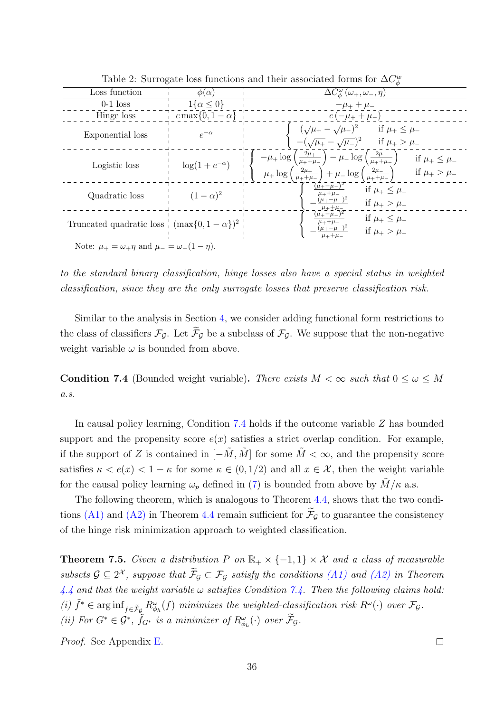| Lable 2. Duringate loss functions and their associated forms for $\Delta C_{\phi}$ |                         |                                                                                                                                                                                                                                                                          |  |
|------------------------------------------------------------------------------------|-------------------------|--------------------------------------------------------------------------------------------------------------------------------------------------------------------------------------------------------------------------------------------------------------------------|--|
| Loss function                                                                      | $\phi(\alpha)$          | $\Delta C^{\omega}_{\phi}\left(\omega_{+},\omega_{-},\eta\right)$                                                                                                                                                                                                        |  |
| $0-1$ loss                                                                         | $1\{\alpha \leq 0\}$    | $-\mu_{+} + \mu_{-}$                                                                                                                                                                                                                                                     |  |
| Hinge loss                                                                         | $c \max\{0, 1-\alpha\}$ | $c(-\mu_+ + \mu_-)$                                                                                                                                                                                                                                                      |  |
| Exponential loss                                                                   | $e^{-\alpha}$           | $(\sqrt{\mu_+} - \sqrt{\mu_-})^2$ if $\mu_+ \leq \mu_-$<br>$-(\sqrt{\mu_+} - \sqrt{\mu_-})^2$ if $\mu_+ > \mu_-$                                                                                                                                                         |  |
| Logistic loss                                                                      | $\log(1+e^{-\alpha})$   | $-\mu_+ \log \left(\frac{2\mu_+}{\mu_+ + \mu_-}\right) - \mu_- \log \left(\frac{2\mu_-}{\mu_+ + \mu_-}\right)$ if $\mu_+ \leq \mu_-$<br>$\mu_+ \log \left(\frac{2\mu_+}{\mu_+ + \mu_-}\right) + \mu_- \log \left(\frac{2\mu_-}{\mu_+ + \mu_-}\right)$ if $\mu_+ > \mu_-$ |  |
| Quadratic loss                                                                     | $(1-\alpha)^2$          | $\frac{(\mu_+ - \mu_-)^2}{\mu_+ + \mu_-}$<br>if $\mu_+ \leq \mu_-$<br>$(\mu_{+} - \mu_{-})^2$<br>if $\mu_{+} > \mu_{-}$<br>$\mu_{+}+\mu_{-}$                                                                                                                             |  |
| Truncated quadratic loss $\frac{1}{2}$ (max $\{0, 1 - \alpha\}$ ) <sup>2</sup>     |                         | $(\mu_{+} - \mu_{-})^2$<br>if $\mu_+ \leq \mu_-$<br>$\mu_{+}+\mu_{-}$<br>$(\mu_{+} - \mu_{-})^2$<br>if $\mu_+ > \mu_-$<br>$\mu_{+}+\mu_{-}$                                                                                                                              |  |
| $N_{\text{other}}$ $\ldots$ $\ldots$ regard $\ldots$ $\ldots$ (1 $\ldots$ )        |                         |                                                                                                                                                                                                                                                                          |  |

<span id="page-35-0"></span>Table 2: Surrogate loss functions and their associated forms for  $\Delta C_{\phi}^{w}$ 

Note:  $\mu_+ = \omega_+ \eta$  and  $\mu_- = \omega_-(1 - \eta)$ .

to the standard binary classification, hinge losses also have a special status in weighted classification, since they are the only surrogate losses that preserve classification risk.

Similar to the analysis in Section [4,](#page-20-0) we consider adding functional form restrictions to the class of classifiers  $\mathcal{F}_G$ . Let  $\widetilde{\mathcal{F}}_G$  be a subclass of  $\mathcal{F}_G$ . We suppose that the non-negative weight variable  $\omega$  is bounded from above.

<span id="page-35-1"></span>**Condition 7.4** (Bounded weight variable). There exists  $M < \infty$  such that  $0 \leq \omega \leq M$  $a.s.$ 

In causal policy learning, Condition [7.4](#page-35-1) holds if the outcome variable Z has bounded support and the propensity score  $e(x)$  satisfies a strict overlap condition. For example, if the support of Z is contained in  $[-\tilde{M}, \tilde{M}]$  for some  $\tilde{M} < \infty$ , and the propensity score satisfies  $\kappa < e(x) < 1 - \kappa$  for some  $\kappa \in (0, 1/2)$  and all  $x \in \mathcal{X}$ , then the weight variable for the causal policy learning  $\omega_p$  defined in [\(7\)](#page-5-1) is bounded from above by  $M/\kappa$  a.s.

The following theorem, which is analogous to Theorem [4.4,](#page-22-2) shows that the two condi-tions [\(A1\)](#page-22-1) and [\(A2\)](#page-23-0) in Theorem [4.4](#page-22-2) remain sufficient for  $\mathcal{F}_G$  to guarantee the consistency of the hinge risk minimization approach to weighted classification.

**Theorem 7.5.** Given a distribution P on  $\mathbb{R}_+ \times \{-1,1\} \times \mathcal{X}$  and a class of measurable subsets  $\mathcal{G} \subseteq 2^{\mathcal{X}}$ , suppose that  $\mathcal{F}_{\mathcal{G}} \subset \mathcal{F}_{\mathcal{G}}$  satisfy the conditions  $(A1)$  and  $(A2)$  in Theorem  $4.4$  and that the weight variable  $\omega$  satisfies Condition [7.4.](#page-35-1) Then the following claims hold: (i)  $\tilde{f}^* \in \arginf_{f \in \tilde{\mathcal{F}}_{\mathcal{G}}}\mathbb{R}_{\phi_h}^{\omega}(f)$  minimizes the weighted-classification risk  $\mathbb{R}^{\omega}(\cdot)$  over  $\mathcal{F}_{\mathcal{G}}$ . (ii) For  $G^* \in \mathcal{G}^*$ ,  $\tilde{f}_{G^*}$  is a minimizer of  $R^{\omega}_{\phi_h}(\cdot)$  over  $\tilde{\mathcal{F}}_{\mathcal{G}}$ .

Proof. See Appendix [E.](#page-68-0)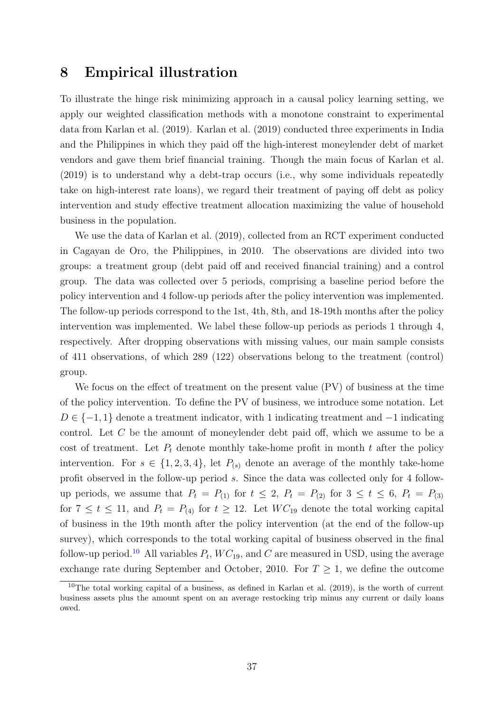## 8 Empirical illustration

To illustrate the hinge risk minimizing approach in a causal policy learning setting, we apply our weighted classification methods with a monotone constraint to experimental data from [Karlan et al.](#page-82-0) [\(2019\)](#page-82-0). [Karlan et al.](#page-82-0) [\(2019\)](#page-82-0) conducted three experiments in India and the Philippines in which they paid off the high-interest moneylender debt of market vendors and gave them brief financial training. Though the main focus of [Karlan et al.](#page-82-0) [\(2019\)](#page-82-0) is to understand why a debt-trap occurs (i.e., why some individuals repeatedly take on high-interest rate loans), we regard their treatment of paying off debt as policy intervention and study effective treatment allocation maximizing the value of household business in the population.

We use the data of [Karlan et al.](#page-82-0) [\(2019\)](#page-82-0), collected from an RCT experiment conducted in Cagayan de Oro, the Philippines, in 2010. The observations are divided into two groups: a treatment group (debt paid off and received financial training) and a control group. The data was collected over 5 periods, comprising a baseline period before the policy intervention and 4 follow-up periods after the policy intervention was implemented. The follow-up periods correspond to the 1st, 4th, 8th, and 18-19th months after the policy intervention was implemented. We label these follow-up periods as periods 1 through 4, respectively. After dropping observations with missing values, our main sample consists of 411 observations, of which 289 (122) observations belong to the treatment (control) group.

We focus on the effect of treatment on the present value (PV) of business at the time of the policy intervention. To define the PV of business, we introduce some notation. Let  $D \in \{-1, 1\}$  denote a treatment indicator, with 1 indicating treatment and  $-1$  indicating control. Let C be the amount of moneylender debt paid off, which we assume to be a cost of treatment. Let  $P_t$  denote monthly take-home profit in month t after the policy intervention. For  $s \in \{1, 2, 3, 4\}$ , let  $P_{(s)}$  denote an average of the monthly take-home profit observed in the follow-up period s. Since the data was collected only for 4 followup periods, we assume that  $P_t = P_{(1)}$  for  $t \leq 2$ ,  $P_t = P_{(2)}$  for  $3 \leq t \leq 6$ ,  $P_t = P_{(3)}$ for  $7 \le t \le 11$ , and  $P_t = P_{(4)}$  for  $t \ge 12$ . Let  $WC_{19}$  denote the total working capital of business in the 19th month after the policy intervention (at the end of the follow-up survey), which corresponds to the total working capital of business observed in the final follow-up period.<sup>[10](#page-36-0)</sup> All variables  $P_t$ ,  $WC_{19}$ , and C are measured in USD, using the average exchange rate during September and October, 2010. For  $T \geq 1$ , we define the outcome

<span id="page-36-0"></span><sup>&</sup>lt;sup>10</sup>The total working capital of a business, as defined in [Karlan et al.](#page-82-0)  $(2019)$ , is the worth of current business assets plus the amount spent on an average restocking trip minus any current or daily loans owed.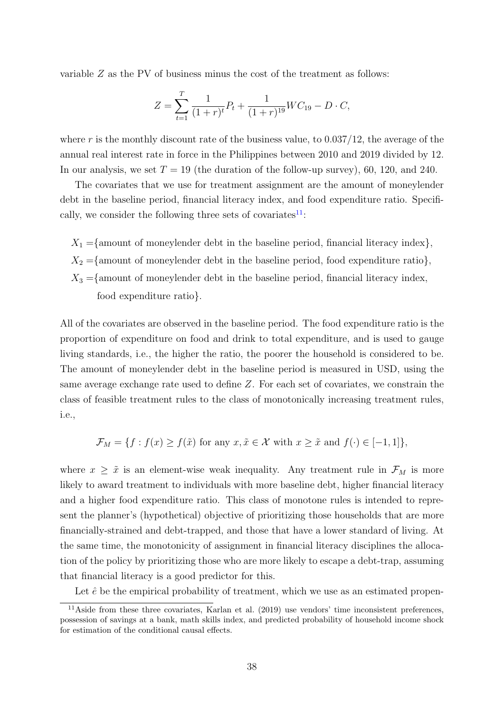variable Z as the PV of business minus the cost of the treatment as follows:

$$
Z = \sum_{t=1}^{T} \frac{1}{(1+r)^t} P_t + \frac{1}{(1+r)^{19}} WC_{19} - D \cdot C,
$$

where r is the monthly discount rate of the business value, to  $0.037/12$ , the average of the annual real interest rate in force in the Philippines between 2010 and 2019 divided by 12. In our analysis, we set  $T = 19$  (the duration of the follow-up survey), 60, 120, and 240.

The covariates that we use for treatment assignment are the amount of moneylender debt in the baseline period, financial literacy index, and food expenditure ratio. Specifically, we consider the following three sets of covariates $^{11}$  $^{11}$  $^{11}$ :

 $X_1 = \{$ amount of moneylender debt in the baseline period, financial literacy index $\},$  $X_2 = \{$ amount of moneylender debt in the baseline period, food expenditure ratio $\},$  $X_3 =$ {amount of moneylender debt in the baseline period, financial literacy index, food expenditure ratio}.

All of the covariates are observed in the baseline period. The food expenditure ratio is the proportion of expenditure on food and drink to total expenditure, and is used to gauge living standards, i.e., the higher the ratio, the poorer the household is considered to be. The amount of moneylender debt in the baseline period is measured in USD, using the same average exchange rate used to define Z. For each set of covariates, we constrain the class of feasible treatment rules to the class of monotonically increasing treatment rules, i.e.,

$$
\mathcal{F}_M = \{ f : f(x) \ge f(\tilde{x}) \text{ for any } x, \tilde{x} \in \mathcal{X} \text{ with } x \ge \tilde{x} \text{ and } f(\cdot) \in [-1, 1] \},
$$

where  $x \geq \tilde{x}$  is an element-wise weak inequality. Any treatment rule in  $\mathcal{F}_M$  is more likely to award treatment to individuals with more baseline debt, higher financial literacy and a higher food expenditure ratio. This class of monotone rules is intended to represent the planner's (hypothetical) objective of prioritizing those households that are more financially-strained and debt-trapped, and those that have a lower standard of living. At the same time, the monotonicity of assignment in financial literacy disciplines the allocation of the policy by prioritizing those who are more likely to escape a debt-trap, assuming that financial literacy is a good predictor for this.

<span id="page-37-0"></span>Let  $\hat{e}$  be the empirical probability of treatment, which we use as an estimated propen-

<sup>11</sup>Aside from these three covariates, [Karlan et al.](#page-82-0) [\(2019\)](#page-82-0) use vendors' time inconsistent preferences, possession of savings at a bank, math skills index, and predicted probability of household income shock for estimation of the conditional causal effects.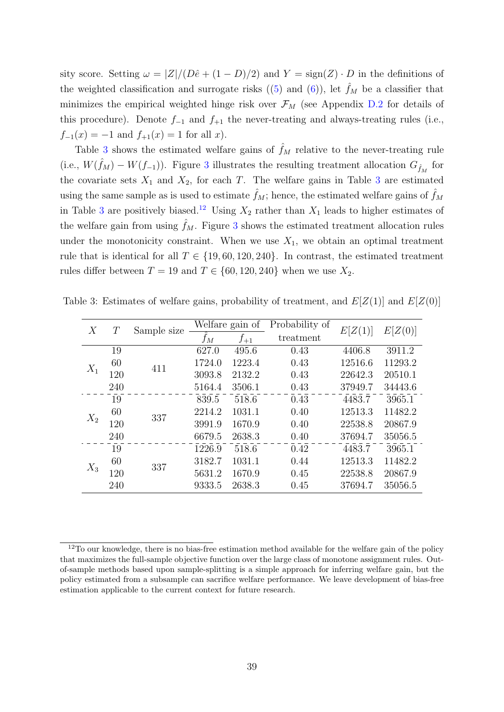sity score. Setting  $\omega = |Z|/(D\hat{e} + (1 - D)/2)$  and  $Y = \text{sign}(Z) \cdot D$  in the definitions of the weighted classification and surrogate risks  $((5)$  $((5)$  and  $(6)$ ), let  $\hat{f}_M$  be a classifier that minimizes the empirical weighted hinge risk over  $\mathcal{F}_M$  (see Appendix [D.2](#page-66-0) for details of this procedure). Denote  $f_{-1}$  and  $f_{+1}$  the never-treating and always-treating rules (i.e.,  $f_{-1}(x) = -1$  and  $f_{+1}(x) = 1$  for all x).

Table [3](#page-38-0) shows the estimated welfare gains of  $\hat{f}_M$  relative to the never-treating rule (i.e.,  $W(\hat{f}_M) - W(f_{-1})$ ). Figure [3](#page-39-0) illustrates the resulting treatment allocation  $G_{\hat{f}_M}$  for the covariate sets  $X_1$  and  $X_2$ , for each T. The welfare gains in Table [3](#page-38-0) are estimated using the same sample as is used to estimate  $\hat{f}_M$ ; hence, the estimated welfare gains of  $\hat{f}_M$ in Table [3](#page-38-0) are positively biased.<sup>[12](#page-38-1)</sup> Using  $X_2$  rather than  $X_1$  leads to higher estimates of the welfare gain from using  $\hat{f}_M$ . Figure [3](#page-39-0) shows the estimated treatment allocation rules under the monotonicity constraint. When we use  $X_1$ , we obtain an optimal treatment rule that is identical for all  $T \in \{19, 60, 120, 240\}$ . In contrast, the estimated treatment rules differ between  $T = 19$  and  $T \in \{60, 120, 240\}$  when we use  $X_2$ .

<span id="page-38-0"></span>

| Х     | $\, T \,$ | Sample size | Welfare gain of |          | Probability of | E[Z(1)] | E[Z(0)] |
|-------|-----------|-------------|-----------------|----------|----------------|---------|---------|
|       |           |             | $f_M$           | $f_{+1}$ | treatment      |         |         |
| $X_1$ | 19        | 411         | 627.0           | 495.6    | 0.43           | 4406.8  | 3911.2  |
|       | 60        |             | 1724.0          | 1223.4   | 0.43           | 12516.6 | 11293.2 |
|       | 120       |             | 3093.8          | 2132.2   | 0.43           | 22642.3 | 20510.1 |
|       | 240       |             | 5164.4          | 3506.1   | 0.43           | 37949.7 | 34443.6 |
| $X_2$ | 19        | 337         | 839.5           | 518.6    | 0.43           | 4483.7  | 3965.1  |
|       | 60        |             | 2214.2          | 1031.1   | 0.40           | 12513.3 | 11482.2 |
|       | 120       |             | 3991.9          | 1670.9   | 0.40           | 22538.8 | 20867.9 |
|       | 240       |             | 6679.5          | 2638.3   | 0.40           | 37694.7 | 35056.5 |
| $X_3$ | 19        | 337         | 1226.9          | 518.6    | 0.42           | 4483.7  | 3965.1  |
|       | 60        |             | 3182.7          | 1031.1   | 0.44           | 12513.3 | 11482.2 |
|       | 120       |             | 5631.2          | 1670.9   | 0.45           | 22538.8 | 20867.9 |
|       | 240       |             | 9333.5          | 2638.3   | 0.45           | 37694.7 | 35056.5 |

Table 3: Estimates of welfare gains, probability of treatment, and  $E[Z(1)]$  and  $E[Z(0)]$ 

<span id="page-38-1"></span><sup>&</sup>lt;sup>12</sup>To our knowledge, there is no bias-free estimation method available for the welfare gain of the policy that maximizes the full-sample objective function over the large class of monotone assignment rules. Outof-sample methods based upon sample-splitting is a simple approach for inferring welfare gain, but the policy estimated from a subsample can sacrifice welfare performance. We leave development of bias-free estimation applicable to the current context for future research.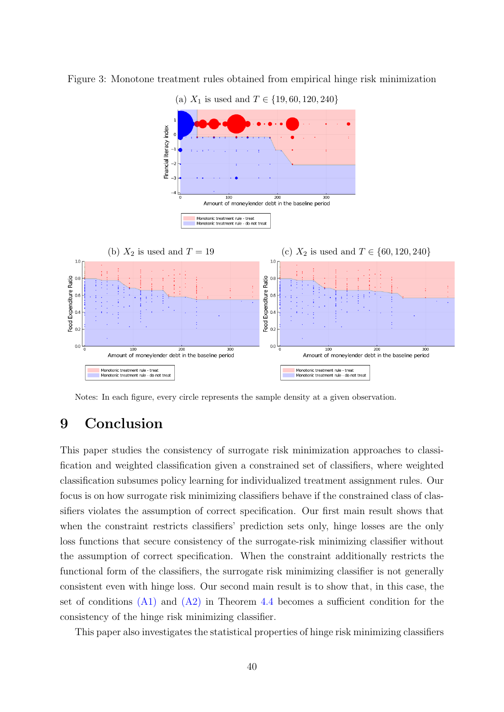

<span id="page-39-0"></span>Figure 3: Monotone treatment rules obtained from empirical hinge risk minimization

Notes: In each figure, every circle represents the sample density at a given observation.

# 9 Conclusion

This paper studies the consistency of surrogate risk minimization approaches to classification and weighted classification given a constrained set of classifiers, where weighted classification subsumes policy learning for individualized treatment assignment rules. Our focus is on how surrogate risk minimizing classifiers behave if the constrained class of classifiers violates the assumption of correct specification. Our first main result shows that when the constraint restricts classifiers' prediction sets only, hinge losses are the only loss functions that secure consistency of the surrogate-risk minimizing classifier without the assumption of correct specification. When the constraint additionally restricts the functional form of the classifiers, the surrogate risk minimizing classifier is not generally consistent even with hinge loss. Our second main result is to show that, in this case, the set of conditions  $(A1)$  and  $(A2)$  in Theorem [4.4](#page-22-1) becomes a sufficient condition for the consistency of the hinge risk minimizing classifier.

This paper also investigates the statistical properties of hinge risk minimizing classifiers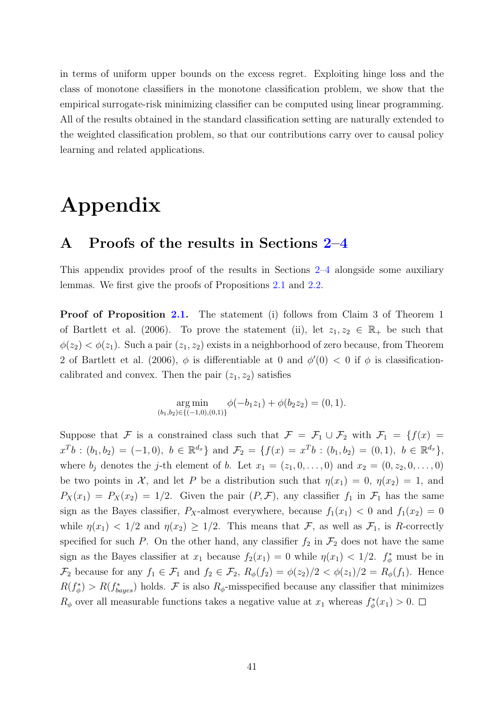in terms of uniform upper bounds on the excess regret. Exploiting hinge loss and the class of monotone classifiers in the monotone classification problem, we show that the empirical surrogate-risk minimizing classifier can be computed using linear programming. All of the results obtained in the standard classification setting are naturally extended to the weighted classification problem, so that our contributions carry over to causal policy learning and related applications.

# Appendix

### A Proofs of the results in Sections [2–](#page-7-0)[4](#page-20-0)

This appendix provides proof of the results in Sections [2–](#page-7-0)[4](#page-20-0) alongside some auxiliary lemmas. We first give the proofs of Propositions [2.1](#page-10-0) and [2.2.](#page-12-0)

**Proof of Proposition [2.1.](#page-10-0)** The statement (i) follows from Claim 3 of Theorem 1 of [Bartlett et al.](#page-80-0) [\(2006\)](#page-80-0). To prove the statement (ii), let  $z_1, z_2 \in \mathbb{R}_+$  be such that  $\phi(z_2) < \phi(z_1)$ . Such a pair  $(z_1, z_2)$  exists in a neighborhood of zero because, from Theorem 2 of [Bartlett et al.](#page-80-0) [\(2006\)](#page-80-0),  $\phi$  is differentiable at 0 and  $\phi'(0) < 0$  if  $\phi$  is classificationcalibrated and convex. Then the pair  $(z_1, z_2)$  satisfies

$$
\underset{(b_1,b_2)\in\{(-1,0),(0,1)\}}{\arg\min} \phi(-b_1z_1)+\phi(b_2z_2)=(0,1).
$$

Suppose that F is a constrained class such that  $\mathcal{F} = \mathcal{F}_1 \cup \mathcal{F}_2$  with  $\mathcal{F}_1 = \{f(x) =$  $x^T b : (b_1, b_2) = (-1, 0), b \in \mathbb{R}^{d_x}$  and  $\mathcal{F}_2 = \{f(x) = x^T b : (b_1, b_2) = (0, 1), b \in \mathbb{R}^{d_x}\},$ where  $b_j$  denotes the j-th element of b. Let  $x_1 = (z_1, 0, \ldots, 0)$  and  $x_2 = (0, z_2, 0, \ldots, 0)$ be two points in X, and let P be a distribution such that  $\eta(x_1) = 0$ ,  $\eta(x_2) = 1$ , and  $P_X(x_1) = P_X(x_2) = 1/2$ . Given the pair  $(P, \mathcal{F})$ , any classifier  $f_1$  in  $\mathcal{F}_1$  has the same sign as the Bayes classifier,  $P_X$ -almost everywhere, because  $f_1(x_1) < 0$  and  $f_1(x_2) = 0$ while  $\eta(x_1) < 1/2$  and  $\eta(x_2) \geq 1/2$ . This means that F, as well as  $\mathcal{F}_1$ , is R-correctly specified for such P. On the other hand, any classifier  $f_2$  in  $\mathcal{F}_2$  does not have the same sign as the Bayes classifier at  $x_1$  because  $f_2(x_1) = 0$  while  $\eta(x_1) < 1/2$ .  $f^*_{\phi}$  must be in  $\mathcal{F}_2$  because for any  $f_1 \in \mathcal{F}_1$  and  $f_2 \in \mathcal{F}_2$ ,  $R_{\phi}(f_2) = \phi(z_2)/2 < \phi(z_1)/2 = R_{\phi}(f_1)$ . Hence  $R(f^*_{\phi}) > R(f^*_{bayes})$  holds. F is also  $R_{\phi}$ -misspecified because any classifier that minimizes  $R_{\phi}$  over all measurable functions takes a negative value at  $x_1$  whereas  $f_{\phi}^*(x_1) > 0$ .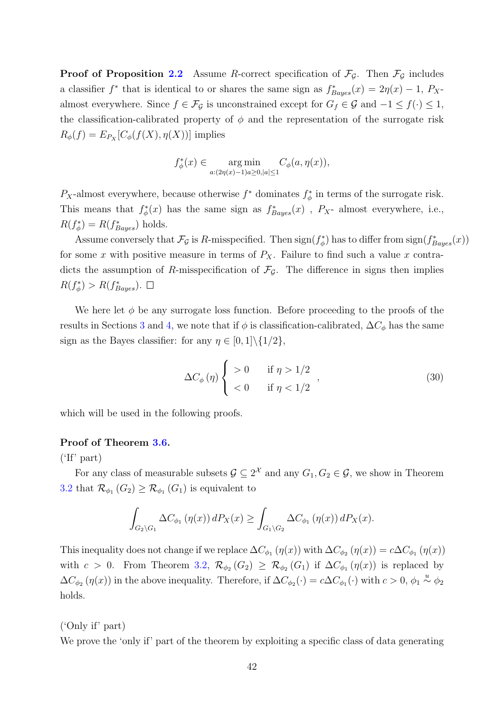**Proof of Proposition [2.2](#page-12-0)** Assume R-correct specification of  $\mathcal{F}_{\mathcal{G}}$ . Then  $\mathcal{F}_{\mathcal{G}}$  includes a classifier  $f^*$  that is identical to or shares the same sign as  $f^*_{Bayes}(x) = 2\eta(x) - 1$ ,  $P_X$ almost everywhere. Since  $f \in \mathcal{F}_{\mathcal{G}}$  is unconstrained except for  $G_f \in \mathcal{G}$  and  $-1 \leq f(\cdot) \leq 1$ , the classification-calibrated property of  $\phi$  and the representation of the surrogate risk  $R_{\phi}(f) = E_{P_X}[C_{\phi}(f(X), \eta(X))]$  implies

$$
f_{\phi}^*(x) \in \underset{a:(2\eta(x)-1)a \ge 0, |a| \le 1}{\arg \min} C_{\phi}(a, \eta(x)),
$$

P<sub>X</sub>-almost everywhere, because otherwise  $f^*$  dominates  $f^*_{\phi}$  in terms of the surrogate risk. This means that  $f^*_{\phi}(x)$  has the same sign as  $f^*_{Bayes}(x)$ ,  $P_X$ - almost everywhere, i.e.,  $R(f_{\phi}^*) = R(f_{Bayes}^*)$  holds.

Assume conversely that  $\mathcal{F}_{\mathcal{G}}$  is R-misspecified. Then  $\text{sign}(f^*_{\phi})$  has to differ from  $\text{sign}(f^*_{Bayes}(x))$ for some x with positive measure in terms of  $P_X$ . Failure to find such a value x contradicts the assumption of R-misspecification of  $\mathcal{F}_{\mathcal{G}}$ . The difference in signs then implies  $R(f_{\phi}^*) > R(f_{Bayes}^*)$ .

We here let  $\phi$  be any surrogate loss function. Before proceeding to the proofs of the results in Sections [3](#page-13-0) and [4,](#page-20-0) we note that if  $\phi$  is classification-calibrated,  $\Delta C_{\phi}$  has the same sign as the Bayes classifier: for any  $\eta \in [0,1]\setminus\{1/2\}$ ,

<span id="page-41-0"></span>
$$
\Delta C_{\phi}(\eta) \begin{cases} > 0 & \text{if } \eta > 1/2 \\ < 0 & \text{if } \eta < 1/2 \end{cases} \tag{30}
$$

which will be used in the following proofs.

#### Proof of Theorem [3.6.](#page-19-0)

('If' part)

For any class of measurable subsets  $\mathcal{G} \subseteq 2^{\mathcal{X}}$  and any  $G_1, G_2 \in \mathcal{G}$ , we show in Theorem [3.2](#page-15-0) that  $\mathcal{R}_{\phi_1}(G_2) \geq \mathcal{R}_{\phi_1}(G_1)$  is equivalent to

$$
\int_{G_2 \setminus G_1} \Delta C_{\phi_1} (\eta(x)) dP_X(x) \ge \int_{G_1 \setminus G_2} \Delta C_{\phi_1} (\eta(x)) dP_X(x).
$$

This inequality does not change if we replace  $\Delta C_{\phi_1}(\eta(x))$  with  $\Delta C_{\phi_2}(\eta(x)) = c \Delta C_{\phi_1}(\eta(x))$ with  $c > 0$ . From Theorem [3.2,](#page-15-0)  $\mathcal{R}_{\phi_2}(G_2) \geq \mathcal{R}_{\phi_2}(G_1)$  if  $\Delta C_{\phi_1}(\eta(x))$  is replaced by  $\Delta C_{\phi_2}(\eta(x))$  in the above inequality. Therefore, if  $\Delta C_{\phi_2}(\cdot) = c \Delta C_{\phi_1}(\cdot)$  with  $c > 0$ ,  $\phi_1 \stackrel{u}{\sim} \phi_2$ holds.

('Only if' part)

We prove the 'only if' part of the theorem by exploiting a specific class of data generating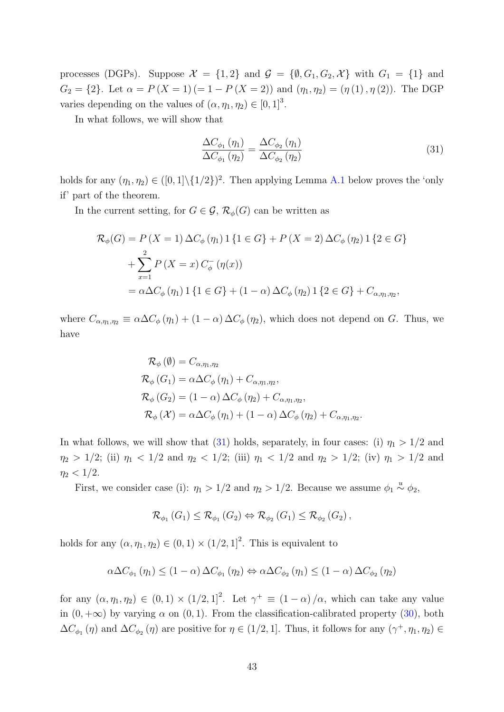processes (DGPs). Suppose  $\mathcal{X} = \{1,2\}$  and  $\mathcal{G} = \{\emptyset, G_1, G_2, \mathcal{X}\}\$  with  $G_1 = \{1\}$  and  $G_2 = \{2\}$ . Let  $\alpha = P(X = 1) (= 1 - P(X = 2))$  and  $(\eta_1, \eta_2) = (\eta_1(1), \eta_2(2))$ . The DGP varies depending on the values of  $(\alpha, \eta_1, \eta_2) \in [0, 1]^3$ .

In what follows, we will show that

<span id="page-42-0"></span>
$$
\frac{\Delta C_{\phi_1}(\eta_1)}{\Delta C_{\phi_1}(\eta_2)} = \frac{\Delta C_{\phi_2}(\eta_1)}{\Delta C_{\phi_2}(\eta_2)}\tag{31}
$$

holds for any  $(\eta_1, \eta_2) \in ([0,1] \setminus \{1/2\})^2$ . Then applying Lemma [A.1](#page-44-0) below proves the 'only if' part of the theorem.

In the current setting, for  $G \in \mathcal{G}, \mathcal{R}_{\phi}(G)$  can be written as

$$
\mathcal{R}_{\phi}(G) = P(X = 1) \Delta C_{\phi}(\eta_1) 1 \{1 \in G\} + P(X = 2) \Delta C_{\phi}(\eta_2) 1 \{2 \in G\}
$$
  
+ 
$$
\sum_{x=1}^{2} P(X = x) C_{\phi}^-(\eta(x))
$$
  
= 
$$
\alpha \Delta C_{\phi}(\eta_1) 1 \{1 \in G\} + (1 - \alpha) \Delta C_{\phi}(\eta_2) 1 \{2 \in G\} + C_{\alpha, \eta_1, \eta_2},
$$

where  $C_{\alpha,\eta_1,\eta_2} \equiv \alpha \Delta C_{\phi}(\eta_1) + (1 - \alpha) \Delta C_{\phi}(\eta_2)$ , which does not depend on G. Thus, we have

$$
\mathcal{R}_{\phi}(\emptyset) = C_{\alpha,\eta_1,\eta_2}
$$
  
\n
$$
\mathcal{R}_{\phi}(G_1) = \alpha \Delta C_{\phi}(\eta_1) + C_{\alpha,\eta_1,\eta_2},
$$
  
\n
$$
\mathcal{R}_{\phi}(G_2) = (1 - \alpha) \Delta C_{\phi}(\eta_2) + C_{\alpha,\eta_1,\eta_2},
$$
  
\n
$$
\mathcal{R}_{\phi}(\mathcal{X}) = \alpha \Delta C_{\phi}(\eta_1) + (1 - \alpha) \Delta C_{\phi}(\eta_2) + C_{\alpha,\eta_1,\eta_2}.
$$

In what follows, we will show that [\(31\)](#page-42-0) holds, separately, in four cases: (i)  $\eta_1 > 1/2$  and  $\eta_2 > 1/2$ ; (ii)  $\eta_1 < 1/2$  and  $\eta_2 < 1/2$ ; (iii)  $\eta_1 < 1/2$  and  $\eta_2 > 1/2$ ; (iv)  $\eta_1 > 1/2$  and  $\eta_2 < 1/2$ .

First, we consider case (i):  $\eta_1 > 1/2$  and  $\eta_2 > 1/2$ . Because we assume  $\phi_1 \stackrel{u}{\sim} \phi_2$ ,

$$
\mathcal{R}_{\phi_1}\left(G_1\right) \leq \mathcal{R}_{\phi_1}\left(G_2\right) \Leftrightarrow \mathcal{R}_{\phi_2}\left(G_1\right) \leq \mathcal{R}_{\phi_2}\left(G_2\right),
$$

holds for any  $(\alpha, \eta_1, \eta_2) \in (0, 1) \times (1/2, 1]^2$ . This is equivalent to

$$
\alpha \Delta C_{\phi_1}(\eta_1) \le (1 - \alpha) \Delta C_{\phi_1}(\eta_2) \Leftrightarrow \alpha \Delta C_{\phi_2}(\eta_1) \le (1 - \alpha) \Delta C_{\phi_2}(\eta_2)
$$

for any  $(\alpha, \eta_1, \eta_2) \in (0, 1) \times (1/2, 1]^2$ . Let  $\gamma^+ \equiv (1 - \alpha) / \alpha$ , which can take any value in  $(0, +\infty)$  by varying  $\alpha$  on  $(0, 1)$ . From the classification-calibrated property  $(30)$ , both  $\Delta C_{\phi_1}(\eta)$  and  $\Delta C_{\phi_2}(\eta)$  are positive for  $\eta \in (1/2, 1]$ . Thus, it follows for any  $(\gamma^+, \eta_1, \eta_2) \in$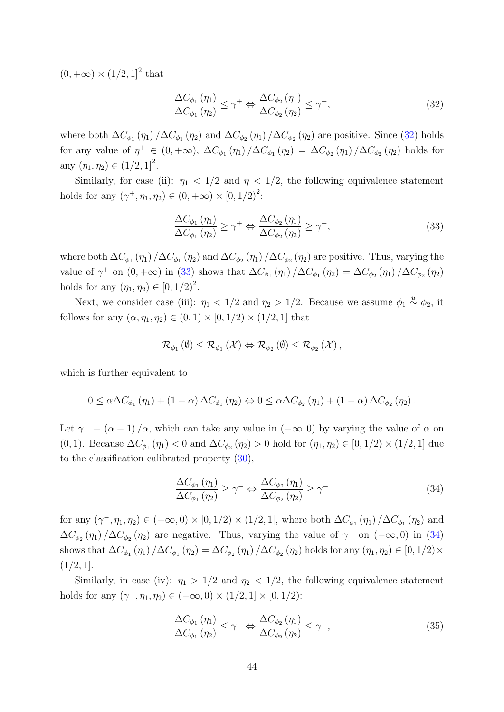$(0, +\infty) \times (1/2, 1]^2$  that

<span id="page-43-0"></span>
$$
\frac{\Delta C_{\phi_1}(\eta_1)}{\Delta C_{\phi_1}(\eta_2)} \le \gamma^+ \Leftrightarrow \frac{\Delta C_{\phi_2}(\eta_1)}{\Delta C_{\phi_2}(\eta_2)} \le \gamma^+, \tag{32}
$$

where both  $\Delta C_{\phi_1}(\eta_1)/\Delta C_{\phi_1}(\eta_2)$  and  $\Delta C_{\phi_2}(\eta_1)/\Delta C_{\phi_2}(\eta_2)$  are positive. Since [\(32\)](#page-43-0) holds for any value of  $\eta^+ \in (0, +\infty)$ ,  $\Delta C_{\phi_1}(\eta_1) / \Delta C_{\phi_1}(\eta_2) = \Delta C_{\phi_2}(\eta_1) / \Delta C_{\phi_2}(\eta_2)$  holds for any  $(\eta_1, \eta_2) \in (1/2, 1]^2$ .

Similarly, for case (ii):  $\eta_1$  < 1/2 and  $\eta$  < 1/2, the following equivalence statement holds for any  $(\gamma^+, \eta_1, \eta_2) \in (0, +\infty) \times [0, 1/2)^2$ :

<span id="page-43-1"></span>
$$
\frac{\Delta C_{\phi_1}(\eta_1)}{\Delta C_{\phi_1}(\eta_2)} \ge \gamma^+ \Leftrightarrow \frac{\Delta C_{\phi_2}(\eta_1)}{\Delta C_{\phi_2}(\eta_2)} \ge \gamma^+, \tag{33}
$$

where both  $\Delta C_{\phi_1}(\eta_1)/\Delta C_{\phi_1}(\eta_2)$  and  $\Delta C_{\phi_2}(\eta_1)/\Delta C_{\phi_2}(\eta_2)$  are positive. Thus, varying the value of  $\gamma^+$  on  $(0, +\infty)$  in [\(33\)](#page-43-1) shows that  $\Delta C_{\phi_1}(\eta_1)/\Delta C_{\phi_1}(\eta_2) = \Delta C_{\phi_2}(\eta_1)/\Delta C_{\phi_2}(\eta_2)$ holds for any  $(\eta_1, \eta_2) \in [0, 1/2)^2$ .

Next, we consider case (iii):  $\eta_1 < 1/2$  and  $\eta_2 > 1/2$ . Because we assume  $\phi_1 \stackrel{u}{\sim} \phi_2$ , it follows for any  $(\alpha, \eta_1, \eta_2) \in (0, 1) \times [0, 1/2) \times (1/2, 1]$  that

$$
\mathcal{R}_{\phi_1}(\emptyset) \leq \mathcal{R}_{\phi_1}(\mathcal{X}) \Leftrightarrow \mathcal{R}_{\phi_2}(\emptyset) \leq \mathcal{R}_{\phi_2}(\mathcal{X}),
$$

which is further equivalent to

$$
0 \leq \alpha \Delta C_{\phi_1}(\eta_1) + (1 - \alpha) \Delta C_{\phi_1}(\eta_2) \Leftrightarrow 0 \leq \alpha \Delta C_{\phi_2}(\eta_1) + (1 - \alpha) \Delta C_{\phi_2}(\eta_2).
$$

Let  $\gamma^- \equiv (\alpha - 1)/\alpha$ , which can take any value in  $(-\infty, 0)$  by varying the value of  $\alpha$  on (0, 1). Because  $\Delta C_{\phi_1}(\eta_1) < 0$  and  $\Delta C_{\phi_2}(\eta_2) > 0$  hold for  $(\eta_1, \eta_2) \in [0, 1/2) \times (1/2, 1]$  due to the classification-calibrated property [\(30\)](#page-41-0),

<span id="page-43-2"></span>
$$
\frac{\Delta C_{\phi_1}(\eta_1)}{\Delta C_{\phi_1}(\eta_2)} \ge \gamma^- \Leftrightarrow \frac{\Delta C_{\phi_2}(\eta_1)}{\Delta C_{\phi_2}(\eta_2)} \ge \gamma^- \tag{34}
$$

for any  $(\gamma^-, \eta_1, \eta_2) \in (-\infty, 0) \times [0, 1/2) \times (1/2, 1]$ , where both  $\Delta C_{\phi_1}(\eta_1) / \Delta C_{\phi_1}(\eta_2)$  and  $\Delta C_{\phi_2}(\eta_1)/\Delta C_{\phi_2}(\eta_2)$  are negative. Thus, varying the value of  $\gamma^-$  on  $(-\infty,0)$  in [\(34\)](#page-43-2) shows that  $\Delta C_{\phi_1}(\eta_1)/\Delta C_{\phi_1}(\eta_2) = \Delta C_{\phi_2}(\eta_1)/\Delta C_{\phi_2}(\eta_2)$  holds for any  $(\eta_1, \eta_2) \in [0, 1/2) \times$  $(1/2, 1].$ 

Similarly, in case (iv):  $\eta_1 > 1/2$  and  $\eta_2 < 1/2$ , the following equivalence statement holds for any  $(\gamma^-, \eta_1, \eta_2) \in (-\infty, 0) \times (1/2, 1] \times [0, 1/2)$ :

<span id="page-43-3"></span>
$$
\frac{\Delta C_{\phi_1}(\eta_1)}{\Delta C_{\phi_1}(\eta_2)} \le \gamma^- \Leftrightarrow \frac{\Delta C_{\phi_2}(\eta_1)}{\Delta C_{\phi_2}(\eta_2)} \le \gamma^-, \tag{35}
$$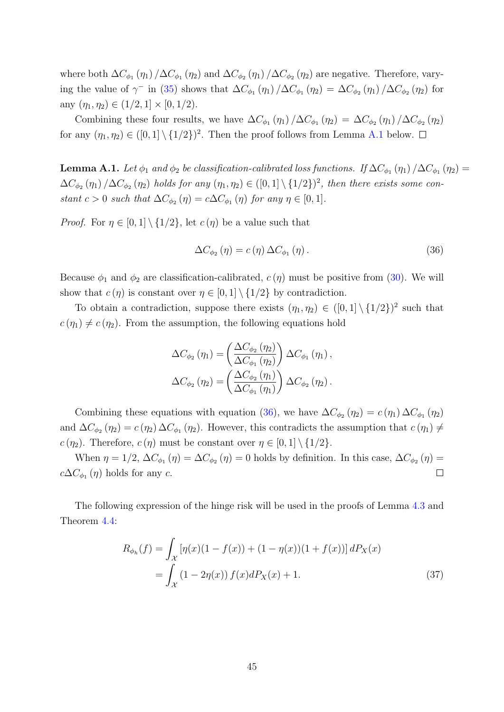where both  $\Delta C_{\phi_1}(\eta_1)/\Delta C_{\phi_1}(\eta_2)$  and  $\Delta C_{\phi_2}(\eta_1)/\Delta C_{\phi_2}(\eta_2)$  are negative. Therefore, varying the value of  $\gamma^-$  in [\(35\)](#page-43-3) shows that  $\Delta C_{\phi_1}(\eta_1)/\Delta C_{\phi_1}(\eta_2) = \Delta C_{\phi_2}(\eta_1)/\Delta C_{\phi_2}(\eta_2)$  for any  $(\eta_1, \eta_2) \in (1/2, 1] \times [0, 1/2)$ .

Combining these four results, we have  $\Delta C_{\phi_1}(\eta_1)/\Delta C_{\phi_1}(\eta_2) = \Delta C_{\phi_2}(\eta_1)/\Delta C_{\phi_2}(\eta_2)$ for any  $(\eta_1, \eta_2) \in ([0,1] \setminus \{1/2\})^2$ . Then the proof follows from Lemma [A.1](#page-44-0) below.

<span id="page-44-0"></span>**Lemma A.1.** Let  $\phi_1$  and  $\phi_2$  be classification-calibrated loss functions. If  $\Delta C_{\phi_1}(\eta_1)/\Delta C_{\phi_1}(\eta_2)$  =  $\Delta C_{\phi_2}(\eta_1)/\Delta C_{\phi_2}(\eta_2)$  holds for any  $(\eta_1, \eta_2) \in ([0,1] \setminus \{1/2\})^2$ , then there exists some constant  $c > 0$  such that  $\Delta C_{\phi_2}(\eta) = c \Delta C_{\phi_1}(\eta)$  for any  $\eta \in [0, 1]$ .

*Proof.* For  $\eta \in [0,1] \setminus \{1/2\}$ , let  $c(\eta)$  be a value such that

<span id="page-44-1"></span>
$$
\Delta C_{\phi_2}(\eta) = c(\eta) \,\Delta C_{\phi_1}(\eta). \tag{36}
$$

Because  $\phi_1$  and  $\phi_2$  are classification-calibrated,  $c(\eta)$  must be positive from [\(30\)](#page-41-0). We will show that  $c(\eta)$  is constant over  $\eta \in [0,1] \setminus \{1/2\}$  by contradiction.

To obtain a contradiction, suppose there exists  $(\eta_1, \eta_2) \in ([0,1] \setminus \{1/2\})^2$  such that  $c(\eta_1) \neq c(\eta_2)$ . From the assumption, the following equations hold

$$
\Delta C_{\phi_2} (\eta_1) = \left( \frac{\Delta C_{\phi_2} (\eta_2)}{\Delta C_{\phi_1} (\eta_2)} \right) \Delta C_{\phi_1} (\eta_1),
$$
  

$$
\Delta C_{\phi_2} (\eta_2) = \left( \frac{\Delta C_{\phi_2} (\eta_1)}{\Delta C_{\phi_1} (\eta_1)} \right) \Delta C_{\phi_2} (\eta_2).
$$

Combining these equations with equation [\(36\)](#page-44-1), we have  $\Delta C_{\phi_2}(\eta_2) = c(\eta_1) \Delta C_{\phi_1}(\eta_2)$ and  $\Delta C_{\phi_2}(\eta_2) = c(\eta_2) \Delta C_{\phi_1}(\eta_2)$ . However, this contradicts the assumption that  $c(\eta_1) \neq$  $c(\eta_2)$ . Therefore,  $c(\eta)$  must be constant over  $\eta \in [0,1] \setminus \{1/2\}$ .

When  $\eta = 1/2$ ,  $\Delta C_{\phi_1}(\eta) = \Delta C_{\phi_2}(\eta) = 0$  holds by definition. In this case,  $\Delta C_{\phi_2}(\eta) =$  $c\Delta C_{\phi_1}(\eta)$  holds for any  $c$ .  $\Box$ 

The following expression of the hinge risk will be used in the proofs of Lemma [4.3](#page-22-2) and Theorem [4.4:](#page-22-1)

<span id="page-44-2"></span>
$$
R_{\phi_h}(f) = \int_{\mathcal{X}} \left[ \eta(x)(1 - f(x)) + (1 - \eta(x))(1 + f(x)) \right] dP_X(x)
$$
  
= 
$$
\int_{\mathcal{X}} (1 - 2\eta(x)) f(x) dP_X(x) + 1.
$$
 (37)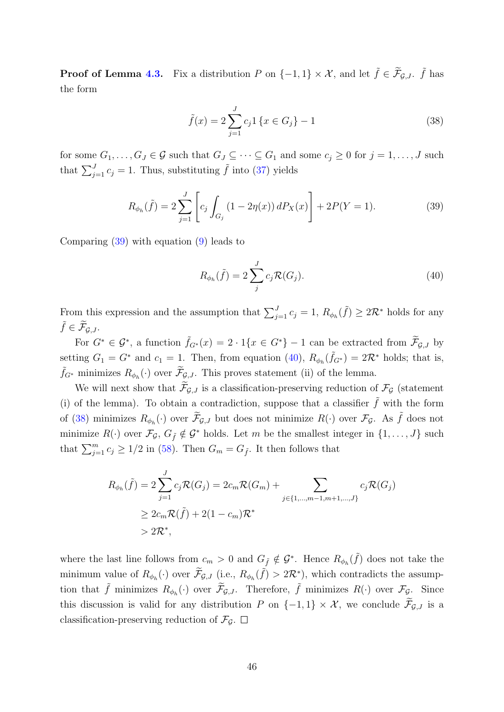**Proof of Lemma [4.3.](#page-22-2)** Fix a distribution P on  $\{-1, 1\} \times \mathcal{X}$ , and let  $\tilde{f} \in \tilde{\mathcal{F}}_{\mathcal{G},J}$ .  $\tilde{f}$  has the form

<span id="page-45-2"></span>
$$
\tilde{f}(x) = 2 \sum_{j=1}^{J} c_j 1 \{ x \in G_j \} - 1
$$
\n(38)

for some  $G_1, \ldots, G_J \in \mathcal{G}$  such that  $G_J \subseteq \cdots \subseteq G_1$  and some  $c_j \geq 0$  for  $j = 1, \ldots, J$  such that  $\sum_{j=1}^{J} c_j = 1$ . Thus, substituting  $\tilde{f}$  into [\(37\)](#page-44-2) yields

$$
R_{\phi_h}(\tilde{f}) = 2 \sum_{j=1}^{J} \left[ c_j \int_{G_j} (1 - 2\eta(x)) dP_X(x) \right] + 2P(Y = 1).
$$
 (39)

Comparing [\(39\)](#page-45-0) with equation [\(9\)](#page-14-0) leads to

<span id="page-45-1"></span><span id="page-45-0"></span>
$$
R_{\phi_h}(\tilde{f}) = 2 \sum_j^J c_j \mathcal{R}(G_j). \tag{40}
$$

From this expression and the assumption that  $\sum_{j=1}^{J} c_j = 1$ ,  $R_{\phi_h}(\tilde{f}) \geq 2\mathcal{R}^*$  holds for any  $\tilde{f} \in \mathcal{F}_{\mathcal{G},J}.$ 

For  $G^* \in \mathcal{G}^*$ , a function  $\tilde{f}_{G^*}(x) = 2 \cdot 1\{x \in G^*\} - 1$  can be extracted from  $\tilde{\mathcal{F}}_{\mathcal{G},J}$  by setting  $G_1 = G^*$  and  $c_1 = 1$ . Then, from equation [\(40\)](#page-45-1),  $R_{\phi_h}(\tilde{f}_{G^*}) = 2\mathcal{R}^*$  holds; that is,  $\tilde{f}_{G^*}$  minimizes  $R_{\phi_h}(\cdot)$  over  $\tilde{\mathcal{F}}_{\mathcal{G},J}$ . This proves statement (ii) of the lemma.

We will next show that  $\mathcal{F}_{G,J}$  is a classification-preserving reduction of  $\mathcal{F}_G$  (statement (i) of the lemma). To obtain a contradiction, suppose that a classifier  $\tilde{f}$  with the form of [\(38\)](#page-45-2) minimizes  $R_{\phi_h}(\cdot)$  over  $\widetilde{\mathcal{F}}_{\mathcal{G},J}$  but does not minimize  $R(\cdot)$  over  $\mathcal{F}_{\mathcal{G}}$ . As  $\widetilde{f}$  does not minimize  $R(\cdot)$  over  $\mathcal{F}_{\mathcal{G}}, G_{\tilde{f}} \notin \mathcal{G}^*$  holds. Let m be the smallest integer in  $\{1, \ldots, J\}$  such that  $\sum_{j=1}^{m} c_j \ge 1/2$  in [\(58\)](#page-71-0). Then  $G_m = G_{\tilde{f}}$ . It then follows that

$$
R_{\phi_h}(\tilde{f}) = 2 \sum_{j=1}^{J} c_j \mathcal{R}(G_j) = 2c_m \mathcal{R}(G_m) + \sum_{j \in \{1, \dots, m-1, m+1, \dots, J\}} c_j \mathcal{R}(G_j)
$$
  
\n
$$
\geq 2c_m \mathcal{R}(\tilde{f}) + 2(1 - c_m) \mathcal{R}^*
$$
  
\n
$$
> 2\mathcal{R}^*,
$$

where the last line follows from  $c_m > 0$  and  $G_{\tilde{f}} \notin \mathcal{G}^*$ . Hence  $R_{\phi_h}(\tilde{f})$  does not take the minimum value of  $R_{\phi_h}(\cdot)$  over  $\widetilde{\mathcal{F}}_{\mathcal{G},J}$  (i.e.,  $R_{\phi_h}(\widetilde{f}) > 2\mathcal{R}^*$ ), which contradicts the assumption that  $\tilde{f}$  minimizes  $R_{\phi_h}(\cdot)$  over  $\tilde{\mathcal{F}}_{\mathcal{G},J}$ . Therefore,  $\tilde{f}$  minimizes  $R(\cdot)$  over  $\mathcal{F}_{\mathcal{G}}$ . Since this discussion is valid for any distribution P on  $\{-1,1\} \times \mathcal{X}$ , we conclude  $\widetilde{\mathcal{F}}_{\mathcal{G},J}$  is a classification-preserving reduction of  $\mathcal{F}_{\mathcal{G}}$ .  $\Box$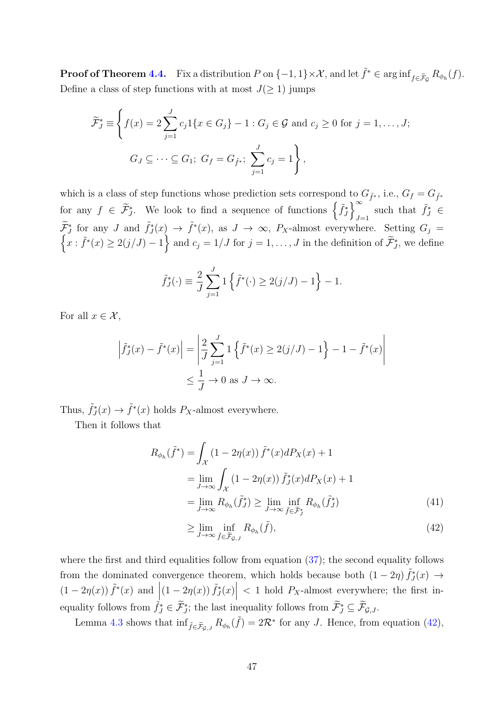**Proof of Theorem [4.4.](#page-22-1)** Fix a distribution P on  $\{-1, 1\} \times \mathcal{X}$ , and let  $\tilde{f}^* \in \arginf_{f \in \tilde{\mathcal{F}}_{\mathcal{G}}} R_{\phi_h}(f)$ . Define a class of step functions with at most  $J(\geq 1)$  jumps

$$
\widetilde{\mathcal{F}}_J^* \equiv \left\{ f(x) = 2 \sum_{j=1}^J c_j 1\{x \in G_j\} - 1 : G_j \in \mathcal{G} \text{ and } c_j \ge 0 \text{ for } j = 1, ..., J; \right\}
$$
  

$$
G_J \subseteq \cdots \subseteq G_1; \ G_f = G_{\widetilde{f}^*}; \ \sum_{j=1}^J c_j = 1 \right\},
$$

which is a class of step functions whose prediction sets correspond to  $G_{\tilde{f}^*}$ , i.e.,  $G_f = G_{\tilde{f}^*}$ for any  $f \in \widetilde{\mathcal{F}}_{J}^{*}$ . We look to find a sequence of functions  $\left\{ \widetilde{f}_{J}^{*}\right\} _{J=1}^{\infty}$  $\sum_{J=1}^{\infty}$  such that  $\tilde{f}_J^* \in$  $\widetilde{\mathcal{F}}^*_J$  for any J and  $\widetilde{f}^*_J(x) \to \widetilde{f}^*(x)$ , as  $J \to \infty$ ,  $P_X$ -almost everywhere. Setting  $G_j =$  $\left\{x : \tilde{f}^*(x) \geq 2(j/J) - 1\right\}$  and  $c_j = 1/J$  for  $j = 1, \ldots, J$  in the definition of  $\tilde{\mathcal{F}}^*_J$ , we define

$$
\tilde{f}_J^*(\cdot) \equiv \frac{2}{J} \sum_{j=1}^J 1 \left\{ \tilde{f}^*(\cdot) \ge 2(j/J) - 1 \right\} - 1.
$$

For all  $x \in \mathcal{X}$ ,

$$
\left| \tilde{f}_J^*(x) - \tilde{f}^*(x) \right| = \left| \frac{2}{J} \sum_{j=1}^J 1 \left\{ \tilde{f}^*(x) \ge 2(j/J) - 1 \right\} - 1 - \tilde{f}^*(x) \right|
$$
  

$$
\le \frac{1}{J} \to 0 \text{ as } J \to \infty.
$$

Thus,  $\tilde{f}_J^*(x) \to \tilde{f}^*(x)$  holds  $P_X$ -almost everywhere.

Then it follows that

$$
R_{\phi_h}(\tilde{f}^*) = \int_{\mathcal{X}} (1 - 2\eta(x)) \tilde{f}^*(x) dP_X(x) + 1
$$
  
\n
$$
= \lim_{J \to \infty} \int_{\mathcal{X}} (1 - 2\eta(x)) \tilde{f}^*_J(x) dP_X(x) + 1
$$
  
\n
$$
= \lim_{J \to \infty} R_{\phi_h}(\tilde{f}^*_J) \ge \lim_{J \to \infty} \inf_{\tilde{f} \in \tilde{\mathcal{F}}^*_J} R_{\phi_h}(\tilde{f}^*_J)
$$
(41)

<span id="page-46-1"></span><span id="page-46-0"></span>
$$
\geq \lim_{J \to \infty} \inf_{\tilde{f} \in \tilde{\mathcal{F}}_{\mathcal{G},J}} R_{\phi_h}(\tilde{f}), \tag{42}
$$

where the first and third equalities follow from equation [\(37\)](#page-44-2); the second equality follows from the dominated convergence theorem, which holds because both  $(1-2\eta)\tilde{f}_J^*(x) \rightarrow$  $(1-2\eta(x))\tilde{f}^*(x)$  and  $\left| (1-2\eta(x)) \tilde{f}^*_J(x) \right|$  $< 1$  hold  $P_X$ -almost everywhere; the first inequality follows from  $\widetilde{f}_J^* \in \widetilde{\mathcal{F}}_{J}^*$ ; the last inequality follows from  $\widetilde{\mathcal{F}}_J^* \subseteq \widetilde{\mathcal{F}}_{\mathcal{G},J}$ .

Lemma [4.3](#page-22-2) shows that  $\inf_{\tilde{f} \in \tilde{\mathcal{F}}_{\mathcal{G},J}} R_{\phi_h}(\tilde{f}) = 2\mathcal{R}^*$  for any J. Hence, from equation [\(42\)](#page-46-0),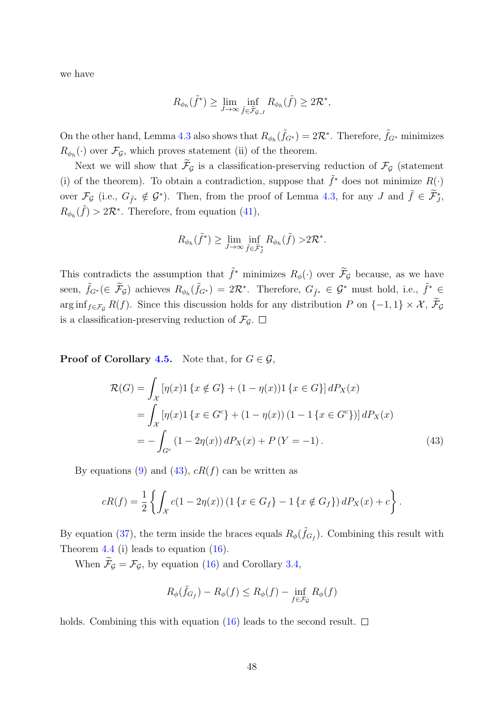we have

$$
R_{\phi_h}(\tilde{f}^*) \ge \lim_{J \to \infty} \inf_{\tilde{f} \in \tilde{\mathcal{F}}_{\mathcal{G},J}} R_{\phi_h}(\tilde{f}) \ge 2\mathcal{R}^*,
$$

On the other hand, Lemma [4.3](#page-22-2) also shows that  $R_{\phi_h}(\tilde{f}_{G^*}) = 2\mathcal{R}^*$ . Therefore,  $\tilde{f}_{G^*}$  minimizes  $R_{\phi_h}(\cdot)$  over  $\mathcal{F}_{\mathcal{G}}$ , which proves statement (ii) of the theorem.

Next we will show that  $\widetilde{\mathcal{F}}_{\mathcal{G}}$  is a classification-preserving reduction of  $\mathcal{F}_{\mathcal{G}}$  (statement (i) of the theorem). To obtain a contradiction, suppose that  $\tilde{f}^*$  does not minimize  $R(\cdot)$ over  $\mathcal{F}_{\mathcal{G}}$  (i.e.,  $G_{\tilde{f}^*} \notin \mathcal{G}^*$ ). Then, from the proof of Lemma [4.3,](#page-22-2) for any J and  $\tilde{f} \in \tilde{\mathcal{F}}^*_{J}$ ,  $R_{\phi_h}(\tilde{f}) > 2\mathcal{R}^*$ . Therefore, from equation [\(41\)](#page-46-1),

$$
R_{\phi_h}(\tilde{f}^*) \geq \lim_{J \to \infty} \inf_{\tilde{f} \in \tilde{\mathcal{F}}^*_J} R_{\phi_h}(\tilde{f}) > 2\mathcal{R}^*.
$$

This contradicts the assumption that  $\tilde{f}^*$  minimizes  $R_{\phi}(\cdot)$  over  $\tilde{\mathcal{F}}_{\mathcal{G}}$  because, as we have seen,  $\tilde{f}_{G^*}(\in \tilde{\mathcal{F}}_G)$  achieves  $R_{\phi_h}(\tilde{f}_{G^*}) = 2\mathcal{R}^*$ . Therefore,  $G_{\tilde{f}^*} \in \mathcal{G}^*$  must hold, i.e.,  $\tilde{f}^* \underset{\sim}{\in}$ arg inf<sub>f∈Fg</sub> R(f). Since this discussion holds for any distribution P on  $\{-1,1\} \times \mathcal{X}$ ,  $\widetilde{\mathcal{F}}_{\mathcal{G}}$ is a classification-preserving reduction of  $\mathcal{F}_{\mathcal{G}}$ .  $\Box$ 

**Proof of Corollary [4.5.](#page-23-1)** Note that, for  $G \in \mathcal{G}$ ,

$$
\mathcal{R}(G) = \int_{\mathcal{X}} \left[ \eta(x) \mathbf{1} \{ x \notin G \} + (1 - \eta(x)) \mathbf{1} \{ x \in G \} \right] dP_X(x)
$$
  
= 
$$
\int_{\mathcal{X}} \left[ \eta(x) \mathbf{1} \{ x \in G^c \} + (1 - \eta(x)) \left( 1 - \mathbf{1} \{ x \in G^c \} \right) \right] dP_X(x)
$$
  
= 
$$
- \int_{G^c} (1 - 2\eta(x)) dP_X(x) + P(Y = -1).
$$
 (43)

By equations [\(9\)](#page-14-0) and [\(43\)](#page-47-0),  $cR(f)$  can be written as

$$
cR(f) = \frac{1}{2} \left\{ \int_{\mathcal{X}} c(1 - 2\eta(x)) \left( 1 \{ x \in G_f \} - 1 \{ x \notin G_f \} \right) dP_X(x) + c \right\}.
$$

By equation [\(37\)](#page-44-2), the term inside the braces equals  $R_{\phi}(\tilde{f}_{G_f})$ . Combining this result with Theorem [4.4](#page-22-1) (i) leads to equation [\(16\)](#page-23-2).

When  $\widetilde{\mathcal{F}}_{\mathcal{G}} = \mathcal{F}_{\mathcal{G}}$ , by equation [\(16\)](#page-23-2) and Corollary [3.4,](#page-18-0)

<span id="page-47-0"></span>
$$
R_{\phi}(\tilde{f}_{G_f}) - R_{\phi}(f) \le R_{\phi}(f) - \inf_{f \in \mathcal{F}_{\mathcal{G}}} R_{\phi}(f)
$$

holds. Combining this with equation [\(16\)](#page-23-2) leads to the second result.  $\Box$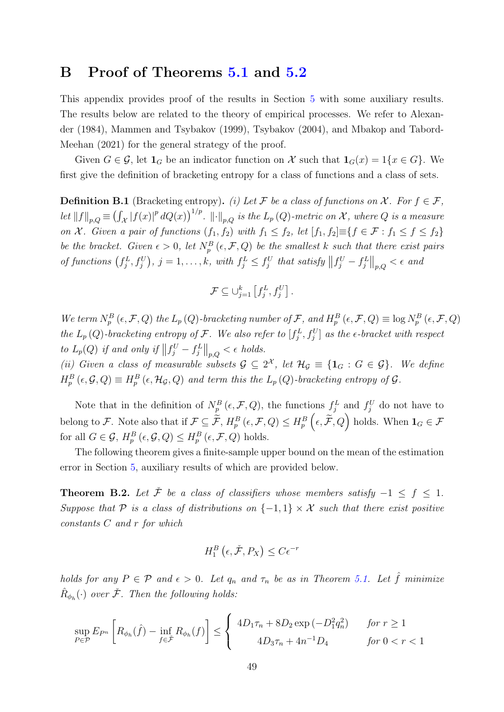# B Proof of Theorems [5.1](#page-26-0) and [5.2](#page-27-0)

This appendix provides proof of the results in Section [5](#page-25-0) with some auxiliary results. The results below are related to the theory of empirical processes. We refer to [Alexan](#page-80-1)[der](#page-80-1) [\(1984\)](#page-80-1), [Mammen and Tsybakov](#page-83-0) [\(1999\)](#page-83-0), [Tsybakov](#page-84-0) [\(2004\)](#page-84-0), and [Mbakop and Tabord-](#page-83-1)[Meehan](#page-83-1) [\(2021\)](#page-83-1) for the general strategy of the proof.

Given  $G \in \mathcal{G}$ , let  $\mathbf{1}_G$  be an indicator function on X such that  $\mathbf{1}_G(x) = 1\{x \in G\}$ . We first give the definition of bracketing entropy for a class of functions and a class of sets.

**Definition B.1** (Bracketing entropy). (i) Let F be a class of functions on X. For  $f \in \mathcal{F}$ , let  $||f||_{p,Q} \equiv (\int_{\mathcal{X}} |f(x)|^p dQ(x))^{1/p}$ .  $||\cdot||_{p,Q}$  is the  $L_p(Q)$ -metric on X, where Q is a measure on X. Given a pair of functions  $(f_1, f_2)$  with  $f_1 \leq f_2$ , let  $[f_1, f_2] \equiv \{f \in \mathcal{F} : f_1 \leq f \leq f_2\}$ be the bracket. Given  $\epsilon > 0$ , let  $N_p^B(\epsilon, \mathcal{F}, Q)$  be the smallest k such that there exist pairs of functions  $(f_j^L, f_j^U)$ ,  $j = 1, ..., k$ , with  $f_j^L \leq f_j^U$  that satisfy  $||f_j^U - f_j^L||_{p,Q} < \epsilon$  and

$$
\mathcal{F} \subseteq \bigcup_{j=1}^k \left[ f_j^L, f_j^U \right].
$$

We term  $N_p^B(\epsilon, \mathcal{F}, Q)$  the  $L_p(Q)$ -bracketing number of  $\mathcal{F}$ , and  $H_p^B(\epsilon, \mathcal{F}, Q) \equiv \log N_p^B(\epsilon, \mathcal{F}, Q)$ the  $L_p(Q)$ -bracketing entropy of F. We also refer to  $[f_j^L, f_j^U]$  as the  $\epsilon$ -bracket with respect to  $L_p(Q)$  if and only if  $\left\|f_j^U-f_j^L\right\|_{p,Q} < \epsilon$  holds.

(ii) Given a class of measurable subsets  $\mathcal{G} \subseteq 2^{\mathcal{X}}$ , let  $\mathcal{H}_{\mathcal{G}} \equiv \{\mathbf{1}_G : G \in \mathcal{G}\}\$ . We define  $H_p^B\left(\epsilon, \mathcal{G}, Q\right) \equiv H_p^B\left(\epsilon, \mathcal{H}_{\mathcal{G}}, Q\right)$  and term this the  $L_p\left(Q\right)$ -bracketing entropy of  $\mathcal{G}$ .

Note that in the definition of  $N_p^B(\epsilon, \mathcal{F}, Q)$ , the functions  $f_j^L$  and  $f_j^U$  do not have to belong to F. Note also that if  $\mathcal{F} \subseteq \widetilde{\mathcal{F}}$ ,  $H_p^B\left(\epsilon, \mathcal{F}, Q\right) \leq H_p^B\left(\epsilon, \widetilde{\mathcal{F}}, Q\right)$  holds. When  $\mathbf{1}_G \in \mathcal{F}$ for all  $G \in \mathcal{G}$ ,  $H_p^B(\epsilon, \mathcal{G}, Q) \leq H_p^B(\epsilon, \mathcal{F}, Q)$  holds.

The following theorem gives a finite-sample upper bound on the mean of the estimation error in Section [5,](#page-25-0) auxiliary results of which are provided below.

<span id="page-48-0"></span>**Theorem B.2.** Let  $\check{\mathcal{F}}$  be a class of classifiers whose members satisfy  $-1 \leq f \leq 1$ . Suppose that P is a class of distributions on  $\{-1,1\} \times \mathcal{X}$  such that there exist positive constants C and r for which

$$
H_1^B\left(\epsilon, \check{\mathcal{F}}, P_X\right) \le C\epsilon^{-r}
$$

holds for any  $P \in \mathcal{P}$  and  $\epsilon > 0$ . Let  $q_n$  and  $\tau_n$  be as in Theorem [5.1.](#page-26-0) Let  $\hat{f}$  minimize  $\hat{R}_{\phi_h}(\cdot)$  over  $\check{\mathcal{F}}$ . Then the following holds:

$$
\sup_{P \in \mathcal{P}} E_{P^n} \left[ R_{\phi_h}(\hat{f}) - \inf_{f \in \check{\mathcal{F}}} R_{\phi_h}(f) \right] \le \begin{cases} 4D_1 \tau_n + 8D_2 \exp(-D_1^2 q_n^2) & \text{for } r \ge 1\\ 4D_3 \tau_n + 4n^{-1} D_4 & \text{for } 0 < r < 1 \end{cases}
$$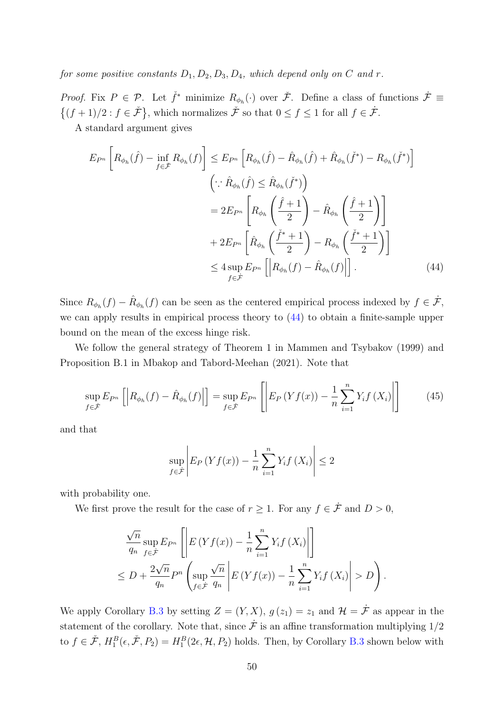for some positive constants  $D_1, D_2, D_3, D_4$ , which depend only on C and r.

*Proof.* Fix  $P \in \mathcal{P}$ . Let  $\check{f}^*$  minimize  $R_{\phi_h}(\cdot)$  over  $\check{\mathcal{F}}$ . Define a class of functions  $\dot{\mathcal{F}} \equiv$  $\{(f+1)/2 : f \in \check{\mathcal{F}}\}\,$ , which normalizes  $\check{\mathcal{F}}$  so that  $0 \le f \le 1$  for all  $f \in \check{\mathcal{F}}\,$ .

A standard argument gives

$$
E_{P^n} \left[ R_{\phi_h}(\hat{f}) - \inf_{f \in \tilde{\mathcal{F}}} R_{\phi_h}(f) \right] \le E_{P^n} \left[ R_{\phi_h}(\hat{f}) - \hat{R}_{\phi_h}(\hat{f}) + \hat{R}_{\phi_h}(\check{f}^*) - R_{\phi_h}(\check{f}^*) \right]
$$
  

$$
\left( \because \hat{R}_{\phi_h}(\hat{f}) \le \hat{R}_{\phi_h}(\check{f}^*) \right)
$$
  

$$
= 2E_{P^n} \left[ R_{\phi_h} \left( \frac{\hat{f} + 1}{2} \right) - \hat{R}_{\phi_h} \left( \frac{\hat{f} + 1}{2} \right) \right]
$$
  

$$
+ 2E_{P^n} \left[ \hat{R}_{\phi_h} \left( \frac{\check{f}^* + 1}{2} \right) - R_{\phi_h} \left( \frac{\check{f}^* + 1}{2} \right) \right]
$$
  

$$
\le 4 \sup_{f \in \dot{\mathcal{F}}} E_{P^n} \left[ \left| R_{\phi_h}(f) - \hat{R}_{\phi_h}(f) \right| \right]. \tag{44}
$$

Since  $R_{\phi_h}(f) - \hat{R}_{\phi_h}(f)$  can be seen as the centered empirical process indexed by  $f \in \dot{\mathcal{F}}$ , we can apply results in empirical process theory to [\(44\)](#page-49-0) to obtain a finite-sample upper bound on the mean of the excess hinge risk.

We follow the general strategy of Theorem 1 in [Mammen and Tsybakov](#page-83-0) [\(1999\)](#page-83-0) and Proposition B.1 in [Mbakop and Tabord-Meehan](#page-83-1) [\(2021\)](#page-83-1). Note that

$$
\sup_{f \in \mathcal{F}} E_{P^n} \left[ \left| R_{\phi_h}(f) - \hat{R}_{\phi_h}(f) \right| \right] = \sup_{f \in \mathcal{F}} E_{P^n} \left[ \left| E_P \left( Y f(x) \right) - \frac{1}{n} \sum_{i=1}^n Y_i f \left( X_i \right) \right| \right] \tag{45}
$$

and that

<span id="page-49-1"></span><span id="page-49-0"></span>
$$
\sup_{f \in \mathcal{F}} \left| E_P \left( Y f(x) \right) - \frac{1}{n} \sum_{i=1}^n Y_i f \left( X_i \right) \right| \le 2
$$

with probability one.

We first prove the result for the case of  $r \geq 1$ . For any  $f \in \dot{\mathcal{F}}$  and  $D > 0$ ,

$$
\frac{\sqrt{n}}{q_n} \sup_{f \in \mathcal{F}} E_{P^n} \left[ \left| E\left(Yf(x)\right) - \frac{1}{n} \sum_{i=1}^n Y_i f\left(X_i\right) \right| \right] \le D + \frac{2\sqrt{n}}{q_n} P^n \left( \sup_{f \in \mathcal{F}} \frac{\sqrt{n}}{q_n} \left| E\left(Yf(x)\right) - \frac{1}{n} \sum_{i=1}^n Y_i f\left(X_i\right) \right| > D \right).
$$

We apply Corollary [B.3](#page-51-0) by setting  $Z = (Y, X), g(z_1) = z_1$  and  $\mathcal{H} = \dot{\mathcal{F}}$  as appear in the statement of the corollary. Note that, since  $\dot{\mathcal{F}}$  is an affine transformation multiplying  $1/2$ to  $f \in \check{\mathcal{F}}, H_1^B(\epsilon, \check{\mathcal{F}}, P_2) = H_1^B(2\epsilon, \mathcal{H}, P_2)$  holds. Then, by Corollary [B.3](#page-51-0) shown below with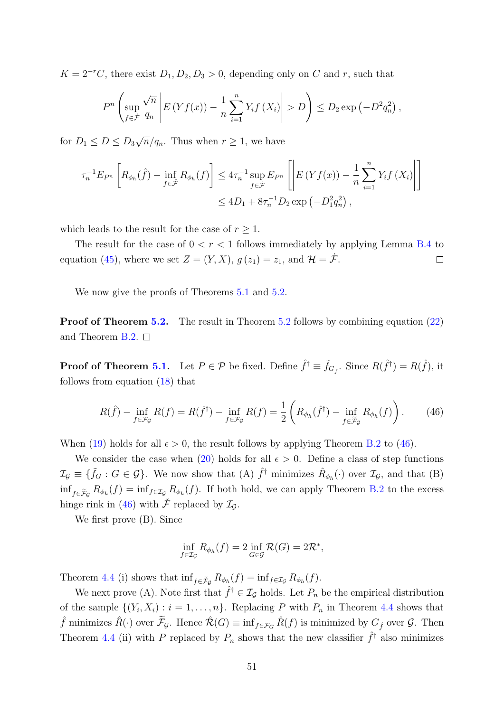$K = 2^{-r}C$ , there exist  $D_1, D_2, D_3 > 0$ , depending only on C and r, such that

$$
P^{n}\left(\sup_{f\in\mathcal{F}}\frac{\sqrt{n}}{q_{n}}\left|E\left(Yf(x)\right)-\frac{1}{n}\sum_{i=1}^{n}Y_{i}f\left(X_{i}\right)\right|>D\right)\leq D_{2}\exp\left(-D^{2}q_{n}^{2}\right),
$$

for  $D_1 \leq D \leq D_3$ √  $\overline{n}/q_n$ . Thus when  $r \geq 1$ , we have

$$
\tau_n^{-1} E_{P^n} \left[ R_{\phi_h}(\hat{f}) - \inf_{f \in \tilde{\mathcal{F}}} R_{\phi_h}(f) \right] \le 4 \tau_n^{-1} \sup_{f \in \tilde{\mathcal{F}}} E_{P^n} \left[ \left| E \left( Y f(x) \right) - \frac{1}{n} \sum_{i=1}^n Y_i f \left( X_i \right) \right| \right] \le 4D_1 + 8\tau_n^{-1} D_2 \exp \left( -D_1^2 q_n^2 \right),
$$

which leads to the result for the case of  $r \geq 1$ .

The result for the case of  $0 < r < 1$  follows immediately by applying Lemma [B.4](#page-52-0) to equation [\(45\)](#page-49-1), where we set  $Z = (Y, X), g(z_1) = z_1$ , and  $\mathcal{H} = \dot{\mathcal{F}}$ .  $\Box$ 

We now give the proofs of Theorems [5.1](#page-26-0) and [5.2.](#page-27-0)

Proof of Theorem [5.2.](#page-27-0) The result in Theorem [5.2](#page-27-0) follows by combining equation [\(22\)](#page-27-1) and Theorem [B.2.](#page-48-0)  $\Box$ 

**Proof of Theorem [5.1.](#page-26-0)** Let  $P \in \mathcal{P}$  be fixed. Define  $\hat{f}^{\dagger} \equiv \tilde{f}_{G_{\hat{f}}}$ . Since  $R(\hat{f}^{\dagger}) = R(\hat{f})$ , it follows from equation [\(18\)](#page-26-1) that

$$
R(\hat{f}) - \inf_{f \in \mathcal{F}_{\mathcal{G}}} R(f) = R(\hat{f}^{\dagger}) - \inf_{f \in \mathcal{F}_{\mathcal{G}}} R(f) = \frac{1}{2} \left( R_{\phi_h}(\hat{f}^{\dagger}) - \inf_{f \in \tilde{\mathcal{F}}_{\mathcal{G}}} R_{\phi_h}(f) \right). \tag{46}
$$

When [\(19\)](#page-26-2) holds for all  $\epsilon > 0$ , the result follows by applying Theorem [B.2](#page-48-0) to [\(46\)](#page-50-0).

We consider the case when [\(20\)](#page-26-3) holds for all  $\epsilon > 0$ . Define a class of step functions  $\mathcal{I}_{\mathcal{G}} \equiv \{ \tilde{f}_G : G \in \mathcal{G} \}$ . We now show that  $(A)$   $\hat{f}^{\dagger}$  minimizes  $\hat{R}_{\phi_h}(\cdot)$  over  $\mathcal{I}_{\mathcal{G}}$ , and that  $(B)$  $\inf_{f \in \tilde{\mathcal{F}}_{\mathcal{G}}} R_{\phi_h}(f) = \inf_{f \in \mathcal{I}_{\mathcal{G}}} R_{\phi_h}(f)$ . If both hold, we can apply Theorem [B.2](#page-48-0) to the excess hinge rink in [\(46\)](#page-50-0) with  $\mathcal F$  replaced by  $\mathcal I_G$ .

We first prove (B). Since

<span id="page-50-0"></span>
$$
\inf_{f \in \mathcal{I}_{\mathcal{G}}} R_{\phi_h}(f) = 2 \inf_{G \in \mathcal{G}} \mathcal{R}(G) = 2\mathcal{R}^*,
$$

Theorem [4.4](#page-22-1) (i) shows that  $\inf_{f \in \tilde{\mathcal{F}}_{\mathcal{G}}} R_{\phi_h}(f) = \inf_{f \in \mathcal{I}_{\mathcal{G}}} R_{\phi_h}(f)$ .

We next prove (A). Note first that  $\hat{f}^{\dagger} \in I_{\mathcal{G}}$  holds. Let  $P_n$  be the empirical distribution of the sample  $\{(Y_i, X_i) : i = 1, \ldots, n\}$ . Replacing P with  $P_n$  in Theorem [4.4](#page-22-1) shows that  $\hat{f}$  minimizes  $\hat{R}(\cdot)$  over  $\widetilde{\mathcal{F}}_{\mathcal{G}}$ . Hence  $\hat{\mathcal{R}}(G) \equiv \inf_{f \in \mathcal{F}_G} \hat{R}(f)$  is minimized by  $G_{\hat{f}}$  over  $\mathcal{G}$ . Then Theorem [4.4](#page-22-1) (ii) with P replaced by  $P_n$  shows that the new classifier  $\hat{f}^{\dagger}$  also minimizes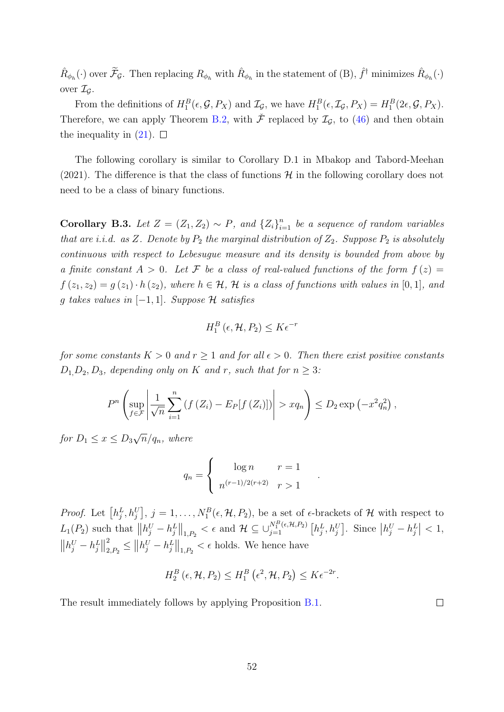$\hat{R}_{\phi_h}(\cdot)$  over  $\widetilde{\mathcal{F}}_{\mathcal{G}}$ . Then replacing  $R_{\phi_h}$  with  $\hat{R}_{\phi_h}$  in the statement of (B),  $\hat{f}^{\dagger}$  minimizes  $\hat{R}_{\phi_h}(\cdot)$ over  $\mathcal{I}_G$ .

From the definitions of  $H_1^B(\epsilon, \mathcal{G}, P_X)$  and  $\mathcal{I}_{\mathcal{G}}$ , we have  $H_1^B(\epsilon, \mathcal{I}_{\mathcal{G}}, P_X) = H_1^B(2\epsilon, \mathcal{G}, P_X)$ . Therefore, we can apply Theorem [B.2,](#page-48-0) with  $\tilde{\mathcal{F}}$  replaced by  $\mathcal{I}_{\mathcal{G}}$ , to [\(46\)](#page-50-0) and then obtain the inequality in  $(21)$ .  $\Box$ 

The following corollary is similar to Corollary D.1 in [Mbakop and Tabord-Meehan](#page-83-1) [\(2021\)](#page-83-1). The difference is that the class of functions  $\mathcal{H}$  in the following corollary does not need to be a class of binary functions.

<span id="page-51-0"></span>Corollary B.3. Let  $Z = (Z_1, Z_2) \sim P$ , and  $\{Z_i\}_{i=1}^n$  be a sequence of random variables that are i.i.d. as Z. Denote by  $P_2$  the marginal distribution of  $Z_2$ . Suppose  $P_2$  is absolutely continuous with respect to Lebesugue measure and its density is bounded from above by a finite constant  $A > 0$ . Let F be a class of real-valued functions of the form  $f(z) =$  $f(z_1, z_2) = g(z_1) \cdot h(z_2)$ , where  $h \in \mathcal{H}$ ,  $\mathcal{H}$  is a class of functions with values in [0, 1], and g takes values in  $[-1, 1]$ . Suppose H satisfies

$$
H_1^B\left(\epsilon, \mathcal{H}, P_2\right) \leq K\epsilon^{-r}
$$

for some constants  $K > 0$  and  $r \ge 1$  and for all  $\epsilon > 0$ . Then there exist positive constants  $D_1, D_2, D_3$ , depending only on K and r, such that for  $n \geq 3$ :

$$
P^{n}\left(\sup_{f\in\mathcal{F}}\left|\frac{1}{\sqrt{n}}\sum_{i=1}^{n}\left(f\left(Z_{i}\right)-E_{P}[f\left(Z_{i}\right)]\right)\right|>xq_{n}\right)\leq D_{2}\exp\left(-x^{2}q_{n}^{2}\right),
$$

for  $D_1 \leq x \leq D_3$ √  $\overline{n}/q_n$ , where

$$
q_n = \begin{cases} \log n & r = 1\\ n^{(r-1)/2(r+2)} & r > 1 \end{cases}
$$

.

*Proof.* Let  $[h_j^L, h_j^U], j = 1, \ldots, N_1^B(\epsilon, \mathcal{H}, P_2)$ , be a set of  $\epsilon$ -brackets of  $\mathcal{H}$  with respect to  $L_1(P_2)$  such that  $||h_j^U - h_j^L||_{1,P_2} < \epsilon$  and  $\mathcal{H} \subseteq \bigcup_{j=1}^{N_1^B(\epsilon,\mathcal{H},P_2)} [h_j^L, h_j^U]$ . Since  $|h_j^U - h_j^L| < 1$ ,  $||h_j^U - h_j^L||$ 2  $\left\| \mu_j^U - \mu_j^L \right\|_{1, P_2} < \epsilon$  holds. We hence have

$$
H_2^B\left(\epsilon,\mathcal{H},P_2\right)\leq H_1^B\left(\epsilon^2,\mathcal{H},P_2\right)\leq K\epsilon^{-2r}.
$$

The result immediately follows by applying Proposition [B.1.](#page-53-0)

 $\Box$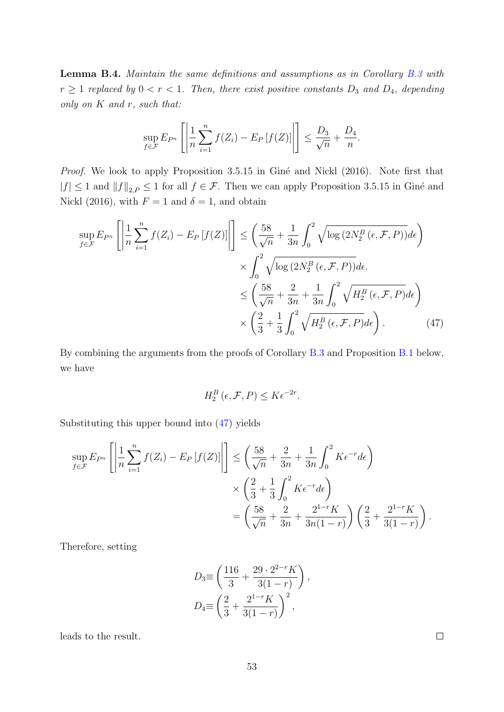<span id="page-52-0"></span>Lemma B.4. Maintain the same definitions and assumptions as in Corollary [B.3](#page-51-0) with  $r \geq 1$  replaced by  $0 < r < 1$ . Then, there exist positive constants  $D_3$  and  $D_4$ , depending only on  $K$  and  $r$ , such that:

$$
\sup_{f \in \mathcal{F}} E_{P^n} \left[ \left| \frac{1}{n} \sum_{i=1}^n f(Z_i) - E_P \left[ f(Z) \right] \right| \right] \le \frac{D_3}{\sqrt{n}} + \frac{D_4}{n}.
$$

Proof. We look to apply Proposition 3.5.15 in Giné and Nickl [\(2016\)](#page-81-0). Note first that  $|f| \leq 1$  and  $||f||_{2,P} \leq 1$  for all  $f \in \mathcal{F}$ . Then we can apply Proposition 3.5.15 in Giné and [Nickl](#page-81-0) [\(2016\)](#page-81-0), with  $F = 1$  and  $\delta = 1$ , and obtain

$$
\sup_{f \in \mathcal{F}} E_{P^n} \left[ \left| \frac{1}{n} \sum_{i=1}^n f(Z_i) - E_P \left[ f(Z) \right] \right| \right] \leq \left( \frac{58}{\sqrt{n}} + \frac{1}{3n} \int_0^2 \sqrt{\log(2N_2^B(\epsilon, \mathcal{F}, P))} d\epsilon \right) \times \int_0^2 \sqrt{\log(2N_2^B(\epsilon, \mathcal{F}, P))} d\epsilon.
$$
  

$$
\leq \left( \frac{58}{\sqrt{n}} + \frac{2}{3n} + \frac{1}{3n} \int_0^2 \sqrt{H_2^B(\epsilon, \mathcal{F}, P)} d\epsilon \right) \times \left( \frac{2}{3} + \frac{1}{3} \int_0^2 \sqrt{H_2^B(\epsilon, \mathcal{F}, P)} d\epsilon \right).
$$
(47)

By combining the arguments from the proofs of Corollary [B.3](#page-51-0) and Proposition [B.1](#page-53-0) below, we have

<span id="page-52-1"></span>
$$
H_2^B\left(\epsilon, \mathcal{F}, P\right) \leq K \epsilon^{-2r}.
$$

Substituting this upper bound into [\(47\)](#page-52-1) yields

$$
\sup_{f \in \mathcal{F}} E_{P^n} \left[ \left| \frac{1}{n} \sum_{i=1}^n f(Z_i) - E_P \left[ f(Z) \right] \right| \right] \le \left( \frac{58}{\sqrt{n}} + \frac{2}{3n} + \frac{1}{3n} \int_0^2 K \epsilon^{-r} d\epsilon \right) \times \left( \frac{2}{3} + \frac{1}{3} \int_0^2 K \epsilon^{-r} d\epsilon \right) \n= \left( \frac{58}{\sqrt{n}} + \frac{2}{3n} + \frac{2^{1-r} K}{3n(1-r)} \right) \left( \frac{2}{3} + \frac{2^{1-r} K}{3(1-r)} \right).
$$

Therefore, setting

$$
D_3 \equiv \left(\frac{116}{3} + \frac{29 \cdot 2^{2-r} K}{3(1-r)}\right),
$$
  

$$
D_4 \equiv \left(\frac{2}{3} + \frac{2^{1-r} K}{3(1-r)}\right)^2,
$$

leads to the result.

 $\Box$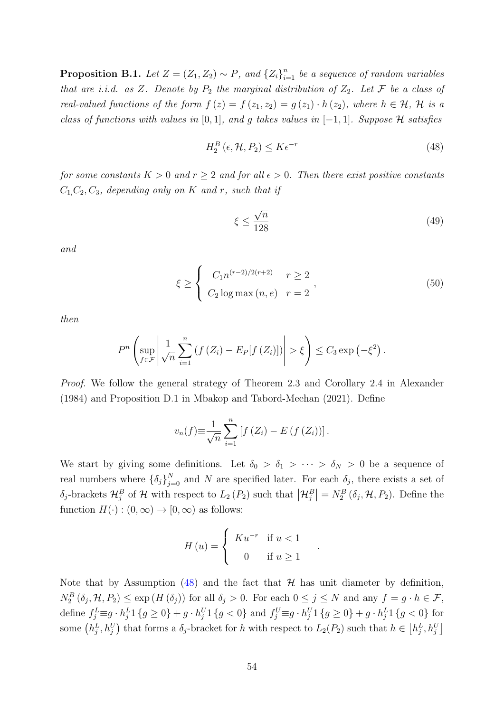<span id="page-53-0"></span>**Proposition B.1.** Let  $Z = (Z_1, Z_2) \sim P$ , and  $\{Z_i\}_{i=1}^n$  be a sequence of random variables that are i.i.d. as Z. Denote by  $P_2$  the marginal distribution of  $Z_2$ . Let  $\mathcal F$  be a class of real-valued functions of the form  $f(z) = f(z_1, z_2) = g(z_1) \cdot h(z_2)$ , where  $h \in \mathcal{H}$ ,  $\mathcal{H}$  is a class of functions with values in [0,1], and g takes values in  $[-1, 1]$ . Suppose H satisfies

$$
H_2^B\left(\epsilon, \mathcal{H}, P_2\right) \le K\epsilon^{-r} \tag{48}
$$

for some constants  $K > 0$  and  $r \geq 2$  and for all  $\epsilon > 0$ . Then there exist positive constants  $C_1, C_2, C_3$ , depending only on K and r, such that if

<span id="page-53-3"></span><span id="page-53-2"></span><span id="page-53-1"></span>
$$
\xi \le \frac{\sqrt{n}}{128} \tag{49}
$$

and

$$
\xi \ge \begin{cases} C_1 n^{(r-2)/2(r+2)} & r \ge 2 \\ C_2 \log \max(n, e) & r = 2 \end{cases},
$$
\n(50)

.

then

$$
P^{n}\left(\sup_{f\in\mathcal{F}}\left|\frac{1}{\sqrt{n}}\sum_{i=1}^{n}\left(f\left(Z_{i}\right)-E_{P}[f\left(Z_{i}\right)]\right)\right|>\xi\right)\leq C_{3}\exp\left(-\xi^{2}\right).
$$

Proof. We follow the general strategy of Theorem 2.3 and Corollary 2.4 in [Alexander](#page-80-1) [\(1984\)](#page-80-1) and Proposition D.1 in [Mbakop and Tabord-Meehan](#page-83-1) [\(2021\)](#page-83-1). Define

$$
v_n(f) \equiv \frac{1}{\sqrt{n}} \sum_{i=1}^n \left[ f\left(Z_i\right) - E\left(f\left(Z_i\right)\right) \right].
$$

We start by giving some definitions. Let  $\delta_0 > \delta_1 > \cdots > \delta_N > 0$  be a sequence of real numbers where  $\{\delta_j\}_{j=0}^N$  and N are specified later. For each  $\delta_j$ , there exists a set of  $\delta_j$ -brackets  $\mathcal{H}_j^B$  of  $\mathcal H$  with respect to  $L_2(P_2)$  such that  $\left|\mathcal{H}_j^B\right|=N_2^B(\delta_j,\mathcal{H},P_2)$ . Define the function  $H(\cdot) : (0, \infty) \to [0, \infty)$  as follows:

$$
H\left(u\right) = \begin{cases} K u^{-r} & \text{if } u < 1 \\ 0 & \text{if } u \ge 1 \end{cases}
$$

Note that by Assumption [\(48\)](#page-53-1) and the fact that  $H$  has unit diameter by definition,  $N_2^B(\delta_j, \mathcal{H}, P_2) \le \exp(H(\delta_j))$  for all  $\delta_j > 0$ . For each  $0 \le j \le N$  and any  $f = g \cdot h \in \mathcal{F}$ , define  $f_j^L \equiv g \cdot h_j^L 1 \{g \ge 0\} + g \cdot h_j^U 1 \{g < 0\}$  and  $f_j^U \equiv g \cdot h_j^U 1 \{g \ge 0\} + g \cdot h_j^L 1 \{g < 0\}$  for some  $(h_j^L, h_j^U)$  that forms a  $\delta_j$ -bracket for h with respect to  $L_2(P_2)$  such that  $h \in [h_j^L, h_j^U]$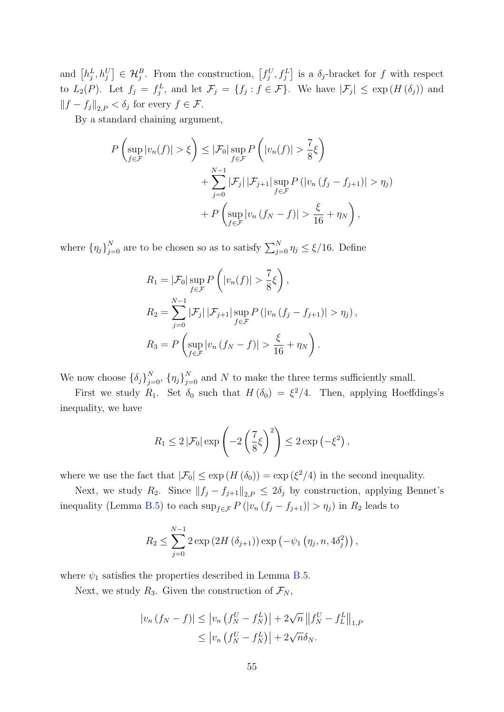and  $[h_j^L, h_j^U] \in \mathcal{H}_j^B$ . From the construction,  $[f_j^U, f_j^L]$  is a  $\delta_j$ -bracket for f with respect to  $L_2(P)$ . Let  $f_j = f_j^L$ , and let  $\mathcal{F}_j = \{f_j : f \in \mathcal{F}\}$ . We have  $|\mathcal{F}_j| \le \exp(H(\delta_j))$  and  $\left\|f - f_j\right\|_{2,P} < \delta_j$  for every  $f \in \mathcal{F}$ .

By a standard chaining argument,

$$
P\left(\sup_{f\in\mathcal{F}}|v_n(f)| > \xi\right) \leq |\mathcal{F}_0|\sup_{f\in\mathcal{F}}P\left(|v_n(f)| > \frac{7}{8}\xi\right)
$$
  
+ 
$$
\sum_{j=0}^{N-1} |\mathcal{F}_j| |\mathcal{F}_{j+1}|\sup_{f\in\mathcal{F}}P\left(|v_n(f_j - f_{j+1})| > \eta_j\right)
$$
  
+ 
$$
P\left(\sup_{f\in\mathcal{F}}|v_n(f_N - f)| > \frac{\xi}{16} + \eta_N\right),
$$

where  ${\{\eta_j\}}_{j=0}^N$  are to be chosen so as to satisfy  $\sum_{j=0}^N \eta_j \leq \xi/16$ . Define

$$
R_1 = |\mathcal{F}_0| \sup_{f \in \mathcal{F}} P\left(|v_n(f)| > \frac{7}{8}\xi\right),
$$
  
\n
$$
R_2 = \sum_{j=0}^{N-1} |\mathcal{F}_j| |\mathcal{F}_{j+1}| \sup_{f \in \mathcal{F}} P\left(|v_n(f_j - f_{j+1})| > \eta_j\right),
$$
  
\n
$$
R_3 = P\left(\sup_{f \in \mathcal{F}} |v_n(f_N - f)| > \frac{\xi}{16} + \eta_N\right).
$$

We now choose  $\{\delta_j\}_{j=0}^N$ ,  $\{\eta_j\}_{j=0}^N$  and N to make the three terms sufficiently small.

First we study  $R_1$ . Set  $\delta_0$  such that  $H(\delta_0) = \xi^2/4$ . Then, applying Hoeffdings's inequality, we have

$$
R_1 \leq 2 |\mathcal{F}_0| \exp\left(-2\left(\frac{7}{8}\xi\right)^2\right) \leq 2\exp\left(-\xi^2\right),
$$

where we use the fact that  $|\mathcal{F}_0| \leq \exp(H(\delta_0)) = \exp(\xi^2/4)$  in the second inequality.

Next, we study R<sub>2</sub>. Since  $||f_j - f_{j+1}||_{2,P} \leq 2\delta_j$  by construction, applying Bennet's inequality (Lemma [B.5\)](#page-57-0) to each  $\sup_{f \in \mathcal{F}} P(|v_n (f_j - f_{j+1})| > \eta_j)$  in  $R_2$  leads to

$$
R_2 \le \sum_{j=0}^{N-1} 2 \exp(2H(\delta_{j+1})) \exp(-\psi_1(\eta_j, n, 4\delta_j^2)),
$$

where  $\psi_1$  satisfies the properties described in Lemma [B.5.](#page-57-0)

Next, we study  $R_3$ . Given the construction of  $\mathcal{F}_N$ ,

$$
|v_n(f_N - f)| \le |v_n(f_N^U - f_N^L)| + 2\sqrt{n} ||f_N^U - f_L^L||_{1,P} \le |v_n(f_N^U - f_N^L)| + 2\sqrt{n}\delta_N.
$$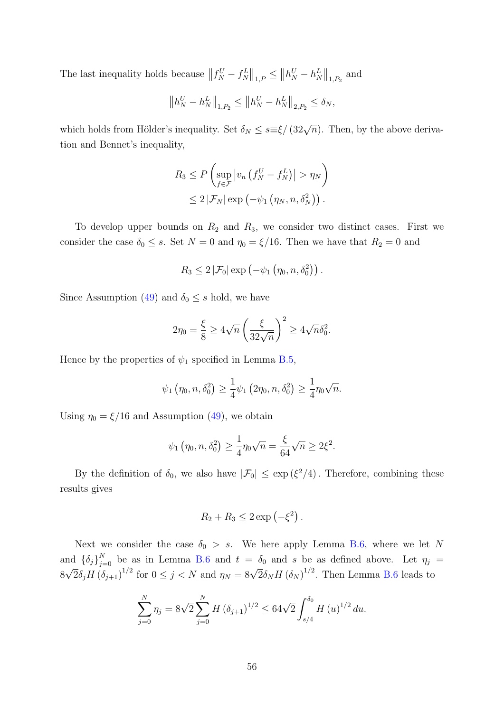The last inequality holds because  $|| f_N^U - f_N^L ||_{1,P} \le ||h_N^U - h_N^L||_{1,P_2}$  and

$$
||h_N^U - h_N^L||_{1,P_2} \le ||h_N^U - h_N^L||_{2,P_2} \le \delta_N,
$$

which holds from Hölder's inequality. Set  $\delta_N \leq s \equiv \xi/(32\sqrt{n})$ . Then, by the above derivation and Bennet's inequality,

$$
R_3 \le P\left(\sup_{f \in \mathcal{F}} \left| v_n \left(f_N^U - f_N^L\right) \right| > \eta_N\right)
$$
  

$$
\le 2 \left| \mathcal{F}_N \right| \exp\left(-\psi_1 \left(\eta_N, n, \delta_N^2\right)\right).
$$

To develop upper bounds on  $R_2$  and  $R_3$ , we consider two distinct cases. First we consider the case  $\delta_0 \leq s$ . Set  $N = 0$  and  $\eta_0 = \xi/16$ . Then we have that  $R_2 = 0$  and

$$
R_3\leq 2\left|\mathcal{F}_0\right|\exp\left(-\psi_1\left(\eta_0,n,\delta_0^2\right)\right).
$$

Since Assumption [\(49\)](#page-53-2) and  $\delta_0 \leq s$  hold, we have

$$
2\eta_0 = \frac{\xi}{8} \ge 4\sqrt{n} \left(\frac{\xi}{32\sqrt{n}}\right)^2 \ge 4\sqrt{n}\delta_0^2.
$$

Hence by the properties of  $\psi_1$  specified in Lemma [B.5,](#page-57-0)

$$
\psi_1(\eta_0, n, \delta_0^2) \ge \frac{1}{4}\psi_1(2\eta_0, n, \delta_0^2) \ge \frac{1}{4}\eta_0\sqrt{n}.
$$

Using  $\eta_0 = \xi/16$  and Assumption [\(49\)](#page-53-2), we obtain

$$
\psi_1(\eta_0, n, \delta_0^2) \ge \frac{1}{4} \eta_0 \sqrt{n} = \frac{\xi}{64} \sqrt{n} \ge 2\xi^2.
$$

By the definition of  $\delta_0$ , we also have  $|\mathcal{F}_0| \leq \exp(\xi^2/4)$ . Therefore, combining these results gives

$$
R_2 + R_3 \leq 2 \exp\left(-\xi^2\right).
$$

Next we consider the case  $\delta_0 > s$ . We here apply Lemma [B.6,](#page-57-1) where we let N and  $\{\delta_j\}_{j=0}^N$  be as in Lemma [B.6](#page-57-1) and  $t = \delta_0$  and s be as defined above. Let  $\eta_j = \sqrt{5}$   $\sigma_j \propto \sqrt{5}$   $\sigma_j \propto \sqrt{5}$  $8\sqrt{2}\delta_j H \left(\delta_{j+1}\right)^{1/2}$  for  $0 \le j < N$  and  $\eta_N = 8\sqrt{2}\delta_N H \left(\delta_N\right)^{1/2}$ . Then Lemma [B.6](#page-57-1) leads to

$$
\sum_{j=0}^{N} \eta_j = 8\sqrt{2} \sum_{j=0}^{N} H \left( \delta_{j+1} \right)^{1/2} \le 64\sqrt{2} \int_{s/4}^{\delta_0} H \left( u \right)^{1/2} du.
$$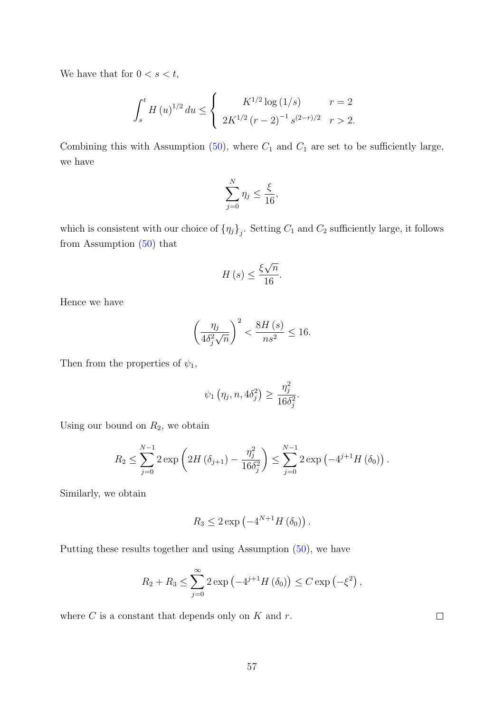We have that for  $0 < s < t$ ,

$$
\int_{s}^{t} H(u)^{1/2} du \leq \begin{cases} K^{1/2} \log(1/s) & r = 2 \\ 2K^{1/2} (r - 2)^{-1} s^{(2-r)/2} & r > 2. \end{cases}
$$

Combining this with Assumption [\(50\)](#page-53-3), where  $C_1$  and  $C_1$  are set to be sufficiently large, we have

$$
\sum_{j=0}^{N} \eta_j \le \frac{\xi}{16},
$$

which is consistent with our choice of  $\{\eta_j\}_j$ . Setting  $C_1$  and  $C_2$  sufficiently large, it follows from Assumption  $(50)$  that

$$
H\left(s\right) \le \frac{\xi\sqrt{n}}{16}.
$$

Hence we have

$$
\left(\frac{\eta_j}{4\delta_j^2\sqrt{n}}\right)^2 < \frac{8H\left(s\right)}{ns^2} \le 16.
$$

Then from the properties of  $\psi_1$ ,

$$
\psi_1(\eta_j, n, 4\delta_j^2) \ge \frac{\eta_j^2}{16\delta_j^2}.
$$

Using our bound on  $R_2$ , we obtain

$$
R_2 \le \sum_{j=0}^{N-1} 2 \exp \left( 2H (\delta_{j+1}) - \frac{\eta_j^2}{16 \delta_j^2} \right) \le \sum_{j=0}^{N-1} 2 \exp \left( -4^{j+1} H (\delta_0) \right).
$$

Similarly, we obtain

$$
R_3 \leq 2 \exp\left(-4^{N+1}H\left(\delta_0\right)\right).
$$

Putting these results together and using Assumption [\(50\)](#page-53-3), we have

$$
R_2 + R_3 \le \sum_{j=0}^{\infty} 2 \exp \left(-4^{j+1} H(\delta_0)\right) \le C \exp \left(-\xi^2\right),
$$

where  $C$  is a constant that depends only on  $K$  and  $r$ .

 $\Box$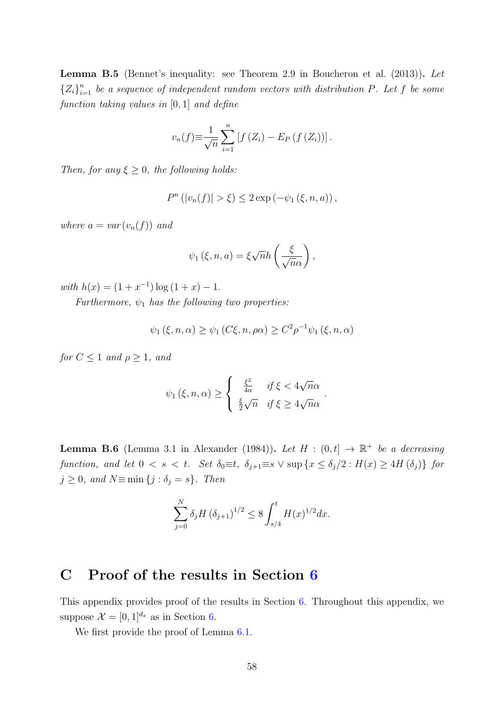<span id="page-57-0"></span>Lemma B.5 (Bennet's inequality: see Theorem 2.9 in [Boucheron et al.](#page-80-2) [\(2013\)](#page-80-2)). Let  ${Z_i}_{i=1}^n$  be a sequence of independent random vectors with distribution P. Let f be some function taking values in [0, 1] and define

$$
v_n(f) \equiv \frac{1}{\sqrt{n}} \sum_{i=1}^n [f(Z_i) - E_P(f(Z_i))].
$$

Then, for any  $\xi \geq 0$ , the following holds:

$$
P^{n}(|v_{n}(f)| > \xi) \leq 2 \exp(-\psi_{1}(\xi, n, a)),
$$

where  $a = var(v_n(f))$  and

$$
\psi_1(\xi, n, a) = \xi \sqrt{n} h\left(\frac{\xi}{\sqrt{n}\alpha}\right),\,
$$

with  $h(x) = (1 + x^{-1}) \log(1 + x) - 1$ .

Furthermore,  $\psi_1$  has the following two properties:

$$
\psi_1(\xi, n, \alpha) \ge \psi_1(C\xi, n, \rho\alpha) \ge C^2 \rho^{-1} \psi_1(\xi, n, \alpha)
$$

for  $C \leq 1$  and  $\rho \geq 1$ , and

$$
\psi_1(\xi, n, \alpha) \ge \begin{cases} \frac{\xi^2}{4\alpha} & \text{if } \xi < 4\sqrt{n}\alpha \\ \frac{\xi}{2}\sqrt{n} & \text{if } \xi \ge 4\sqrt{n}\alpha \end{cases}.
$$

<span id="page-57-1"></span>**Lemma B.6** (Lemma 3.1 in [Alexander](#page-80-1) [\(1984\)](#page-80-1)). Let  $H : (0,t] \rightarrow \mathbb{R}^+$  be a decreasing function, and let  $0 < s < t$ . Set  $\delta_0 \equiv t$ ,  $\delta_{j+1} \equiv s \vee \sup \{x \leq \delta_j/2 : H(x) \geq 4H(\delta_j)\}\$ for  $j \geq 0$ , and  $N \equiv \min \{j : \delta_j = s\}$ . Then

$$
\sum_{j=0}^{N} \delta_j H \left(\delta_{j+1}\right)^{1/2} \le 8 \int_{s/4}^t H(x)^{1/2} dx.
$$

# <span id="page-57-2"></span>C Proof of the results in Section [6](#page-28-0)

This appendix provides proof of the results in Section [6.](#page-28-0) Throughout this appendix, we suppose  $\mathcal{X} = [0, 1]^{d_x}$  as in Section [6.](#page-28-0)

We first provide the proof of Lemma [6.1.](#page-29-0)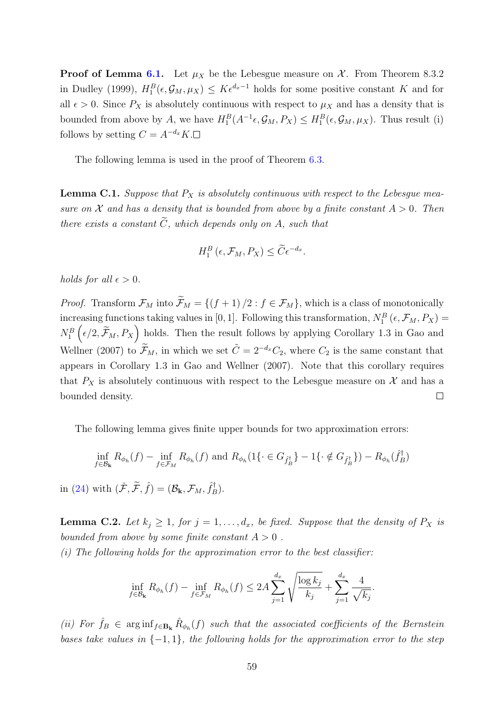**Proof of Lemma [6.1.](#page-29-0)** Let  $\mu_X$  be the Lebesgue measure on X. From Theorem 8.3.2 in [Dudley](#page-81-1) [\(1999\)](#page-81-1),  $H_1^B(\epsilon, \mathcal{G}_M, \mu_X) \leq K \epsilon^{d_x-1}$  holds for some positive constant K and for all  $\epsilon > 0$ . Since  $P_X$  is absolutely continuous with respect to  $\mu_X$  and has a density that is bounded from above by A, we have  $H_1^B(A^{-1} \epsilon, \mathcal{G}_M, P_X) \leq H_1^B(\epsilon, \mathcal{G}_M, \mu_X)$ . Thus result (i) follows by setting  $C = A^{-d_x} K. \Box$ 

The following lemma is used in the proof of Theorem [6.3.](#page-32-0)

<span id="page-58-1"></span>**Lemma C.1.** Suppose that  $P_X$  is absolutely continuous with respect to the Lebesgue measure on X and has a density that is bounded from above by a finite constant  $A > 0$ . Then there exists a constant  $\widetilde{C}$ , which depends only on A, such that

$$
H_1^B\left(\epsilon, \mathcal{F}_M, P_X\right) \leq \widetilde{C} \epsilon^{-d_x}.
$$

holds for all  $\epsilon > 0$ .

*Proof.* Transform  $\mathcal{F}_M$  into  $\widetilde{\mathcal{F}}_M = \{(f+1)/2 : f \in \mathcal{F}_M\}$ , which is a class of monotonically increasing functions taking values in [0, 1]. Following this transformation,  $N_1^B$  ( $\epsilon$ ,  $\mathcal{F}_M$ ,  $P_X$ ) =  $N_1^B(\epsilon/2, \widetilde{\mathcal{F}}_M, P_X)$  holds. Then the result follows by applying Corollary 1.3 in [Gao and](#page-81-2) [Wellner](#page-81-2) [\(2007\)](#page-81-2) to  $\widetilde{\mathcal{F}}_M$ , in which we set  $\widetilde{C} = 2^{-d_x}C_2$ , where  $C_2$  is the same constant that appears in Corollary 1.3 in [Gao and Wellner](#page-81-2) [\(2007\)](#page-81-2). Note that this corollary requires that  $P_X$  is absolutely continuous with respect to the Lebesgue measure on  $\mathcal X$  and has a bounded density.  $\Box$ 

The following lemma gives finite upper bounds for two approximation errors:

$$
\inf_{f \in \mathcal{B}_{\mathbf{k}}} R_{\phi_h}(f) - \inf_{f \in \mathcal{F}_M} R_{\phi_h}(f) \text{ and } R_{\phi_h}(1\{\cdot \in G_{\hat{f}_B}^{\dagger}\} - 1\{\cdot \notin G_{\hat{f}_B}^{\dagger}\}) - R_{\phi_h}(\hat{f}_B^{\dagger})
$$

in [\(24\)](#page-28-1) with  $(\check{\mathcal{F}}, \widetilde{\mathcal{F}}, \hat{f}) = (\mathcal{B}_{\mathbf{k}}, \mathcal{F}_M, \hat{f}_E^{\dagger})$  $\binom{1}{B}$ .

<span id="page-58-0"></span>**Lemma C.2.** Let  $k_j \geq 1$ , for  $j = 1, \ldots, d_x$ , be fixed. Suppose that the density of  $P_X$  is bounded from above by some finite constant  $A > 0$ .

 $(i)$  The following holds for the approximation error to the best classifier:

$$
\inf_{f \in \mathcal{B}_{\mathbf{k}}} R_{\phi_h}(f) - \inf_{f \in \mathcal{F}_M} R_{\phi_h}(f) \le 2A \sum_{j=1}^{d_x} \sqrt{\frac{\log k_j}{k_j}} + \sum_{j=1}^{d_x} \frac{4}{\sqrt{k_j}}.
$$

(ii) For  $\hat{f}_B \in \arginf_{f \in \mathbf{B_k}} \hat{R}_{\phi_h}(f)$  such that the associated coefficients of the Bernstein bases take values in  $\{-1, 1\}$ , the following holds for the approximation error to the step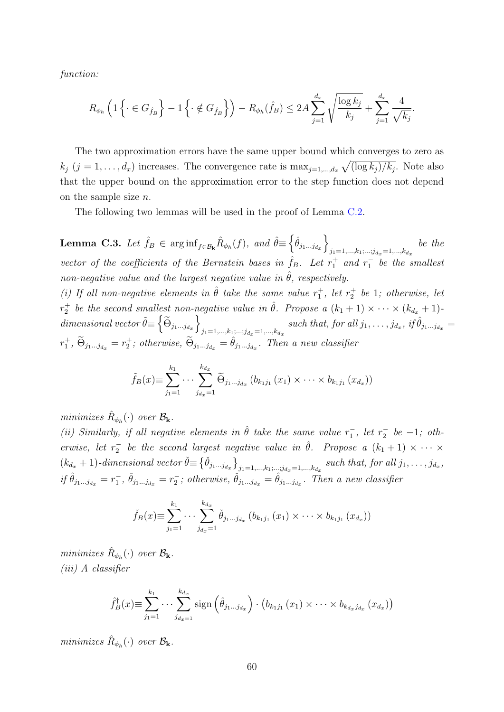function:

$$
R_{\phi_h} \left( 1 \left\{ \cdot \in G_{\hat{f}_B} \right\} - 1 \left\{ \cdot \notin G_{\hat{f}_B} \right\} \right) - R_{\phi_h}(\hat{f}_B) \le 2A \sum_{j=1}^{d_x} \sqrt{\frac{\log k_j}{k_j}} + \sum_{j=1}^{d_x} \frac{4}{\sqrt{k_j}}.
$$

The two approximation errors have the same upper bound which converges to zero as  $k_j$   $(j = 1, \ldots, d_x)$  increases. The convergence rate is  $\max_{j=1,\ldots,d_x} \sqrt{(\log k_j)/k_j}$ . Note also that the upper bound on the approximation error to the step function does not depend on the sample size  $n$ .

The following two lemmas will be used in the proof of Lemma [C.2.](#page-58-0)

<span id="page-59-0"></span>**Lemma C.3.** Let  $\hat{f}_B \in \arginf_{f \in \mathcal{B}_k} \hat{R}_{\phi_h}(f)$ , and  $\hat{\theta} \equiv \left\{ \hat{\theta}_{j_1...j_{d_x}} \right\}$  $j_1=1,\ldots,k_1;\ldots;j_{d_x}=1,\ldots,k_{d_x}$ be the vector of the coefficients of the Bernstein bases in  $\hat{f}_B$ . Let  $r_1^+$  and  $r_1^-$  be the smallest non-negative value and the largest negative value in  $\hat{\theta}$ , respectively. (i) If all non-negative elements in  $\hat{\theta}$  take the same value  $r_1^+$ , let  $r_2^+$  be 1; otherwise, let  $r_2^+$  be the second smallest non-negative value in  $\hat{\theta}$ . Propose a  $(k_1+1) \times \cdots \times (k_{d_x}+1)$  $dimensional \ vector \tilde{\theta} \equiv \left\{ \widetilde{\Theta}_{j_1...j_{d_x}} \right\}$  $\sum_{j_1=1,\dots,k_1,\dots;j_{d_x}=1,\dots,k_{d_x}} such\ that,\ for\ all\ j_1,\dots,j_{d_x},\ if\ \hat{\theta}_{j_1\dots j_{d_x}}=\sum_{j_1\neq j_2,\dots,j_d} s(x)$  $r_1^+$ ,  $\widetilde{\Theta}_{j_1...j_{d_x}} = r_2^+$ ; otherwise,  $\widetilde{\Theta}_{j_1...j_{d_x}} = \hat{\theta}_{j_1...j_{d_x}}$ . Then a new classifier

$$
\tilde{f}_B(x) \equiv \sum_{j_1=1}^{k_1} \cdots \sum_{j_{d_x}=1}^{k_{d_x}} \tilde{\Theta}_{j_1...j_{d_x}} (b_{k_1j_1}(x_1) \times \cdots \times b_{k_1j_1}(x_{d_x}))
$$

minimizes  $\hat{R}_{\phi_h}(\cdot)$  over  $\mathcal{B}_{\mathbf{k}}$ .

(ii) Similarly, if all negative elements in  $\hat{\theta}$  take the same value  $r_1^-$ , let  $r_2^-$  be  $-1$ ; otherwise, let  $r_2^-$  be the second largest negative value in  $\hat{\theta}$ . Propose a  $(k_1 + 1) \times \cdots \times$  $(k_{d_x} + 1)$ -dimensional vector  $\check{\theta} \equiv \left\{ \check{\theta}_{j_1...j_{d_x}} \right\}_{j_1=1,...,k_1;...;j_{d_x}=1,...,k_{d_x}} \text{ such that, for all } j_1,...,j_{d_x},$ if  $\hat{\theta}_{j_1...j_{d_x}} = r_1^-$ ,  $\check{\theta}_{j_1...j_{d_x}} = r_2^-$ ; otherwise,  $\check{\theta}_{j_1...j_{d_x}} = \hat{\theta}_{j_1...j_{d_x}}$ . Then a new classifier

$$
\check{f}_B(x) \equiv \sum_{j_1=1}^{k_1} \cdots \sum_{j_{d_x}=1}^{k_{d_x}} \check{\theta}_{j_1...j_{d_x}} (b_{k_1j_1}(x_1) \times \cdots \times b_{k_1j_1}(x_{d_x}))
$$

minimizes  $\hat{R}_{\phi_h}(\cdot)$  over  $\mathcal{B}_{\mathbf{k}}$ . (iii) A classifier

$$
\hat{f}_B^{\dagger}(x) \equiv \sum_{j_1=1}^{k_1} \cdots \sum_{j_{d_x=1}}^{k_{d_x}} sign\left(\hat{\theta}_{j_1...j_{d_x}}\right) \cdot \left(b_{k_1j_1}(x_1) \times \cdots \times b_{k_{d_x}j_{d_x}}(x_{d_x})\right)
$$

minimizes  $\hat{R}_{\phi_h}(\cdot)$  over  $\mathcal{B}_{\mathbf{k}}$ .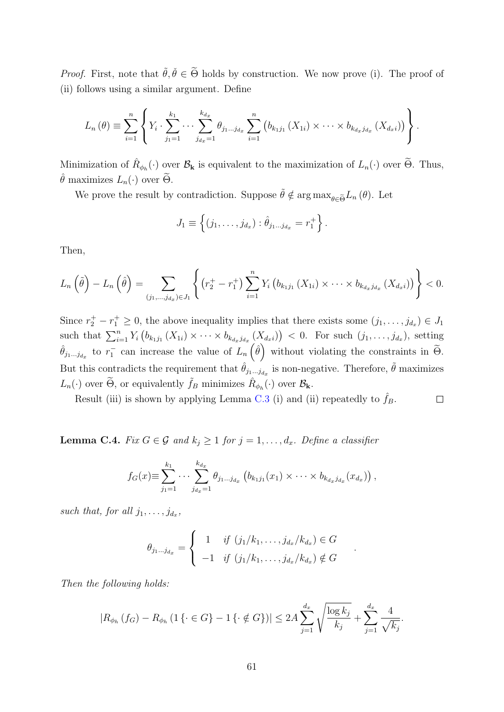*Proof.* First, note that  $\tilde{\theta}, \tilde{\theta} \in \tilde{\Theta}$  holds by construction. We now prove (i). The proof of (ii) follows using a similar argument. Define

$$
L_n(\theta) \equiv \sum_{i=1}^n \left\{ Y_i \cdot \sum_{j_1=1}^{k_1} \cdots \sum_{j_{d_x}=1}^{k_{d_x}} \theta_{j_1...j_{d_x}} \sum_{i=1}^n \left( b_{k_1j_1} (X_{1i}) \times \cdots \times b_{k_{d_xj_{d_x}}} (X_{d_xi}) \right) \right\}.
$$

Minimization of  $\hat{R}_{\phi_h}(\cdot)$  over  $\mathcal{B}_{\mathbf{k}}$  is equivalent to the maximization of  $L_n(\cdot)$  over  $\widetilde{\Theta}$ . Thus,  $\hat{\theta}$  maximizes  $L_n(\cdot)$  over  $\tilde{\Theta}$ .

We prove the result by contradiction. Suppose  $\tilde{\theta} \notin \arg \max_{\theta \in \tilde{\Theta}} L_n(\theta)$ . Let

$$
J_1 \equiv \left\{ (j_1, \ldots, j_{d_x}) : \hat{\theta}_{j_1 \ldots j_{d_x}} = r_1^+ \right\}.
$$

Then,

$$
L_n\left(\tilde{\theta}\right) - L_n\left(\hat{\theta}\right) = \sum_{(j_1,...,j_{d_x}) \in J_1} \left\{ \left( r_2^+ - r_1^+ \right) \sum_{i=1}^n Y_i \left( b_{k_1 j_1} \left( X_{1i} \right) \times \cdots \times b_{k_{d_x} j_{d_x}} \left( X_{d_x i} \right) \right) \right\} < 0.
$$

Since  $r_2^+ - r_1^+ \geq 0$ , the above inequality implies that there exists some  $(j_1, \ldots, j_{d_x}) \in J_1$ such that  $\sum_{i=1}^n Y_i (b_{k_1j_1}(X_{1i}) \times \cdots \times b_{k_{d_xj_{d_x}}}(X_{d_xi})) < 0$ . For such  $(j_1, \ldots, j_{d_x})$ , setting  $\hat{\theta}_{j_1...j_{d_x}}$  to  $r_1^-$  can increase the value of  $L_n(\hat{\theta})$  without violating the constraints in  $\tilde{\Theta}$ . But this contradicts the requirement that  $\hat{\theta}_{j_1...j_{d_x}}$  is non-negative. Therefore,  $\tilde{\theta}$  maximizes  $L_n(\cdot)$  over  $\widetilde{\Theta}$ , or equivalently  $\widetilde{f}_B$  minimizes  $\widehat{R}_{\phi_h}(\cdot)$  over  $\mathcal{B}_{\mathbf{k}}$ .

Result (iii) is shown by applying Lemma [C.3](#page-59-0) (i) and (ii) repeatedly to  $\hat{f}_B$ .  $\Box$ 

<span id="page-60-0"></span>**Lemma C.4.** Fix  $G \in \mathcal{G}$  and  $k_j \geq 1$  for  $j = 1, ..., d_x$ . Define a classifier

$$
f_G(x) \equiv \sum_{j_1=1}^{k_1} \cdots \sum_{j_{d_x}=1}^{k_{d_x}} \theta_{j_1...j_{d_x}} (b_{k_1j_1}(x_1) \times \cdots \times b_{k_{d_x}j_{d_x}}(x_{d_x})),
$$

such that, for all  $j_1, \ldots, j_{d_x}$ ,

$$
\theta_{j_1...j_{d_x}} = \begin{cases} 1 & \text{if } (j_1/k_1,...,j_{d_x}/k_{d_x}) \in G \\ -1 & \text{if } (j_1/k_1,...,j_{d_x}/k_{d_x}) \notin G \end{cases}
$$

.

Then the following holds:

$$
|R_{\phi_h}(f_G) - R_{\phi_h}(1\{\cdot \in G\} - 1\{\cdot \notin G\})| \le 2A \sum_{j=1}^{d_x} \sqrt{\frac{\log k_j}{k_j}} + \sum_{j=1}^{d_x} \frac{4}{\sqrt{k_j}}.
$$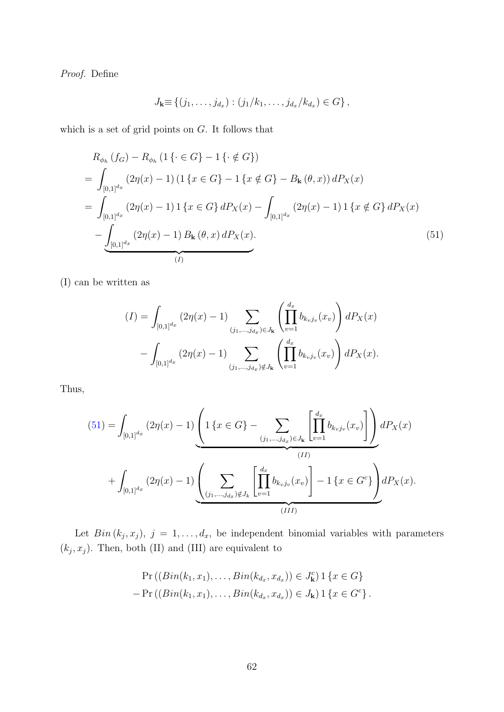Proof. Define

<span id="page-61-0"></span>
$$
J_{\mathbf{k}} \equiv \{ (j_1, \ldots, j_{d_x}) : (j_1/k_1, \ldots, j_{d_x}/k_{d_x}) \in G \},
$$

which is a set of grid points on  $G$ . It follows that

$$
R_{\phi_h} (f_G) - R_{\phi_h} (1 \{ \cdot \in G \} - 1 \{ \cdot \notin G \})
$$
\n
$$
= \int_{[0,1]^{d_x}} (2\eta(x) - 1) (1 \{ x \in G \} - 1 \{ x \notin G \} - B_{\mathbf{k}} (\theta, x)) dP_X(x)
$$
\n
$$
= \int_{[0,1]^{d_x}} (2\eta(x) - 1) 1 \{ x \in G \} dP_X(x) - \int_{[0,1]^{d_x}} (2\eta(x) - 1) 1 \{ x \notin G \} dP_X(x)
$$
\n
$$
- \underbrace{\int_{[0,1]^{d_x}} (2\eta(x) - 1) B_{\mathbf{k}} (\theta, x) dP_X(x)}_{(I)}
$$
\n
$$
(51)
$$

(I) can be written as

$$
(I) = \int_{[0,1]^{d_x}} (2\eta(x) - 1) \sum_{(j_1,\dots,j_{d_x}) \in J_{\mathbf{k}}} \left( \prod_{v=1}^{d_x} b_{k_v j_v}(x_v) \right) dP_X(x)
$$

$$
- \int_{[0,1]^{d_x}} (2\eta(x) - 1) \sum_{(j_1,\dots,j_{d_x}) \notin J_{\mathbf{k}}} \left( \prod_{v=1}^{d_x} b_{k_v j_v}(x_v) \right) dP_X(x).
$$

Thus,

$$
(51) = \int_{[0,1]^{d_x}} (2\eta(x) - 1) \underbrace{\left(1\left\{x \in G\right\} - \sum_{(j_1,\ldots,j_{d_x}) \in J_{\mathbf{k}} \atop (j_1,\ldots,j_{d_x}) \in J_{\mathbf{k}}}\left[\prod_{v=1}^{d_x} b_{k_v j_v}(x_v)\right]\right)}_{(II)} dP_X(x) + \int_{[0,1]^{d_x}} (2\eta(x) - 1) \underbrace{\left(\sum_{(j_1,\ldots,j_{d_x}) \notin J_{\mathbf{k}} \atop (j_1,\ldots,j_{d_x}) \notin J_{\mathbf{k}}}\left[\prod_{v=1}^{d_x} b_{k_v j_v}(x_v)\right] - 1\left\{x \in G^c\right\}}_{(III)} dP_X(x).
$$

Let  $Bin(k_j, x_j), j = 1, ..., d_x$ , be independent binomial variables with parameters  $(k_j, x_j)$ . Then, both (II) and (III) are equivalent to

$$
\Pr((Bin(k_1, x_1), \ldots, Bin(k_{d_x}, x_{d_x})) \in J_{\mathbf{k}}^c) \, 1 \{x \in G\} \n- \Pr((Bin(k_1, x_1), \ldots, Bin(k_{d_x}, x_{d_x})) \in J_{\mathbf{k}}) \, 1 \{x \in G^c\}.
$$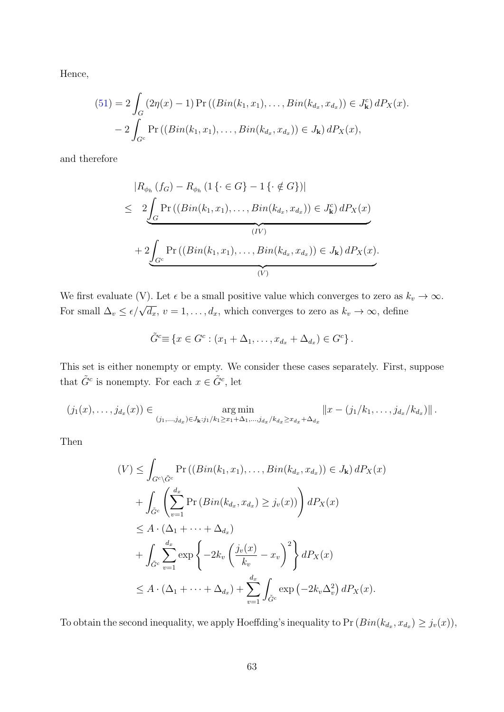Hence,

$$
(51) = 2 \int_G (2\eta(x) - 1) \Pr \left( (Bin(k_1, x_1), \dots, Bin(k_{d_x}, x_{d_x}) \right) \in J^c_{\mathbf{k}} \right) dP_X(x).
$$

$$
- 2 \int_{G^c} \Pr \left( (Bin(k_1, x_1), \dots, Bin(k_{d_x}, x_{d_x}) \right) \in J_{\mathbf{k}} \right) dP_X(x),
$$

and therefore

$$
|R_{\phi_h}(f_G) - R_{\phi_h}(1\{\cdot \in G\} - 1\{\cdot \notin G\})|
$$
  
\n
$$
\leq 2 \underbrace{\int_G \Pr((Bin(k_1, x_1), \dots, Bin(k_{d_x}, x_{d_x})) \in J_{\mathbf{k}}^c) dP_X(x)}_{(IV)}
$$
  
\n
$$
+ 2 \underbrace{\int_{G^c} \Pr((Bin(k_1, x_1), \dots, Bin(k_{d_x}, x_{d_x})) \in J_{\mathbf{k}}) dP_X(x)}_{(V)}
$$

We first evaluate (V). Let  $\epsilon$  be a small positive value which converges to zero as  $k_v \to \infty$ . For small  $\Delta_v \leq \epsilon/\sqrt{d_x}$ ,  $v = 1, ..., d_x$ , which converges to zero as  $k_v \to \infty$ , define

$$
\tilde{G}^c \equiv \{x \in G^c : (x_1 + \Delta_1, \dots, x_{d_x} + \Delta_{d_x}) \in G^c\}.
$$

This set is either nonempty or empty. We consider these cases separately. First, suppose that  $\tilde{G}^c$  is nonempty. For each  $x \in \tilde{G}^c$ , let

$$
(j_1(x),\ldots,j_{d_x}(x)) \in \underset{(j_1,\ldots,j_{d_x}) \in J_{\mathbf{k}}: j_1/k_1 \geq x_1+\Delta_1,\ldots,j_{d_x}/k_{d_x} \geq x_{d_x}+\Delta_{d_x}}{\arg \min} ||x - (j_1/k_1,\ldots,j_{d_x}/k_{d_x})||.
$$

Then

$$
(V) \leq \int_{G^c \setminus \tilde{G}^c} \Pr\left((Bin(k_1, x_1), \dots, Bin(k_{d_x}, x_{d_x})\right) \in J_{\mathbf{k}}) dP_X(x)
$$
  
+ 
$$
\int_{\tilde{G}^c} \left(\sum_{v=1}^{d_x} \Pr\left(Bin(k_{d_x}, x_{d_x}) \geq j_v(x)\right)\right) dP_X(x)
$$
  

$$
\leq A \cdot (\Delta_1 + \dots + \Delta_{d_x})
$$
  
+ 
$$
\int_{\tilde{G}^c} \sum_{v=1}^{d_x} \exp\left\{-2k_v \left(\frac{j_v(x)}{k_v} - x_v\right)^2\right\} dP_X(x)
$$
  

$$
\leq A \cdot (\Delta_1 + \dots + \Delta_{d_x}) + \sum_{v=1}^{d_x} \int_{\tilde{G}^c} \exp\left(-2k_v \Delta_v^2\right) dP_X(x).
$$

To obtain the second inequality, we apply Hoeffding's inequality to  $Pr(Bin(k_{d_x}, x_{d_x}) \geq j_v(x)),$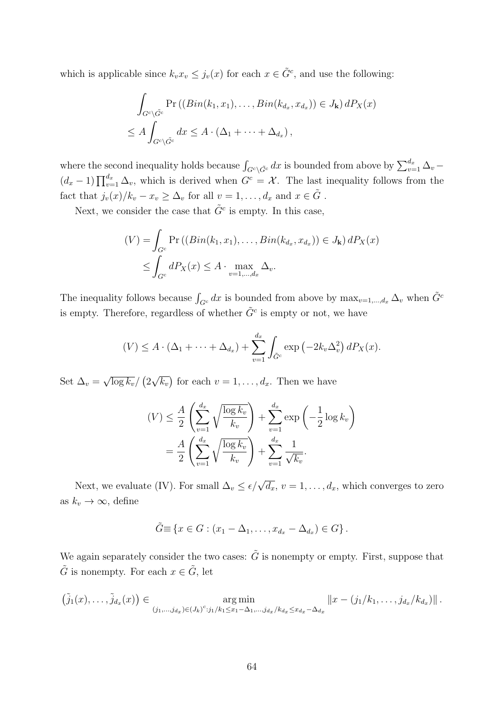which is applicable since  $k_v x_v \leq j_v(x)$  for each  $x \in \tilde{G}^c$ , and use the following:

$$
\int_{G^c \setminus \tilde{G}^c} \Pr\left((Bin(k_1, x_1), \dots, Bin(k_{d_x}, x_{d_x})\right) \in J_{\mathbf{k}}\right) dP_X(x)
$$
\n
$$
\leq A \int_{G^c \setminus \tilde{G}^c} dx \leq A \cdot (\Delta_1 + \dots + \Delta_{d_x}),
$$

where the second inequality holds because  $\int_{G^c \setminus \tilde{G}^c} dx$  is bounded from above by  $\sum_{v=1}^{d_x} \Delta_v$  –  $(d_x - 1) \prod_{v=1}^{d_x} \Delta_v$ , which is derived when  $G^c = \mathcal{X}$ . The last inequality follows from the fact that  $j_v(x)/k_v - x_v \ge \Delta_v$  for all  $v = 1, ..., d_x$  and  $x \in \tilde{G}$ .

Next, we consider the case that  $\tilde{G}^c$  is empty. In this case,

$$
(V) = \int_{G^c} \Pr\left((Bin(k_1, x_1), \dots, Bin(k_{d_x}, x_{d_x})\right) \in J_{\mathbf{k}}\right) dP_X(x)
$$
  
 
$$
\leq \int_{G^c} dP_X(x) \leq A \cdot \max_{v=1,\dots,d_x} \Delta_v.
$$

The inequality follows because  $\int_{G^c} dx$  is bounded from above by  $\max_{v=1,\dots,d_x} \Delta_v$  when  $\tilde{G}^c$ is empty. Therefore, regardless of whether  $\tilde{G}^c$  is empty or not, we have

$$
(V) \leq A \cdot (\Delta_1 + \dots + \Delta_{d_x}) + \sum_{v=1}^{d_x} \int_{\tilde{G}^c} \exp\left(-2k_v\Delta_v^2\right) dP_X(x).
$$

Set  $\Delta_v =$ √  $\overline{\log k_v}/\left(2\right)$ √  $\overline{k_v}$  for each  $v = 1, \ldots, d_x$ . Then we have

$$
(V) \leq \frac{A}{2} \left( \sum_{v=1}^{d_x} \sqrt{\frac{\log k_v}{k_v}} \right) + \sum_{v=1}^{d_x} \exp\left(-\frac{1}{2} \log k_v\right)
$$

$$
= \frac{A}{2} \left( \sum_{v=1}^{d_x} \sqrt{\frac{\log k_v}{k_v}} \right) + \sum_{v=1}^{d_x} \frac{1}{\sqrt{k_v}}.
$$

Next, we evaluate (IV). For small  $\Delta_v \leq \epsilon/\sqrt{d_x}$ ,  $v = 1, \ldots, d_x$ , which converges to zero as  $k_v \to \infty$ , define

$$
\tilde{G} \equiv \{x \in G : (x_1 - \Delta_1, \dots, x_{d_x} - \Delta_{d_x}) \in G\}.
$$

We again separately consider the two cases:  $\tilde{G}$  is nonempty or empty. First, suppose that  $\tilde{G}$  is nonempty. For each  $x \in \tilde{G}$ , let

$$
(\tilde{j}_1(x),\ldots,\tilde{j}_{d_x}(x)) \in \underset{(j_1,\ldots,j_{d_x})\in (J_k)^c: j_1/k_1\leq x_1-\Delta_1,\ldots,j_{d_x}/k_{d_x}\leq x_{d_x}-\Delta_{d_x}}{\arg\min} \|x-(j_1/k_1,\ldots,j_{d_x}/k_{d_x})\|.
$$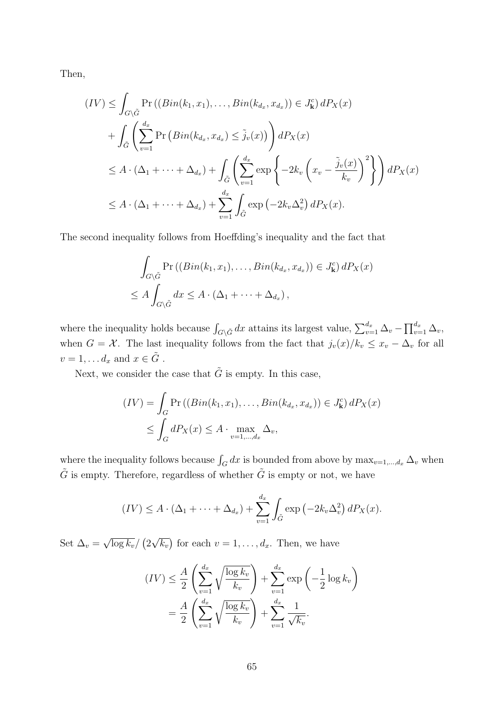Then,

$$
(IV) \leq \int_{G \setminus \tilde{G}} \Pr\left((Bin(k_1, x_1), \dots, Bin(k_{d_x}, x_{d_x})\right) \in J_{\mathbf{k}}^c) dP_X(x)
$$
  
+ 
$$
\int_{\tilde{G}} \left( \sum_{v=1}^{d_x} \Pr\left(Bin(k_{d_x}, x_{d_x}) \leq \tilde{j}_v(x)\right) \right) dP_X(x)
$$
  

$$
\leq A \cdot (\Delta_1 + \dots + \Delta_{d_x}) + \int_{\tilde{G}} \left( \sum_{v=1}^{d_x} \exp\left\{-2k_v \left(x_v - \frac{\tilde{j}_v(x)}{k_v}\right)^2\right\} \right) dP_X(x)
$$
  

$$
\leq A \cdot (\Delta_1 + \dots + \Delta_{d_x}) + \sum_{v=1}^{d_x} \int_{\tilde{G}} \exp\left(-2k_v \Delta_v^2\right) dP_X(x).
$$

The second inequality follows from Hoeffding's inequality and the fact that

$$
\int_{G\setminus \tilde{G}} \Pr\left( (Bin(k_1, x_1), \dots, Bin(k_{d_x}, x_{d_x}) \right) \in J^c_{\mathbf{k}} \, dP_X(x)
$$
\n
$$
\leq A \int_{G\setminus \tilde{G}} dx \leq A \cdot (\Delta_1 + \dots + \Delta_{d_x}),
$$

where the inequality holds because  $\int_{G\setminus \tilde{G}} dx$  attains its largest value,  $\sum_{v=1}^{d_x} \Delta_v - \prod_{v=1}^{d_x} \Delta_v$ , when  $G = \mathcal{X}$ . The last inequality follows from the fact that  $j_v(x)/k_v \leq x_v - \Delta_v$  for all  $v = 1, \ldots d_x$  and  $x \in \tilde{G}$ .

Next, we consider the case that  $\tilde{G}$  is empty. In this case,

$$
(IV) = \int_G \Pr\left((Bin(k_1, x_1), \dots, Bin(k_{d_x}, x_{d_x})\right) \in J^c_{\mathbf{k}}\right) dP_X(x)
$$
  
\$\leq \int\_G dP\_X(x) \leq A \cdot \max\_{v=1,\dots,d\_x} \Delta\_v\$,

where the inequality follows because  $\int_G dx$  is bounded from above by  $\max_{v=1,\dots,d_x} \Delta_v$  when  $\tilde{G}$  is empty. Therefore, regardless of whether  $\tilde{G}$  is empty or not, we have

$$
(IV) \leq A \cdot (\Delta_1 + \cdots + \Delta_{d_x}) + \sum_{v=1}^{d_x} \int_{\tilde{G}} \exp\left(-2k_v\Delta_v^2\right) dP_X(x).
$$

Set  $\Delta_v =$ √  $\overline{\log k_v}/\left(2\right)$ √  $\overline{k_v}$  for each  $v = 1, \ldots, d_x$ . Then, we have

$$
(IV) \leq \frac{A}{2} \left( \sum_{v=1}^{d_x} \sqrt{\frac{\log k_v}{k_v}} \right) + \sum_{v=1}^{d_x} \exp\left(-\frac{1}{2} \log k_v\right)
$$

$$
= \frac{A}{2} \left( \sum_{v=1}^{d_x} \sqrt{\frac{\log k_v}{k_v}} \right) + \sum_{v=1}^{d_x} \frac{1}{\sqrt{k_v}}.
$$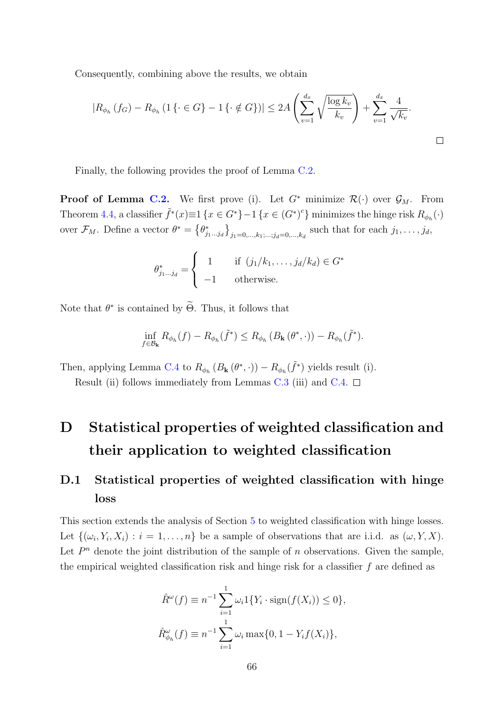Consequently, combining above the results, we obtain

$$
|R_{\phi_h}(f_G) - R_{\phi_h}(1\{\cdot \in G\} - 1\{\cdot \notin G\})| \le 2A \left(\sum_{v=1}^{d_x} \sqrt{\frac{\log k_v}{k_v}}\right) + \sum_{v=1}^{d_x} \frac{4}{\sqrt{k_v}}.
$$

Finally, the following provides the proof of Lemma [C.2.](#page-58-0)

**Proof of Lemma [C.2.](#page-58-0)** We first prove (i). Let  $G^*$  minimize  $\mathcal{R}(\cdot)$  over  $\mathcal{G}_M$ . From Theorem [4.4,](#page-22-1) a classifier  $\tilde{f}^*(x) \equiv 1 \{x \in G^*\} - 1 \{x \in (G^*)^c\}$  minimizes the hinge risk  $R_{\phi_h}(\cdot)$ over  $\mathcal{F}_M$ . Define a vector  $\theta^* = \left\{\theta_{j_1...j_d}^*\right\}_{j_1=0,\ldots,k_1,\ldots,j_d=0,\ldots,k_d}$  such that for each  $j_1,\ldots,j_d$ ,

$$
\theta_{j_1...j_d}^* = \begin{cases} 1 & \text{if } (j_1/k_1, \dots, j_d/k_d) \in G^* \\ -1 & \text{otherwise.} \end{cases}
$$

Note that  $\theta^*$  is contained by  $\Theta$ . Thus, it follows that

$$
\inf_{f \in \mathcal{B}_{\mathbf{k}}} R_{\phi_h}(f) - R_{\phi_h}(\tilde{f}^*) \leq R_{\phi_h}(B_{\mathbf{k}}(\theta^*, \cdot)) - R_{\phi_h}(\tilde{f}^*).
$$

Then, applying Lemma [C.4](#page-60-0) to  $R_{\phi_h} (B_{\mathbf{k}}(\theta^*, \cdot)) - R_{\phi_h}(\tilde{f}^*)$  yields result (i).

Result (ii) follows immediately from Lemmas [C.3](#page-59-0) (iii) and [C.4.](#page-60-0)  $\Box$ 

# <span id="page-65-0"></span>D Statistical properties of weighted classification and their application to weighted classification

# D.1 Statistical properties of weighted classification with hinge loss

This section extends the analysis of Section [5](#page-25-0) to weighted classification with hinge losses. Let  $\{(\omega_i, Y_i, X_i) : i = 1, \ldots, n\}$  be a sample of observations that are i.i.d. as  $(\omega, Y, X)$ . Let  $P<sup>n</sup>$  denote the joint distribution of the sample of n observations. Given the sample, the empirical weighted classification risk and hinge risk for a classifier  $f$  are defined as

$$
\hat{R}^{\omega}(f) \equiv n^{-1} \sum_{i=1}^{1} \omega_i 1\{Y_i \cdot \text{sign}(f(X_i)) \le 0\},
$$
  

$$
\hat{R}^{\omega}_{\phi_h}(f) \equiv n^{-1} \sum_{i=1}^{1} \omega_i \max\{0, 1 - Y_i f(X_i)\},
$$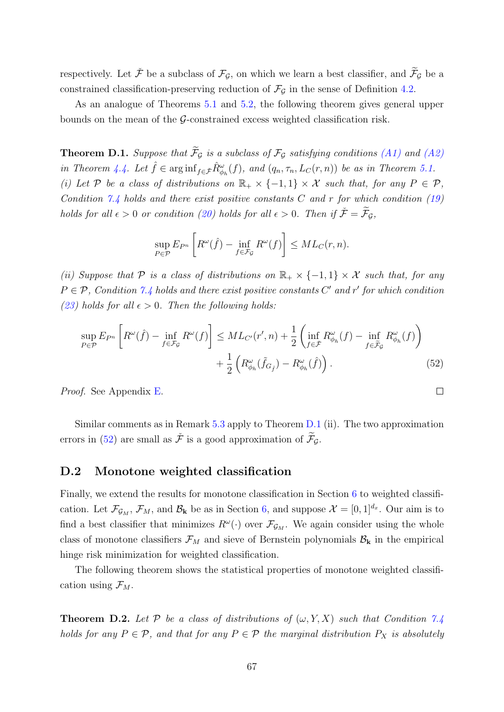respectively. Let  $\check{\mathcal{F}}$  be a subclass of  $\mathcal{F}_{\mathcal{G}}$ , on which we learn a best classifier, and  $\widetilde{\mathcal{F}}_{\mathcal{G}}$  be a constrained classification-preserving reduction of  $\mathcal{F}_{\mathcal{G}}$  in the sense of Definition [4.2.](#page-21-0)

As an analogue of Theorems [5.1](#page-26-0) and [5.2,](#page-27-0) the following theorem gives general upper bounds on the mean of the  $\mathcal{G}\text{-}constrained$  excess weighted classification risk.

<span id="page-66-1"></span>**Theorem D.1.** Suppose that  $\widetilde{\mathcal{F}}_G$  is a subclass of  $\mathcal{F}_G$  satisfying conditions [\(A1\)](#page-22-0) and [\(A2\)](#page-23-0) in Theorem [4.4.](#page-22-1) Let  $\hat{f} \in \arginf_{f \in \tilde{\mathcal{F}}} \hat{R}_{\phi_h}^{\omega}(f)$ , and  $(q_n, \tau_n, L_C(r, n))$  be as in Theorem [5.1.](#page-26-0) (i) Let P be a class of distributions on  $\mathbb{R}_+ \times \{-1,1\} \times \mathcal{X}$  such that, for any  $P \in \mathcal{P}$ , Condition [7.4](#page-35-0) holds and there exist positive constants  $C$  and  $r$  for which condition [\(19\)](#page-26-2) holds for all  $\epsilon > 0$  or condition [\(20\)](#page-26-3) holds for all  $\epsilon > 0$ . Then if  $\check{\mathcal{F}} = \widetilde{\mathcal{F}}_{\mathcal{G}}$ ,

$$
\sup_{P \in \mathcal{P}} E_{P^n} \left[ R^{\omega}(\hat{f}) - \inf_{f \in \mathcal{F}_{\mathcal{G}}} R^{\omega}(f) \right] \leq ML_C(r, n).
$$

(ii) Suppose that P is a class of distributions on  $\mathbb{R}_+ \times \{-1,1\} \times \mathcal{X}$  such that, for any  $P \in \mathcal{P}$ , Condition [7.4](#page-35-0) holds and there exist positive constants C' and r' for which condition [\(23\)](#page-27-2) holds for all  $\epsilon > 0$ . Then the following holds:

$$
\sup_{P \in \mathcal{P}} E_{P^n} \left[ R^{\omega}(\hat{f}) - \inf_{f \in \mathcal{F}_{\mathcal{G}}} R^{\omega}(f) \right] \leq ML_{C'}(r', n) + \frac{1}{2} \left( \inf_{f \in \tilde{\mathcal{F}}} R^{\omega}_{\phi_h}(f) - \inf_{f \in \tilde{\mathcal{F}}_{\mathcal{G}}} R^{\omega}_{\phi_h}(f) \right) + \frac{1}{2} \left( R^{\omega}_{\phi_h}(\tilde{f}_{G_{\hat{f}}}) - R^{\omega}_{\phi_h}(\hat{f}) \right). \tag{52}
$$

<span id="page-66-2"></span> $\Box$ 

Proof. See Appendix [E.](#page-68-0)

Similar comments as in Remark [5.3](#page-28-2) apply to Theorem [D.1](#page-66-1) (ii). The two approximation errors in [\(52\)](#page-66-2) are small as  $\check{\mathcal{F}}$  is a good approximation of  $\widetilde{\mathcal{F}}_G$ .

#### <span id="page-66-0"></span>D.2 Monotone weighted classification

Finally, we extend the results for monotone classification in Section [6](#page-28-0) to weighted classification. Let  $\mathcal{F}_{\mathcal{G}_M}$ ,  $\mathcal{F}_M$ , and  $\mathcal{B}_k$  be as in Section [6,](#page-28-0) and suppose  $\mathcal{X} = [0,1]^{d_x}$ . Our aim is to find a best classifier that minimizes  $R^{\omega}(\cdot)$  over  $\mathcal{F}_{\mathcal{G}_M}$ . We again consider using the whole class of monotone classifiers  $\mathcal{F}_M$  and sieve of Bernstein polynomials  $\mathcal{B}_k$  in the empirical hinge risk minimization for weighted classification.

The following theorem shows the statistical properties of monotone weighted classification using  $\mathcal{F}_M$ .

<span id="page-66-3"></span>**Theorem D.2.** Let P be a class of distributions of  $(\omega, Y, X)$  such that Condition [7.4](#page-35-0) holds for any  $P \in \mathcal{P}$ , and that for any  $P \in \mathcal{P}$  the marginal distribution  $P_X$  is absolutely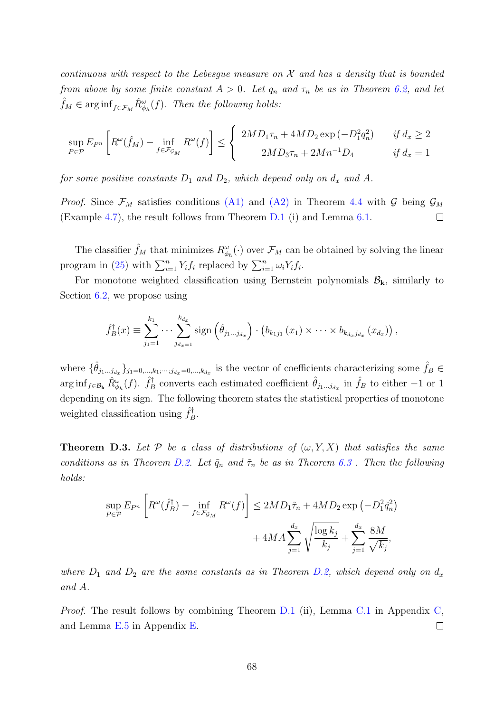continuous with respect to the Lebesque measure on  $\mathcal X$  and has a density that is bounded from above by some finite constant  $A > 0$ . Let  $q_n$  and  $\tau_n$  be as in Theorem [6.2,](#page-30-0) and let  $\hat{f}_M \in \arg\inf_{f \in \mathcal{F}_M} \hat{R}_{\phi_h}^{\omega}(f)$ . Then the following holds:

$$
\sup_{P \in \mathcal{P}} E_{P^n} \left[ R^\omega(\hat{f}_M) - \inf_{f \in \mathcal{F}_{\mathcal{G}_M}} R^\omega(f) \right] \le \begin{cases} 2MD_1 \tau_n + 4MD_2 \exp(-D_1^2 q_n^2) & \text{if } d_x \ge 2 \\ 2MD_3 \tau_n + 2Mn^{-1} D_4 & \text{if } d_x = 1 \end{cases}
$$

for some positive constants  $D_1$  and  $D_2$ , which depend only on  $d_x$  and A.

*Proof.* Since  $\mathcal{F}_M$  satisfies conditions [\(A1\)](#page-22-0) and [\(A2\)](#page-23-0) in Theorem [4.4](#page-22-1) with G being  $\mathcal{G}_M$ (Example [4.7\)](#page-24-0), the result follows from Theorem [D.1](#page-66-1) (i) and Lemma [6.1.](#page-29-0)  $\Box$ 

The classifier  $\hat{f}_M$  that minimizes  $R^{\omega}_{\phi_h}(\cdot)$  over  $\mathcal{F}_M$  can be obtained by solving the linear program in [\(25\)](#page-29-1) with  $\sum_{i=1}^{n} Y_i f_i$  replaced by  $\sum_{i=1}^{n} \omega_i Y_i f_i$ .

For monotone weighted classification using Bernstein polynomials  $B_k$ , similarly to Section [6.2,](#page-30-1) we propose using

$$
\hat{f}_B^{\dagger}(x) \equiv \sum_{j_1=1}^{k_1} \cdots \sum_{j_{d_x=1}}^{k_{d_x}} sign\left(\hat{\theta}_{j_1...j_{d_x}}\right) \cdot \left(b_{k_1j_1}(x_1) \times \cdots \times b_{k_{d_x}j_{d_x}}(x_{d_x})\right),
$$

where  $\{\hat{\theta}_{j_1...j_{d_x}}\}_{j_1=0,\dots,k_1;\cdots;j_{d_x}=0,\dots,k_{d_x}}$  is the vector of coefficients characterizing some  $\hat{f}_B \in$  $\arg\inf_{f \in \mathcal{B}_{\mathbf{k}}} \hat{R}^{\omega}_{\phi_h}(f)$ .  $\hat{f}^{\dagger}_{B}$ <sup>i</sup>f converts each estimated coefficient  $\hat{\theta}_{j_1...j_{d_x}}$  in  $\hat{f}_B$  to either -1 or 1 depending on its sign. The following theorem states the statistical properties of monotone weighted classification using  $\hat{f}_F^{\dagger}$  $B^{\mathsf{T}}$ 

<span id="page-67-0"></span>**Theorem D.3.** Let P be a class of distributions of  $(\omega, Y, X)$  that satisfies the same conditions as in Theorem [D.2.](#page-66-3) Let  $\tilde{q}_n$  and  $\tilde{\tau}_n$  be as in Theorem [6.3](#page-32-0). Then the following holds:

$$
\sup_{P \in \mathcal{P}} E_{P^n} \left[ R^\omega(\hat{f}_B^\dagger) - \inf_{f \in \mathcal{F}_{\mathcal{G}_M}} R^\omega(f) \right] \le 2MD_1 \tilde{\tau}_n + 4MD_2 \exp\left(-D_1^2 \tilde{q}_n^2\right) + 4MA \sum_{j=1}^{d_x} \sqrt{\frac{\log k_j}{k_j}} + \sum_{j=1}^{d_x} \frac{8M}{\sqrt{k_j}},
$$

where  $D_1$  and  $D_2$  are the same constants as in Theorem [D.2,](#page-66-3) which depend only on  $d_x$ and A.

Proof. The result follows by combining Theorem [D.1](#page-66-1) (ii), Lemma [C.1](#page-58-1) in Appendix [C,](#page-57-2) and Lemma [E.5](#page-79-0) in Appendix [E.](#page-68-0)  $\Box$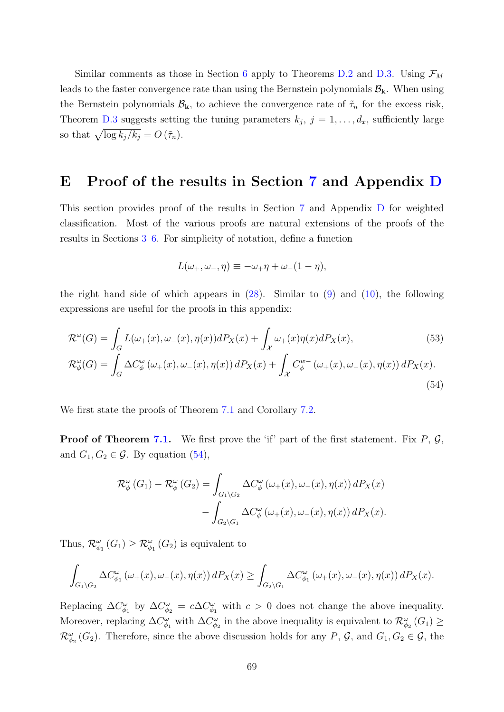Similar comments as those in Section [6](#page-28-0) apply to Theorems [D.2](#page-66-3) and [D.3.](#page-67-0) Using  $\mathcal{F}_M$ leads to the faster convergence rate than using the Bernstein polynomials  $B_k$ . When using the Bernstein polynomials  $\mathcal{B}_{k}$ , to achieve the convergence rate of  $\tilde{\tau}_{n}$  for the excess risk, Theorem [D.3](#page-67-0) suggests setting the tuning parameters  $k_j$ ,  $j = 1, \ldots, d_x$ , sufficiently large so that  $\sqrt{\log k_j/k_j} = O(\tilde{\tau}_n)$ .

### <span id="page-68-0"></span>E Proof of the results in Section [7](#page-33-0) and Appendix [D](#page-65-0)

This section provides proof of the results in Section [7](#page-33-0) and Appendix [D](#page-65-0) for weighted classification. Most of the various proofs are natural extensions of the proofs of the results in Sections [3](#page-13-0)[–6.](#page-28-0) For simplicity of notation, define a function

<span id="page-68-2"></span><span id="page-68-1"></span>
$$
L(\omega_+, \omega_-, \eta) \equiv -\omega_+ \eta + \omega_-(1 - \eta),
$$

the right hand side of which appears in  $(28)$ . Similar to  $(9)$  and  $(10)$ , the following expressions are useful for the proofs in this appendix:

$$
\mathcal{R}^{\omega}(G) = \int_{G} L(\omega_{+}(x), \omega_{-}(x), \eta(x)) dP_{X}(x) + \int_{\mathcal{X}} \omega_{+}(x) \eta(x) dP_{X}(x),
$$
\n
$$
\mathcal{R}^{\omega}_{\phi}(G) = \int_{G} \Delta C^{\omega}_{\phi}(\omega_{+}(x), \omega_{-}(x), \eta(x)) dP_{X}(x) + \int_{\mathcal{X}} C^{w}_{\phi}(\omega_{+}(x), \omega_{-}(x), \eta(x)) dP_{X}(x).
$$
\n(54)

We first state the proofs of Theorem [7.1](#page-34-1) and Corollary [7.2.](#page-34-2)

**Proof of Theorem [7.1.](#page-34-1)** We first prove the 'if' part of the first statement. Fix  $P$ ,  $\mathcal{G}$ , and  $G_1, G_2 \in \mathcal{G}$ . By equation [\(54\)](#page-68-1),

$$
\mathcal{R}_{\phi}^{\omega}(G_1) - \mathcal{R}_{\phi}^{\omega}(G_2) = \int_{G_1 \backslash G_2} \Delta C_{\phi}^{\omega}(\omega_+(x), \omega_-(x), \eta(x)) dP_X(x) - \int_{G_2 \backslash G_1} \Delta C_{\phi}^{\omega}(\omega_+(x), \omega_-(x), \eta(x)) dP_X(x).
$$

Thus,  $\mathcal{R}_{\phi_1}^{\omega}(G_1) \geq \mathcal{R}_{\phi_1}^{\omega}(G_2)$  is equivalent to

$$
\int_{G_1 \backslash G_2} \Delta C_{\phi_1}^{\omega} \left( \omega_+(x), \omega_-(x), \eta(x) \right) dP_X(x) \ge \int_{G_2 \backslash G_1} \Delta C_{\phi_1}^{\omega} \left( \omega_+(x), \omega_-(x), \eta(x) \right) dP_X(x).
$$

Replacing  $\Delta C_{\phi_1}^{\omega}$  by  $\Delta C_{\phi_2}^{\omega} = c \Delta C_{\phi_1}^{\omega}$  with  $c > 0$  does not change the above inequality. Moreover, replacing  $\Delta C_{\phi_1}^{\omega}$  with  $\Delta C_{\phi_2}^{\omega}$  in the above inequality is equivalent to  $\mathcal{R}_{\phi_2}^{\omega}(G_1) \geq$  $\mathcal{R}_{\phi_2}^{\omega}(G_2)$ . Therefore, since the above discussion holds for any P, G, and  $G_1, G_2 \in \mathcal{G}$ , the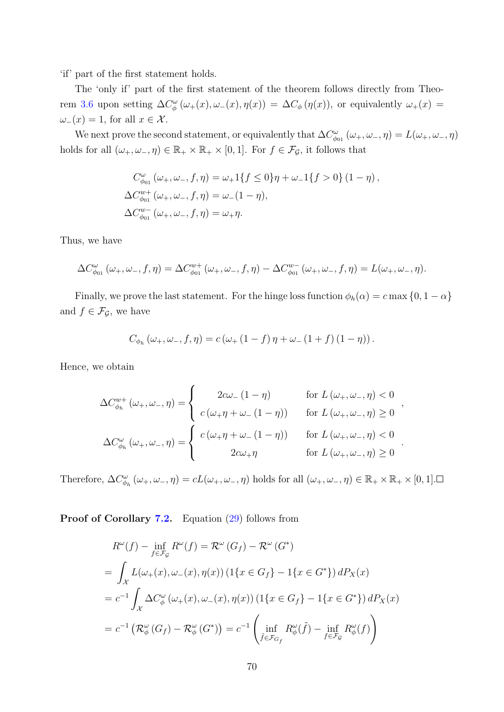'if' part of the first statement holds.

The 'only if' part of the first statement of the theorem follows directly from Theo-rem [3.6](#page-19-0) upon setting  $\Delta C^{\omega}_{\phi}(\omega_+(x), \omega_-(x), \eta(x)) = \Delta C_{\phi}(\eta(x))$ , or equivalently  $\omega_+(x) =$  $\omega_-(x) = 1$ , for all  $x \in \mathcal{X}$ .

We next prove the second statement, or equivalently that  $\Delta C_{\phi_{01}}^{\omega}(\omega_+, \omega_-, \eta) = L(\omega_+, \omega_-, \eta)$ holds for all  $(\omega_+, \omega_-, \eta) \in \mathbb{R}_+ \times \mathbb{R}_+ \times [0, 1]$ . For  $f \in \mathcal{F}_{\mathcal{G}}$ , it follows that

$$
C_{\phi_{01}}^{\omega} (\omega_+, \omega_-, f, \eta) = \omega_+ 1\{f \le 0\} \eta + \omega_- 1\{f > 0\} (1 - \eta),
$$
  
\n
$$
\Delta C_{\phi_{01}}^{w+} (\omega_+, \omega_-, f, \eta) = \omega_-(1 - \eta),
$$
  
\n
$$
\Delta C_{\phi_{01}}^{w-} (\omega_+, \omega_-, f, \eta) = \omega_+ \eta.
$$

Thus, we have

$$
\Delta C_{\phi_{01}}^{\omega}(\omega_{+}, \omega_{-}, f, \eta) = \Delta C_{\phi_{01}}^{w+}(\omega_{+}, \omega_{-}, f, \eta) - \Delta C_{\phi_{01}}^{w-}(\omega_{+}, \omega_{-}, f, \eta) = L(\omega_{+}, \omega_{-}, \eta).
$$

Finally, we prove the last statement. For the hinge loss function  $\phi_h(\alpha) = c \max\{0, 1 - \alpha\}$ and  $f \in \mathcal{F}_{\mathcal{G}}$ , we have

$$
C_{\phi_h}(\omega_+, \omega_-, f, \eta) = c(\omega_+ (1 - f) \eta + \omega_- (1 + f) (1 - \eta)).
$$

Hence, we obtain

$$
\Delta C_{\phi_h}^{w+}(\omega_+,\omega_-,\eta) = \begin{cases}\n2c\omega_-(1-\eta) & \text{for } L(\omega_+,\omega_-,\eta) < 0 \\
c(\omega_+\eta+\omega_-(1-\eta)) & \text{for } L(\omega_+,\omega_-,\eta) \ge 0 \\
\Delta C_{\phi_h}^{\omega}(\omega_+,\omega_-,\eta) = \begin{cases}\nc(\omega_+\eta+\omega_-(1-\eta)) & \text{for } L(\omega_+,\omega_-,\eta) < 0 \\
2c\omega_+\eta & \text{for } L(\omega_+,\omega_-,\eta) \ge 0\n\end{cases}.\n\end{cases}
$$

Therefore,  $\Delta C_{\phi_h}^{\omega}(\omega_+,\omega_-, \eta) = cL(\omega_+,\omega_-, \eta)$  holds for all  $(\omega_+,\omega_-, \eta) \in \mathbb{R}_+ \times \mathbb{R}_+ \times [0,1]$ .

Proof of Corollary [7.2.](#page-34-2) Equation [\(29\)](#page-34-3) follows from

$$
R^{\omega}(f) - \inf_{f \in \mathcal{F}_{\mathcal{G}}} R^{\omega}(f) = \mathcal{R}^{\omega}(G_f) - \mathcal{R}^{\omega}(G^*)
$$
  
= 
$$
\int_{\mathcal{X}} L(\omega_{+}(x), \omega_{-}(x), \eta(x)) (1\{x \in G_f\} - 1\{x \in G^*\}) dP_X(x)
$$
  
= 
$$
c^{-1} \int_{\mathcal{X}} \Delta C^{\omega}_{\phi}(\omega_{+}(x), \omega_{-}(x), \eta(x)) (1\{x \in G_f\} - 1\{x \in G^*\}) dP_X(x)
$$
  
= 
$$
c^{-1} (\mathcal{R}^{\omega}_{\phi}(G_f) - \mathcal{R}^{\omega}_{\phi}(G^*)) = c^{-1} \left( \inf_{\tilde{f} \in \mathcal{F}_{G_f}} R^{\omega}_{\phi}(\tilde{f}) - \inf_{f \in \mathcal{F}_{\mathcal{G}}} R^{\omega}_{\phi}(f) \right)
$$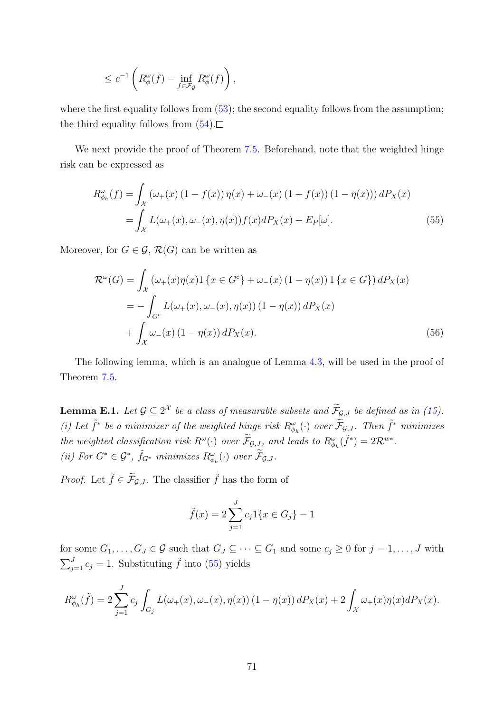$$
\leq c^{-1} \left( R_{\phi}^{\omega}(f) - \inf_{f \in \mathcal{F}_{\mathcal{G}}} R_{\phi}^{\omega}(f) \right),
$$

where the first equality follows from  $(53)$ ; the second equality follows from the assumption; the third equality follows from  $(54)$ .

We next provide the proof of Theorem [7.5.](#page-35-1) Beforehand, note that the weighted hinge risk can be expressed as

<span id="page-70-0"></span>
$$
R^{\omega}_{\phi_h}(f) = \int_{\mathcal{X}} \left( \omega_+(x) \left( 1 - f(x) \right) \eta(x) + \omega_-(x) \left( 1 + f(x) \right) \left( 1 - \eta(x) \right) \right) dP_X(x)
$$
  
= 
$$
\int_{\mathcal{X}} L(\omega_+(x), \omega_-(x), \eta(x)) f(x) dP_X(x) + E_P[\omega].
$$
 (55)

Moreover, for  $G \in \mathcal{G}, \mathcal{R}(G)$  can be written as

$$
\mathcal{R}^{\omega}(G) = \int_{\mathcal{X}} \left( \omega_{+}(x)\eta(x) \mathbf{1} \{ x \in G^{c} \} + \omega_{-}(x) \left( 1 - \eta(x) \right) \mathbf{1} \{ x \in G \} \right) dP_{X}(x)
$$
  
= 
$$
- \int_{G^{c}} L(\omega_{+}(x), \omega_{-}(x), \eta(x)) \left( 1 - \eta(x) \right) dP_{X}(x)
$$

$$
+ \int_{\mathcal{X}} \omega_{-}(x) \left( 1 - \eta(x) \right) dP_{X}(x). \tag{56}
$$

The following lemma, which is an analogue of Lemma [4.3,](#page-22-2) will be used in the proof of Theorem [7.5.](#page-35-1)

**Lemma E.1.** Let  $\mathcal{G} \subseteq 2^{\mathcal{X}}$  be a class of measurable subsets and  $\mathcal{F}_{\mathcal{G},J}$  be defined as in [\(15\)](#page-22-3). (i) Let  $\tilde{f}^*$  be a minimizer of the weighted hinge risk  $R^{\omega}_{\phi_h}(\cdot)$  over  $\tilde{\mathcal{F}}_{\mathcal{G},J}$ . Then  $\tilde{f}^*$  minimizes the weighted classification risk  $R^{\omega}(\cdot)$  over  $\widetilde{\mathcal{F}}_{\mathcal{G},J}$ , and leads to  $R^{\omega}_{\phi_h}(\widetilde{f}^*) = 2\mathcal{R}^{w*}$ . (ii) For  $G^* \in \mathcal{G}^*$ ,  $\tilde{f}_{G^*}$  minimizes  $R^{\omega}_{\phi_h}(\cdot)$  over  $\tilde{\mathcal{F}}_{\mathcal{G},J}$ .

*Proof.* Let  $\tilde{f} \in \tilde{\mathcal{F}}_{\mathcal{G},J}$ . The classifier  $\tilde{f}$  has the form of

$$
\tilde{f}(x) = 2\sum_{j=1}^{J} c_j 1\{x \in G_j\} - 1
$$

for some  $G_1, \ldots, G_J \in \mathcal{G}$  such that  $G_J \subseteq \cdots \subseteq G_1$  and some  $c_j \geq 0$  for  $j = 1, \ldots, J$  with  $\sum_{j=1}^{J} c_j = 1$ . Substituting  $\tilde{f}$  into [\(55\)](#page-70-0) yields

$$
R^{\omega}_{\phi_h}(\tilde{f}) = 2 \sum_{j=1}^{J} c_j \int_{G_j} L(\omega_+(x), \omega_-(x), \eta(x)) (1 - \eta(x)) dP_X(x) + 2 \int_{\mathcal{X}} \omega_+(x) \eta(x) dP_X(x).
$$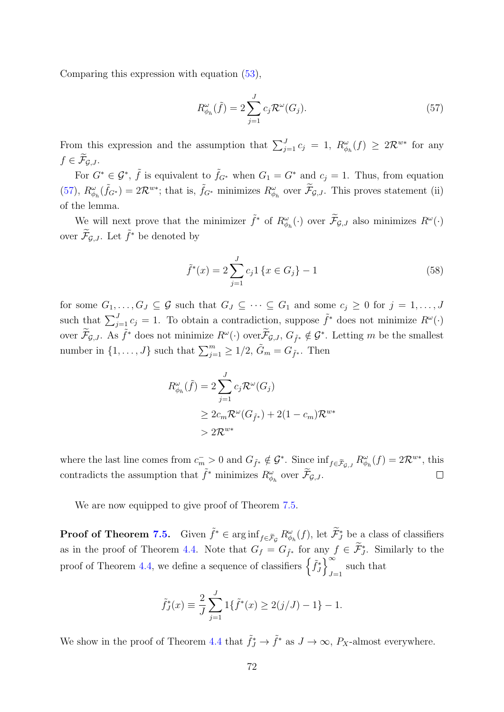Comparing this expression with equation [\(53\)](#page-68-2),

<span id="page-71-1"></span>
$$
R^{\omega}_{\phi_h}(\tilde{f}) = 2 \sum_{j=1}^{J} c_j \mathcal{R}^{\omega}(G_j).
$$
 (57)

From this expression and the assumption that  $\sum_{j=1}^{J} c_j = 1$ ,  $R_{\phi_h}^{\omega}(f) \geq 2\mathcal{R}^{w*}$  for any  $f \in \mathcal{F}_{\mathcal{G},J}.$ 

For  $G^* \in \mathcal{G}^*$ ,  $\tilde{f}$  is equivalent to  $\tilde{f}_{G^*}$  when  $G_1 = G^*$  and  $c_j = 1$ . Thus, from equation [\(57\)](#page-71-1),  $R^{\omega}_{\phi_h}(\tilde{f}_{G^*}) = 2\mathcal{R}^{w*}$ ; that is,  $\tilde{f}_{G^*}$  minimizes  $R^{\omega}_{\phi_h}$  over  $\tilde{\mathcal{F}}_{\mathcal{G},J}$ . This proves statement (ii) of the lemma.

We will next prove that the minimizer  $\tilde{f}^*$  of  $R^{\omega}_{\phi_h}(\cdot)$  over  $\tilde{\mathcal{F}}_{\mathcal{G},J}$  also minimizes  $R^{\omega}(\cdot)$ over  $\widetilde{\mathcal{F}}_{\mathcal{G},J}$ . Let  $\widetilde{f}^*$  be denoted by

<span id="page-71-0"></span>
$$
\tilde{f}^*(x) = 2 \sum_{j=1}^{J} c_j 1 \{ x \in G_j \} - 1 \tag{58}
$$

for some  $G_1, \ldots, G_J \subseteq \mathcal{G}$  such that  $G_J \subseteq \cdots \subseteq G_1$  and some  $c_j \geq 0$  for  $j = 1, \ldots, J$ such that  $\sum_{j=1}^{J} c_j = 1$ . To obtain a contradiction, suppose  $\tilde{f}^*$  does not minimize  $R^{\omega}(\cdot)$ over  $\widetilde{\mathcal{F}}_{\mathcal{G},J}$ . As  $\widetilde{f}^*$  does not minimize  $R^{\omega}(\cdot)$  over  $\widetilde{\mathcal{F}}_{\mathcal{G},J}$ ,  $G_{\widetilde{f}^*} \notin \mathcal{G}^*$ . Letting m be the smallest number in  $\{1, \ldots, J\}$  such that  $\sum_{j=1}^{m} \geq 1/2$ ,  $\tilde{G}_m = G_{\tilde{f}^*}$ . Then

$$
R^{\omega}_{\phi_h}(\tilde{f}) = 2 \sum_{j=1}^{J} c_j \mathcal{R}^{\omega}(G_j)
$$
  
\n
$$
\geq 2c_m \mathcal{R}^{\omega}(G_{\tilde{f}^*}) + 2(1 - c_m) \mathcal{R}^{w*}
$$
  
\n
$$
> 2\mathcal{R}^{w*}
$$

where the last line comes from  $c_m^- > 0$  and  $G_{\tilde{f}^*} \notin \mathcal{G}^*$ . Since  $\inf_{f \in \tilde{\mathcal{F}}_{\mathcal{G},J}} R_{\phi_h}^{\omega}(f) = 2\mathcal{R}^{w*}$ , this contradicts the assumption that  $\tilde{f}^*$  minimizes  $R^{\omega}_{\phi_h}$  over  $\widetilde{\mathcal{F}}_{\mathcal{G},J}$ .  $\Box$ 

We are now equipped to give proof of Theorem [7.5.](#page-35-1)

**Proof of Theorem [7.5.](#page-35-1)** Given  $\tilde{f}^* \in \arginf_{f \in \tilde{\mathcal{F}}_{\mathcal{G}}} R^{\omega}_{\phi_h}(f)$ , let  $\tilde{\mathcal{F}}^*_{J}$  be a class of classifiers as in the proof of Theorem [4.4.](#page-22-1) Note that  $G_f = G_{\tilde{f}^*}$  for any  $f \in \tilde{\mathcal{F}}_J^*$ . Similarly to the proof of Theorem [4.4,](#page-22-1) we define a sequence of classifiers  $\left\{ \tilde{f}_j^* \right\}_{j=1}^{\infty}$ such that  $J=1$ 

$$
\tilde{f}_J^*(x) \equiv \frac{2}{J} \sum_{j=1}^J 1\{\tilde{f}^*(x) \ge 2(j/J) - 1\} - 1.
$$

We show in the proof of Theorem [4.4](#page-22-1) that  $\tilde{f}_J^* \to \tilde{f}^*$  as  $J \to \infty$ ,  $P_X$ -almost everywhere.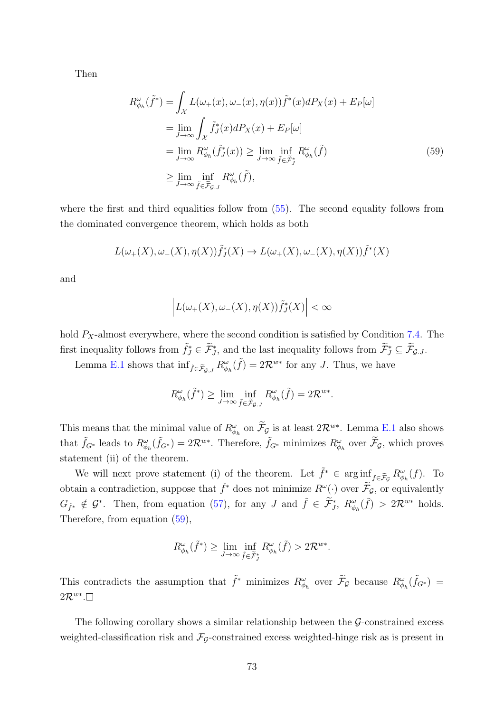Then

<span id="page-72-0"></span>
$$
R^{\omega}_{\phi_h}(\tilde{f}^*) = \int_{\mathcal{X}} L(\omega_+(x), \omega_-(x), \eta(x)) \tilde{f}^*(x) dP_X(x) + E_P[\omega]
$$
  
\n
$$
= \lim_{J \to \infty} \int_{\mathcal{X}} \tilde{f}_J^*(x) dP_X(x) + E_P[\omega]
$$
  
\n
$$
= \lim_{J \to \infty} R^{\omega}_{\phi_h}(\tilde{f}_J^*(x)) \ge \lim_{J \to \infty} \inf_{\tilde{f} \in \tilde{\mathcal{F}}_J^*} R^{\omega}_{\phi_h}(\tilde{f})
$$
  
\n
$$
\ge \lim_{J \to \infty} \inf_{\tilde{f} \in \tilde{\mathcal{F}}_g, J} R^{\omega}_{\phi_h}(\tilde{f}),
$$
\n(59)

where the first and third equalities follow from  $(55)$ . The second equality follows from the dominated convergence theorem, which holds as both

$$
L(\omega_+(X), \omega_-(X), \eta(X))\tilde{f}_J^*(X) \to L(\omega_+(X), \omega_-(X), \eta(X))\tilde{f}^*(X)
$$

and

$$
\left| L(\omega_+(X), \omega_-(X), \eta(X)) \tilde{f}_J^*(X) \right| < \infty
$$

hold  $P_X$ -almost everywhere, where the second condition is satisfied by Condition [7.4.](#page-35-0) The first inequality follows from  $\tilde{f}_J^* \in \tilde{\mathcal{F}}_{J}^*$ , and the last inequality follows from  $\tilde{\mathcal{F}}_J^* \subseteq \tilde{\mathcal{F}}_{G,J}$ .

Lemma [E.1](#page-70-1) shows that  $\inf_{\tilde{f} \in \tilde{\mathcal{F}}_{\mathcal{G},J}} R^{\omega}_{\phi_h}(\tilde{f}) = 2\mathcal{R}^{w*}$  for any J. Thus, we have

$$
R^{\omega}_{\phi_h}(\tilde{f}^*) \geq \lim_{J \to \infty} \inf_{\tilde{f} \in \tilde{\mathcal{F}}_{\mathcal{G},J}} R^{\omega}_{\phi_h}(\tilde{f}) = 2\mathcal{R}^{w*}.
$$

This means that the minimal value of  $R^{\omega}_{\phi_h}$  on  $\tilde{\mathcal{F}}_{\mathcal{G}}$  is at least  $2\mathcal{R}^{w*}$ . Lemma [E.1](#page-70-1) also shows that  $\tilde{f}_{G^*}$  leads to  $R^{\omega}_{\phi_h}(\tilde{f}_{G^*}) = 2\mathcal{R}^{w*}$ . Therefore,  $\tilde{f}_{G^*}$  minimizes  $R^{\omega}_{\phi_h}$  over  $\tilde{\mathcal{F}}_g$ , which proves statement (ii) of the theorem.

We will next prove statement (i) of the theorem. Let  $\tilde{f}^* \in \arg\inf_{\mathcal{F} \in \tilde{\mathcal{F}}_{\mathcal{G}}} R^{\omega}_{\phi_h}(f)$ . To obtain a contradiction, suppose that  $\tilde{f}^*$  does not minimize  $R^{\omega}(\cdot)$  over  $\tilde{\mathcal{F}}_g$ , or equivalently  $G_{\tilde{f}^*} \notin \mathcal{G}^*$ . Then, from equation [\(57\)](#page-71-0), for any J and  $\tilde{f} \in \tilde{\mathcal{F}}^*_{J}$ ,  $R^{\omega}_{\phi_h}(\tilde{f}) > 2\mathcal{R}^{w*}$  holds. Therefore, from equation [\(59\)](#page-72-0),

$$
R^{\omega}_{\phi_h}(\tilde{f}^*) \geq \lim_{J \to \infty} \inf_{\tilde{f} \in \tilde{\mathcal{F}}^*_{J}} R^{\omega}_{\phi_h}(\tilde{f}) > 2\mathcal{R}^{w*}.
$$

This contradicts the assumption that  $\tilde{f}^*$  minimizes  $R^{\omega}_{\phi_h}$  over  $\tilde{\mathcal{F}}_g$  because  $R^{\omega}_{\phi_h}(\tilde{f}_{G^*}) =$  $2\mathcal{R}^{w*}.$ 

The following corollary shows a similar relationship between the  $\mathcal{G}\text{-}constrained$  excess weighted-classification risk and  $\mathcal{F}_{\mathcal{G}}$ -constrained excess weighted-hinge risk as is present in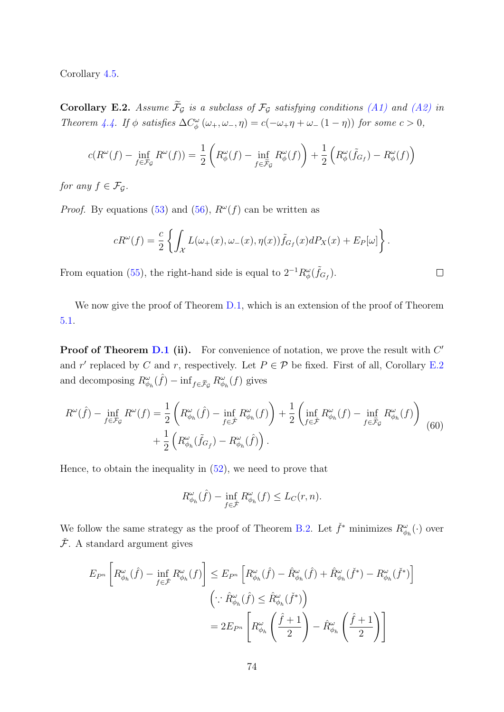Corollary [4.5.](#page-23-0)

<span id="page-73-0"></span>Corollary E.2. Assume  $\widetilde{\mathcal{F}}_G$  is a subclass of  $\mathcal{F}_G$  satisfying conditions [\(A1\)](#page-22-0) and [\(A2\)](#page-23-1) in Theorem [4.4.](#page-22-1) If  $\phi$  satisfies  $\Delta C^{\omega}_{\phi}(\omega_+,\omega_-, \eta) = c(-\omega_+\eta + \omega_-(1-\eta))$  for some  $c > 0$ ,

$$
c(R^{\omega}(f) - \inf_{f \in \mathcal{F}_{\mathcal{G}}} R^{\omega}(f)) = \frac{1}{2} \left( R^{\omega}_{\phi}(f) - \inf_{f \in \widetilde{\mathcal{F}}_{\mathcal{G}}} R^{\omega}_{\phi}(f) \right) + \frac{1}{2} \left( R^{\omega}_{\phi}(\widetilde{f}_{G_f}) - R^{\omega}_{\phi}(f) \right)
$$

for any  $f \in \mathcal{F}_G$ .

*Proof.* By equations [\(53\)](#page-68-0) and [\(56\)](#page-70-2),  $R^{\omega}(f)$  can be written as

$$
cR^{\omega}(f) = \frac{c}{2} \left\{ \int_{\mathcal{X}} L(\omega_+(x), \omega_-(x), \eta(x)) \tilde{f}_{G_f}(x) dP_X(x) + E_P[\omega] \right\}.
$$

 $\Box$ 

From equation [\(55\)](#page-70-0), the right-hand side is equal to  $2^{-1}R_{\phi}^{\omega}(\tilde{f}_{G_f})$ .

We now give the proof of Theorem [D.1,](#page-66-0) which is an extension of the proof of Theorem [5.1.](#page-26-0)

**Proof of Theorem [D.1](#page-66-0) (ii).** For convenience of notation, we prove the result with  $C'$ and r' replaced by C and r, respectively. Let  $P \in \mathcal{P}$  be fixed. First of all, Corollary [E.2](#page-73-0) and decomposing  $R^{\omega}_{\phi_h}(\hat{f}) - \inf_{f \in \tilde{\mathcal{F}}_{\mathcal{G}}} R^{\omega}_{\phi_h}(f)$  gives

<span id="page-73-1"></span>
$$
R^{\omega}(\hat{f}) - \inf_{f \in \mathcal{F}_{\mathcal{G}}} R^{\omega}(f) = \frac{1}{2} \left( R^{\omega}_{\phi_h}(\hat{f}) - \inf_{f \in \tilde{\mathcal{F}}} R^{\omega}_{\phi_h}(f) \right) + \frac{1}{2} \left( \inf_{f \in \tilde{\mathcal{F}}} R^{\omega}_{\phi_h}(f) - \inf_{f \in \tilde{\mathcal{F}}_{\mathcal{G}}} R^{\omega}_{\phi_h}(f) \right) + \frac{1}{2} \left( R^{\omega}_{\phi_h}(\tilde{f}_{G_{\tilde{f}}}) - R^{\omega}_{\phi_h}(\hat{f}) \right).
$$
\n(60)

Hence, to obtain the inequality in [\(52\)](#page-66-1), we need to prove that

$$
R^{\omega}_{\phi_h}(\hat{f}) - \inf_{f \in \tilde{\mathcal{F}}} R^{\omega}_{\phi_h}(f) \le L_C(r, n).
$$

We follow the same strategy as the proof of Theorem [B.2.](#page-48-0) Let  $\check{f}^*$  minimizes  $R^{\omega}_{\phi_h}(\cdot)$  over  $\check{\mathcal{F}}$ . A standard argument gives

$$
E_{P^n} \left[ R^{\omega}_{\phi_h}(\hat{f}) - \inf_{f \in \tilde{\mathcal{F}}} R^{\omega}_{\phi_h}(f) \right] \le E_{P^n} \left[ R^{\omega}_{\phi_h}(\hat{f}) - \hat{R}^{\omega}_{\phi_h}(\hat{f}) + \hat{R}^{\omega}_{\phi_h}(\check{f}^*) - R^{\omega}_{\phi_h}(\check{f}^*) \right]
$$

$$
\left( \because \hat{R}^{\omega}_{\phi_h}(\hat{f}) \le \hat{R}^{\omega}_{\phi_h}(\check{f}^*) \right)
$$

$$
= 2E_{P^n} \left[ R^{\omega}_{\phi_h} \left( \frac{\hat{f} + 1}{2} \right) - \hat{R}^{\omega}_{\phi_h} \left( \frac{\hat{f} + 1}{2} \right) \right]
$$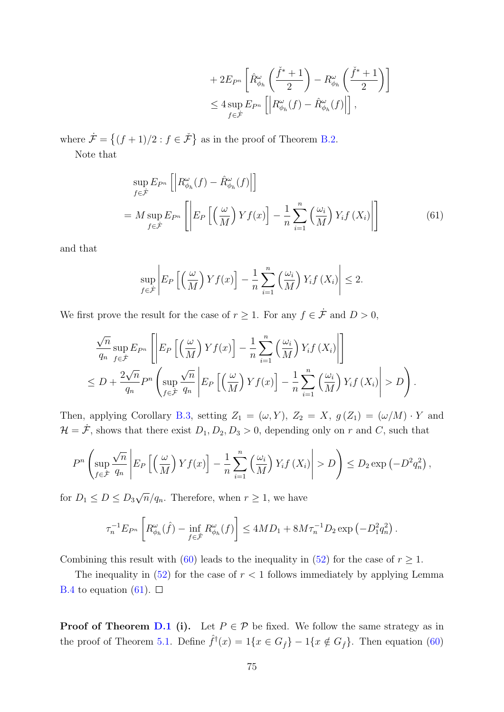<span id="page-74-0"></span>
$$
+ 2E_{P^n} \left[ \hat{R}^{\omega}_{\phi_h} \left( \frac{\check{f}^* + 1}{2} \right) - R^{\omega}_{\phi_h} \left( \frac{\check{f}^* + 1}{2} \right) \right]
$$
  

$$
\leq 4 \sup_{f \in \mathcal{F}} E_{P^n} \left[ \left| R^{\omega}_{\phi_h}(f) - \hat{R}^{\omega}_{\phi_h}(f) \right| \right],
$$

where  $\dot{\mathcal{F}} = \{(f+1)/2 : f \in \dot{\mathcal{F}}\}$  as in the proof of Theorem [B.2.](#page-48-0)

Note that

$$
\sup_{f \in \mathcal{F}} E_{P^n} \left[ \left| R^{\omega}_{\phi_h}(f) - \hat{R}^{\omega}_{\phi_h}(f) \right| \right]
$$
\n
$$
= M \sup_{f \in \mathcal{F}} E_{P^n} \left[ \left| E_P \left[ \left( \frac{\omega}{M} \right) Y f(x) \right] - \frac{1}{n} \sum_{i=1}^n \left( \frac{\omega_i}{M} \right) Y_i f(X_i) \right| \right] \tag{61}
$$

and that

$$
\sup_{f \in \mathcal{F}} \left| E_P \left[ \left( \frac{\omega}{M} \right) Y f(x) \right] - \frac{1}{n} \sum_{i=1}^n \left( \frac{\omega_i}{M} \right) Y_i f(X_i) \right| \le 2.
$$

We first prove the result for the case of  $r \geq 1$ . For any  $f \in \dot{\mathcal{F}}$  and  $D > 0$ ,

$$
\frac{\sqrt{n}}{q_n} \sup_{f \in \mathcal{F}} E_{P^n} \left[ \left| E_P \left[ \left( \frac{\omega}{M} \right) Y f(x) \right] - \frac{1}{n} \sum_{i=1}^n \left( \frac{\omega_i}{M} \right) Y_i f(X_i) \right| \right] \right]
$$
  
\n
$$
\leq D + \frac{2\sqrt{n}}{q_n} P^n \left( \sup_{f \in \mathcal{F}} \frac{\sqrt{n}}{q_n} \left| E_P \left[ \left( \frac{\omega}{M} \right) Y f(x) \right] - \frac{1}{n} \sum_{i=1}^n \left( \frac{\omega_i}{M} \right) Y_i f(X_i) \right| > D \right).
$$

Then, applying Corollary [B.3,](#page-51-0) setting  $Z_1 = (\omega, Y), Z_2 = X, g(Z_1) = (\omega/M) \cdot Y$  and  $\mathcal{H} = \dot{\mathcal{F}}$ , shows that there exist  $D_1, D_2, D_3 > 0$ , depending only on r and C, such that

$$
P^{n}\left(\sup_{f\in\mathcal{F}}\frac{\sqrt{n}}{q_{n}}\left|E_{P}\left[\left(\frac{\omega}{M}\right)Yf(x)\right]-\frac{1}{n}\sum_{i=1}^{n}\left(\frac{\omega_{i}}{M}\right)Y_{i}f\left(X_{i}\right)\right|>D\right)\leq D_{2}\exp\left(-D^{2}q_{n}^{2}\right),
$$

for  $D_1 \leq D \leq D_3$ √  $\overline{n}/q_n$ . Therefore, when  $r \geq 1$ , we have

$$
\tau_n^{-1} E_{P^n} \left[ R_{\phi_h}^{\omega}(\hat{f}) - \inf_{f \in \tilde{\mathcal{F}}} R_{\phi_h}^{\omega}(f) \right] \le 4MD_1 + 8M \tau_n^{-1} D_2 \exp \left( -D_1^2 q_n^2 \right).
$$

Combining this result with [\(60\)](#page-73-1) leads to the inequality in [\(52\)](#page-66-1) for the case of  $r \geq 1$ .

The inequality in  $(52)$  for the case of  $r < 1$  follows immediately by applying Lemma [B.4](#page-52-0) to equation [\(61\)](#page-74-0).  $\Box$ 

**Proof of Theorem [D.1](#page-66-0) (i).** Let  $P \in \mathcal{P}$  be fixed. We follow the same strategy as in the proof of Theorem [5.1.](#page-26-0) Define  $\hat{f}^{\dagger}(x) = 1\{x \in G_{\hat{f}}\} - 1\{x \notin G_{\hat{f}}\}\.$  Then equation [\(60\)](#page-73-1)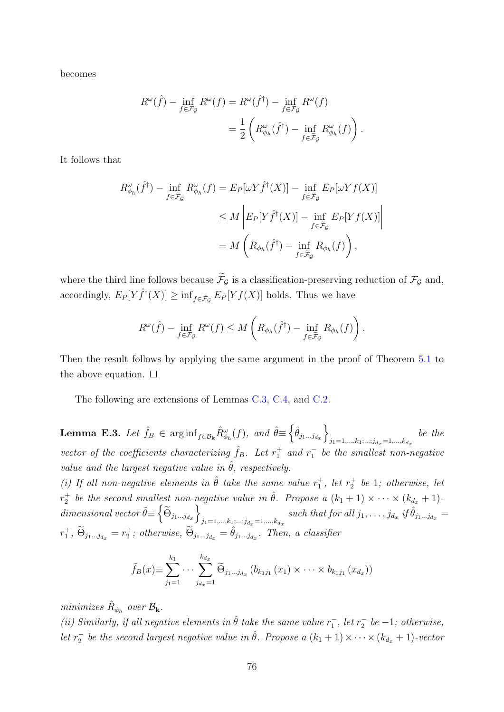becomes

$$
R^{\omega}(\hat{f}) - \inf_{f \in \mathcal{F}_{\mathcal{G}}} R^{\omega}(f) = R^{\omega}(\hat{f}^{\dagger}) - \inf_{f \in \mathcal{F}_{\mathcal{G}}} R^{\omega}(f)
$$

$$
= \frac{1}{2} \left( R^{\omega}_{\phi_h}(\hat{f}^{\dagger}) - \inf_{f \in \tilde{\mathcal{F}}_{\mathcal{G}}} R^{\omega}_{\phi_h}(f) \right).
$$

It follows that

$$
R^{\omega}_{\phi_h}(\hat{f}^{\dagger}) - \inf_{f \in \tilde{\mathcal{F}}_{\mathcal{G}}} R^{\omega}_{\phi_h}(f) = E_P[\omega Y \hat{f}^{\dagger}(X)] - \inf_{f \in \tilde{\mathcal{F}}_{\mathcal{G}}} E_P[\omega Y f(X)]
$$
  

$$
\leq M \left| E_P[Y \hat{f}^{\dagger}(X)] - \inf_{f \in \tilde{\mathcal{F}}_{\mathcal{G}}} E_P[Y f(X)] \right|
$$
  

$$
= M \left( R_{\phi_h}(\hat{f}^{\dagger}) - \inf_{f \in \tilde{\mathcal{F}}_{\mathcal{G}}} R_{\phi_h}(f) \right),
$$

where the third line follows because  $\widetilde{\mathcal{F}}_{\mathcal{G}}$  is a classification-preserving reduction of  $\mathcal{F}_{\mathcal{G}}$  and, accordingly,  $E_P[Y\hat{f}^{\dagger}(X)] \geq \inf_{f \in \tilde{\mathcal{F}}_{\mathcal{G}}} E_P[Yf(X)]$  holds. Thus we have

$$
R^{\omega}(\hat{f}) - \inf_{f \in \mathcal{F}_{\mathcal{G}}} R^{\omega}(f) \leq M \left( R_{\phi_h}(\hat{f}^{\dagger}) - \inf_{f \in \tilde{\mathcal{F}}_{\mathcal{G}}} R_{\phi_h}(f) \right).
$$

Then the result follows by applying the same argument in the proof of Theorem [5.1](#page-26-0) to the above equation.  $\square$ 

The following are extensions of Lemmas [C.3,](#page-59-0) [C.4,](#page-60-0) and [C.2.](#page-58-0)

<span id="page-75-0"></span>**Lemma E.3.** Let  $\hat{f}_B \in \arginf_{f \in \mathcal{B}_k} \hat{R}_{\phi_h}^{\omega}(f)$ , and  $\hat{\theta} \equiv \left\{ \hat{\theta}_{j_1...j_{d_x}} \right\}$  $j_1=1,\ldots,k_1;\ldots;j_{d_x}=1,\ldots,k_{d_x}$ be the vector of the coefficients characterizing  $\hat{f}_B$ . Let  $r_1^+$  and  $r_1^-$  be the smallest non-negative value and the largest negative value in  $\hat{\theta}$ , respectively.

(i) If all non-negative elements in  $\hat{\theta}$  take the same value  $r_1^+$ , let  $r_2^+$  be 1; otherwise, let  $r_2^+$  be the second smallest non-negative value in  $\hat{\theta}$ . Propose a  $(k_1+1) \times \cdots \times (k_{d_x}+1)$  $dimensional \ vector \tilde{\theta} \equiv \left\{ \widetilde{\Theta}_{j_1...j_{d_x}} \right\}$  $\sum_{j_1=1,...,k_1,...,j_{d_x}=1,...,k_{d_x}} such\ that\ for\ all\ j_1,\ldots,j_{d_x}\ if\ \hat{\theta}_{j_1...j_{d_x}}=0$  $r_1^+$ ,  $\widetilde{\Theta}_{j_1...j_{d_x}} = r_2^+$ ; otherwise,  $\widetilde{\Theta}_{j_1...j_{d_x}} = \hat{\theta}_{j_1...j_{d_x}}$ . Then, a classifier

$$
\tilde{f}_B(x) \equiv \sum_{j_1=1}^{k_1} \cdots \sum_{j_{d_x}=1}^{k_{d_x}} \tilde{\Theta}_{j_1...j_{d_x}} (b_{k_1j_1}(x_1) \times \cdots \times b_{k_1j_1}(x_{d_x}))
$$

minimizes  $\hat{R}_{\phi_h}$  over  $\mathcal{B}_{\mathbf{k}}$ .

(ii) Similarly, if all negative elements in  $\hat{\theta}$  take the same value  $r_1^-$ , let  $r_2^-$  be  $-1$ ; otherwise, let  $r_2^-$  be the second largest negative value in  $\hat{\theta}$ . Propose a  $(k_1 + 1) \times \cdots \times (k_{d_x} + 1)$ -vector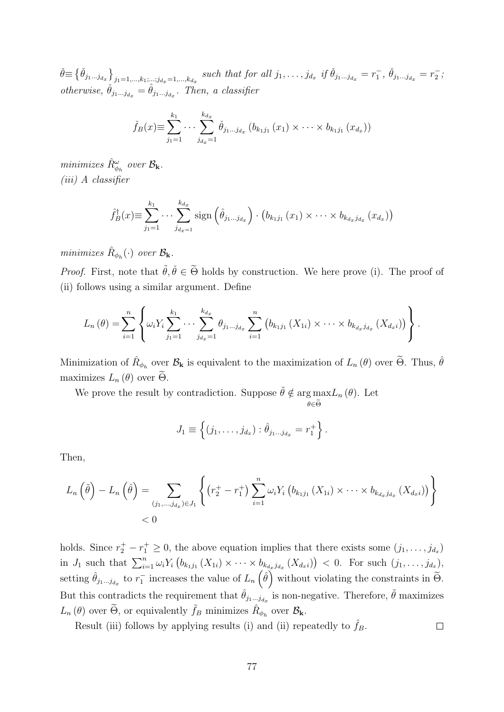$\check{\theta} \equiv \{\check{\theta}_{j_1...j_{d_x}}\}_{j_1=1,...,k_1,...;j_{d_x}=1,...,k_{d_x}}$  such that for all  $j_1,...,j_{d_x}$  if  $\check{\theta}_{j_1...j_{d_x}} = r_1^-$ ,  $\check{\theta}_{j_1...j_{d_x}} = r_2^-$ ; otherwise,  $\check{\theta}_{j_1...j_{d_x}} = \hat{\theta}_{j_1...j_{d_x}}$ . Then, a classifier

$$
\check{f}_B(x) \equiv \sum_{j_1=1}^{k_1} \cdots \sum_{j_{d_x}=1}^{k_{d_x}} \check{\theta}_{j_1...j_{d_x}} (b_{k_1j_1}(x_1) \times \cdots \times b_{k_1j_1}(x_{d_x}))
$$

minimizes  $\hat{R}^{\omega}_{\phi_h}$  over  $\mathcal{B}_{\mathbf{k}}$ . (iii) A classifier

$$
\hat{f}_B^{\dagger}(x) \equiv \sum_{j_1=1}^{k_1} \cdots \sum_{j_{d_x=1}}^{k_{d_x}} sign\left(\hat{\theta}_{j_1...j_{d_x}}\right) \cdot \left(b_{k_1j_1}(x_1) \times \cdots \times b_{k_{d_x}j_{d_x}}(x_{d_x})\right)
$$

minimizes  $\hat{R}_{\phi_h}(\cdot)$  over  $\mathcal{B}_{\mathbf{k}}$ .

*Proof.* First, note that  $\tilde{\theta}, \tilde{\theta} \in \tilde{\Theta}$  holds by construction. We here prove (i). The proof of (ii) follows using a similar argument. Define

$$
L_n(\theta) = \sum_{i=1}^n \left\{ \omega_i Y_i \sum_{j_1=1}^{k_1} \cdots \sum_{j_{d_x}=1}^{k_{d_x}} \theta_{j_1...j_{d_x}} \sum_{i=1}^n \left( b_{k_1j_1} (X_{1i}) \times \cdots \times b_{k_{d_x}j_{d_x}} (X_{d_xi}) \right) \right\}.
$$

Minimization of  $\hat{R}_{\phi_h}$  over  $\mathcal{B}_{\mathbf{k}}$  is equivalent to the maximization of  $L_n(\theta)$  over  $\widetilde{\Theta}$ . Thus,  $\hat{\theta}$ maximizes  $L_n(\theta)$  over  $\Theta$ .

We prove the result by contradiction. Suppose  $\tilde{\theta} \notin \arg \max L_n(\theta)$ . Let

$$
J_1 \equiv \left\{ (j_1, \ldots, j_{d_x}) : \hat{\theta}_{j_1 \ldots j_{d_x}} = r_1^+ \right\}.
$$

 $\theta \in \Theta$ 

Then,

$$
L_n(\tilde{\theta}) - L_n(\hat{\theta}) = \sum_{(j_1,...,j_{d_x}) \in J_1} \left\{ (r_2^+ - r_1^+) \sum_{i=1}^n \omega_i Y_i (b_{k_1 j_1} (X_{1i}) \times \cdots \times b_{k_{d_x} j_{d_x}} (X_{d_x i})) \right\}
$$
  
< 0

holds. Since  $r_2^+ - r_1^+ \geq 0$ , the above equation implies that there exists some  $(j_1, \ldots, j_{d_x})$ in  $J_1$  such that  $\sum_{i=1}^n \omega_i Y_i \left( b_{k_1 j_1} (X_{1i}) \times \cdots \times b_{k_{d_x} j_{d_x}} (X_{d_x i}) \right) < 0$ . For such  $(j_1, \ldots, j_{d_x})$ , setting  $\hat{\theta}_{j_1...j_{d_x}}$  to  $r_1^-$  increases the value of  $L_n(\hat{\theta})$  without violating the constraints in  $\tilde{\Theta}$ . But this contradicts the requirement that  $\hat{\theta}_{j_1...j_{d_x}}$  is non-negative. Therefore,  $\tilde{\theta}$  maximizes  $L_n(\theta)$  over  $\widetilde{\Theta}$ , or equivalently  $\widetilde{f}_B$  minimizes  $\widehat{R}_{\phi_h}$  over  $\mathcal{B}_{\mathbf{k}}$ .

Result (iii) follows by applying results (i) and (ii) repeatedly to  $\hat{f}_B$ .  $\Box$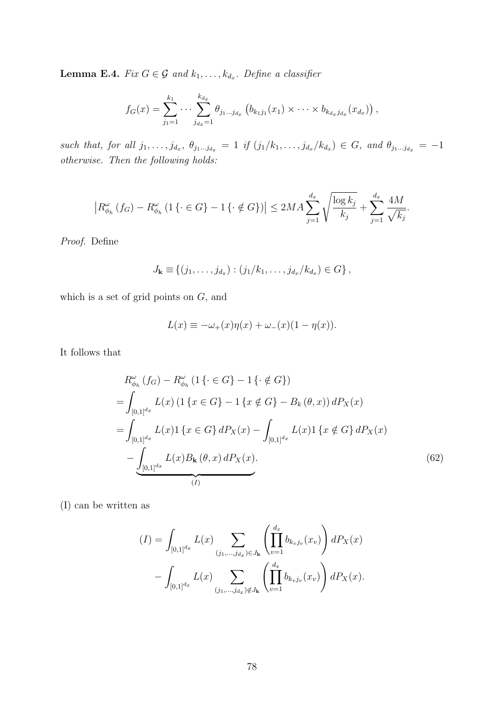<span id="page-77-1"></span>**Lemma E.4.** Fix  $G \in \mathcal{G}$  and  $k_1, \ldots, k_{d_x}$ . Define a classifier

$$
f_G(x) = \sum_{j_1=1}^{k_1} \cdots \sum_{j_{d_x}=1}^{k_{d_x}} \theta_{j_1...j_{d_x}} (b_{k_1j_1}(x_1) \times \cdots \times b_{k_{d_x}j_{d_x}}(x_{d_x})),
$$

such that, for all  $j_1, \ldots, j_{d_x}, \theta_{j_1 \ldots j_{d_x}} = 1$  if  $(j_1/k_1, \ldots, j_{d_x}/k_{d_x}) \in G$ , and  $\theta_{j_1 \ldots j_{d_x}} = -1$ otherwise. Then the following holds:

$$
\left| R_{\phi_h}^{\omega} (f_G) - R_{\phi_h}^{\omega} (1 \{ \cdot \in G \} - 1 \{ \cdot \notin G \}) \right| \le 2MA \sum_{j=1}^{d_x} \sqrt{\frac{\log k_j}{k_j}} + \sum_{j=1}^{d_x} \frac{4M}{\sqrt{k_j}}.
$$

Proof. Define

$$
J_{\mathbf{k}} \equiv \{ (j_1, \ldots, j_{d_x}) : (j_1/k_1, \ldots, j_{d_x}/k_{d_x}) \in G \},
$$

which is a set of grid points on  $G$ , and

<span id="page-77-0"></span>
$$
L(x) \equiv -\omega_+(x)\eta(x) + \omega_-(x)(1-\eta(x)).
$$

It follows that

$$
R_{\phi_h}^{\omega}(f_G) - R_{\phi_h}^{\omega}(1\{\cdot \in G\} - 1\{\cdot \notin G\})
$$
  
= 
$$
\int_{[0,1]^{d_x}} L(x) (1\{x \in G\} - 1\{x \notin G\} - B_k(\theta, x)) dP_X(x)
$$
  
= 
$$
\int_{[0,1]^{d_x}} L(x) 1\{x \in G\} dP_X(x) - \int_{[0,1]^{d_x}} L(x) 1\{x \notin G\} dP_X(x)
$$
  
- 
$$
\underbrace{\int_{[0,1]^{d_x}} L(x) B_k(\theta, x) dP_X(x)}_{(I)}
$$
 (62)

(I) can be written as

$$
(I) = \int_{[0,1]^{d_x}} L(x) \sum_{(j_1,\ldots,j_{d_x}) \in J_{\mathbf{k}}} \left( \prod_{v=1}^{d_x} b_{k_v j_v}(x_v) \right) dP_X(x)
$$

$$
- \int_{[0,1]^{d_x}} L(x) \sum_{(j_1,\ldots,j_{d_x}) \notin J_{\mathbf{k}}} \left( \prod_{v=1}^{d_x} b_{k_v j_v}(x_v) \right) dP_X(x).
$$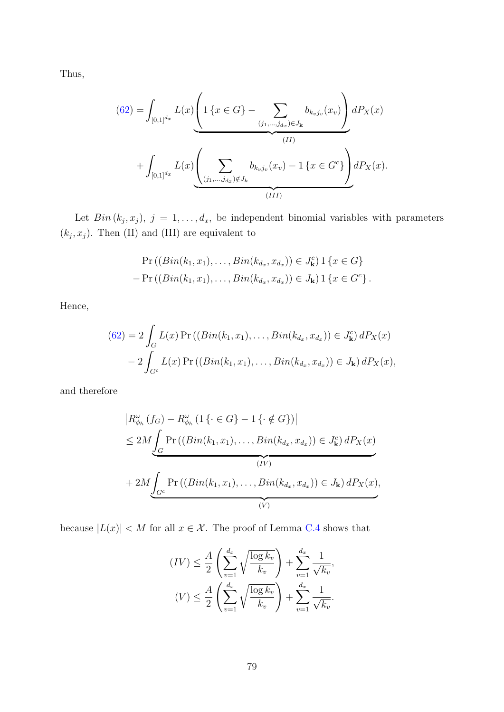Thus,

$$
(62) = \int_{[0,1]^{d_x}} L(x) \underbrace{\left(1\left\{x \in G\right\} - \sum_{(j_1,\ldots,j_{d_x}) \in J_{\mathbf{k}}} b_{k_vj_v}(x_v)\right)}_{(II)} dP_X(x) + \int_{[0,1]^{d_x}} L(x) \underbrace{\left(\sum_{(j_1,\ldots,j_{d_x}) \notin J_{\mathbf{k}}} b_{k_vj_v}(x_v) - 1\left\{x \in G^c\right\}\right)}_{(III)} dP_X(x).
$$

Let  $Bin(k_j, x_j), j = 1, ..., d_x$ , be independent binomial variables with parameters  $(k_j, x_j)$ . Then (II) and (III) are equivalent to

$$
\Pr((Bin(k_1, x_1), \ldots, Bin(k_{d_x}, x_{d_x})) \in J_{\mathbf{k}}^c) \mathbf{1} \{x \in G\} \n- \Pr((Bin(k_1, x_1), \ldots, Bin(k_{d_x}, x_{d_x})) \in J_{\mathbf{k}}) \mathbf{1} \{x \in G^c\}.
$$

Hence,

$$
(62) = 2 \int_G L(x) \Pr \left( (Bin(k_1, x_1), \dots, Bin(k_{d_x}, x_{d_x}) \right) \in J^c_{\mathbf{k}} \right) dP_X(x)
$$

$$
- 2 \int_{G^c} L(x) \Pr \left( (Bin(k_1, x_1), \dots, Bin(k_{d_x}, x_{d_x}) \right) \in J_{\mathbf{k}} \right) dP_X(x),
$$

and therefore

$$
\left| R^{\omega}_{\phi_h} (f_G) - R^{\omega}_{\phi_h} (1 \{ \cdot \in G \} - 1 \{ \cdot \notin G \}) \right|
$$
  
\n
$$
\leq 2M \int_G \Pr \left( (Bin(k_1, x_1), \dots, Bin(k_{d_x}, x_{d_x}) \right) \in J^c_{\mathbf{k}} dP_X(x)
$$
  
\n
$$
+ 2M \int_{G^c} \Pr \left( (Bin(k_1, x_1), \dots, Bin(k_{d_x}, x_{d_x}) \right) \in J_{\mathbf{k}} dP_X(x),
$$
  
\n
$$
\underbrace{(V)}_{(V)}
$$

because  $|L(x)| < M$  for all  $x \in \mathcal{X}$ . The proof of Lemma [C.4](#page-60-0) shows that

$$
(IV) \leq \frac{A}{2} \left( \sum_{v=1}^{d_x} \sqrt{\frac{\log k_v}{k_v}} \right) + \sum_{v=1}^{d_x} \frac{1}{\sqrt{k_v}},
$$

$$
(V) \leq \frac{A}{2} \left( \sum_{v=1}^{d_x} \sqrt{\frac{\log k_v}{k_v}} \right) + \sum_{v=1}^{d_x} \frac{1}{\sqrt{k_v}}.
$$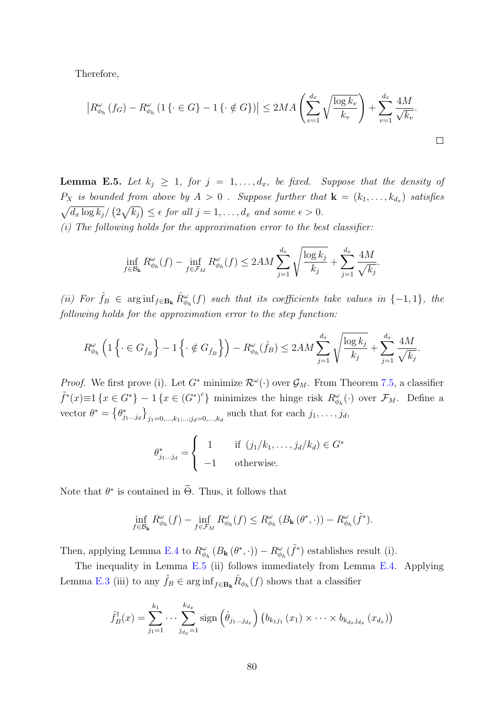Therefore,

$$
\left| R_{\phi_h}^{\omega}(f_G) - R_{\phi_h}^{\omega}(1\left\{ \cdot \in G \right\} - 1\left\{ \cdot \notin G \right\}) \right| \le 2MA \left( \sum_{v=1}^{d_x} \sqrt{\frac{\log k_v}{k_v}} \right) + \sum_{v=1}^{d_x} \frac{4M}{\sqrt{k_v}}.
$$

<span id="page-79-0"></span>**Lemma E.5.** Let  $k_j \geq 1$ , for  $j = 1, \ldots, d_x$ , be fixed. Suppose that the density of  $P_X$  is bounded from above by  $A > 0$ . Suppose further that  $\mathbf{k} = (k_1, \ldots, k_{d_x})$  satisfies  $\sqrt{d_x \log k_j}/(2\sqrt{k_j}) \leq \epsilon$  for all  $j = 1, \ldots, d_x$  and some  $\epsilon > 0$ .

 $(i)$  The following holds for the approximation error to the best classifier:

$$
\inf_{f \in \mathcal{B}_{\mathbf{k}}} R^{\omega}_{\phi_h}(f) - \inf_{f \in \mathcal{F}_M} R^{\omega}_{\phi_h}(f) \le 2AM \sum_{j=1}^{d_x} \sqrt{\frac{\log k_j}{k_j}} + \sum_{j=1}^{d_x} \frac{4M}{\sqrt{k_j}}.
$$

(ii) For  $\hat{f}_B \in \arg\inf_{f \in \mathbf{B_k}} \hat{R}_{\phi_h}^{\omega}(f)$  such that its coefficients take values in  $\{-1,1\}$ , the following holds for the approximation error to the step function:

$$
R^{\omega}_{\phi_h} \left( 1 \left\{ \cdot \in G_{\hat{f}_B} \right\} - 1 \left\{ \cdot \notin G_{\hat{f}_B} \right\} \right) - R^{\omega}_{\phi_h}(\hat{f}_B) \le 2AM \sum_{j=1}^{d_x} \sqrt{\frac{\log k_j}{k_j}} + \sum_{j=1}^{d_x} \frac{4M}{\sqrt{k_j}}.
$$

*Proof.* We first prove (i). Let  $G^*$  minimize  $\mathcal{R}^{\omega}(\cdot)$  over  $\mathcal{G}_M$ . From Theorem [7.5,](#page-35-1) a classifier  $\tilde{f}^*(x) \equiv 1 \{x \in G^*\} - 1 \{x \in (G^*)^c\}$  minimizes the hinge risk  $R^{\omega}_{\phi_h}(\cdot)$  over  $\mathcal{F}_M$ . Define a vector  $\theta^* = \left\{\theta_{j_1...j_d}^*\right\}_{j_1=0,\dots,k_1;\dots;j_d=0,\dots,k_d}$  such that for each  $j_1,\dots,j_d$ ,

$$
\theta_{j_1...j_d}^* = \begin{cases} 1 & \text{if } (j_1/k_1, \dots, j_d/k_d) \in G^* \\ -1 & \text{otherwise.} \end{cases}
$$

Note that  $\theta^*$  is contained in  $\Theta$ . Thus, it follows that

$$
\inf_{f \in \mathcal{B}_{\mathbf{k}}} R^{\omega}_{\phi_h}(f) - \inf_{f \in \mathcal{F}_M} R^{\omega}_{\phi_h}(f) \leq R^{\omega}_{\phi_h}(B_{\mathbf{k}}(\theta^*, \cdot)) - R^{\omega}_{\phi_h}(\tilde{f}^*).
$$

Then, applying Lemma [E.4](#page-77-1) to  $R^{\omega}_{\phi_h}(B_{\mathbf{k}}(\theta^*,\cdot)) - R^{\omega}_{\phi_h}(\tilde{f}^*)$  establishes result (i).

The inequality in Lemma [E.5](#page-79-0) (ii) follows immediately from Lemma [E.4.](#page-77-1) Applying Lemma [E.3](#page-75-0) (iii) to any  $\hat{f}_B \in \arginf_{f \in \mathbf{B_k}} \hat{R}_{\phi_h}(f)$  shows that a classifier

$$
\hat{f}_B^{\dagger}(x) = \sum_{j_1=1}^{k_1} \cdots \sum_{j_{d_x}=1}^{k_{d_x}} sign\left(\hat{\theta}_{j_1...j_{d_x}}\right) \left(b_{k_1j_1}(x_1) \times \cdots \times b_{k_{d_x}j_{d_x}}(x_{d_x})\right)
$$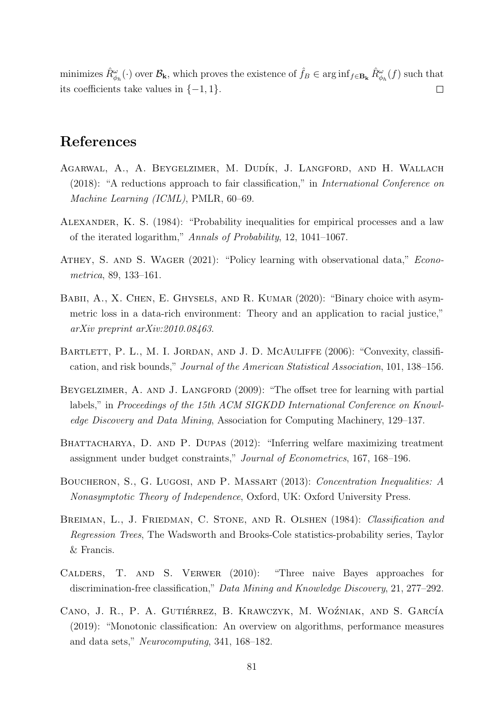minimizes  $\hat{R}^{\omega}_{\phi_h}(\cdot)$  over  $\mathcal{B}_{\mathbf{k}}$ , which proves the existence of  $\hat{f}_B \in \arg\inf_{f \in \mathbf{B}_{\mathbf{k}}} \hat{R}^{\omega}_{\phi_h}(f)$  such that its coefficients take values in  $\{-1, 1\}$ .  $\Box$ 

## References

- AGARWAL, A., A. BEYGELZIMER, M. DUDÍK, J. LANGFORD, AND H. WALLACH (2018): "A reductions approach to fair classification," in International Conference on Machine Learning (ICML), PMLR, 60–69.
- Alexander, K. S. (1984): "Probability inequalities for empirical processes and a law of the iterated logarithm," Annals of Probability, 12, 1041–1067.
- ATHEY, S. AND S. WAGER (2021): "Policy learning with observational data," *Econo*metrica, 89, 133–161.
- BABII, A., X. CHEN, E. GHYSELS, AND R. KUMAR (2020): "Binary choice with asymmetric loss in a data-rich environment: Theory and an application to racial justice," arXiv preprint arXiv:2010.08463.
- BARTLETT, P. L., M. I. JORDAN, AND J. D. MCAULIFFE (2006): "Convexity, classification, and risk bounds," Journal of the American Statistical Association, 101, 138–156.
- BEYGELZIMER, A. AND J. LANGFORD (2009): "The offset tree for learning with partial labels," in Proceedings of the 15th ACM SIGKDD International Conference on Knowledge Discovery and Data Mining, Association for Computing Machinery, 129–137.
- BHATTACHARYA, D. AND P. DUPAS (2012): "Inferring welfare maximizing treatment assignment under budget constraints," Journal of Econometrics, 167, 168–196.
- Boucheron, S., G. Lugosi, and P. Massart (2013): Concentration Inequalities: A Nonasymptotic Theory of Independence, Oxford, UK: Oxford University Press.
- BREIMAN, L., J. FRIEDMAN, C. STONE, AND R. OLSHEN (1984): Classification and Regression Trees, The Wadsworth and Brooks-Cole statistics-probability series, Taylor & Francis.
- Calders, T. and S. Verwer (2010): "Three naive Bayes approaches for discrimination-free classification," Data Mining and Knowledge Discovery, 21, 277–292.
- CANO, J. R., P. A. GUTIÉRREZ, B. KRAWCZYK, M. WOŹNIAK, AND S. GARCÍA (2019): "Monotonic classification: An overview on algorithms, performance measures and data sets," Neurocomputing, 341, 168–182.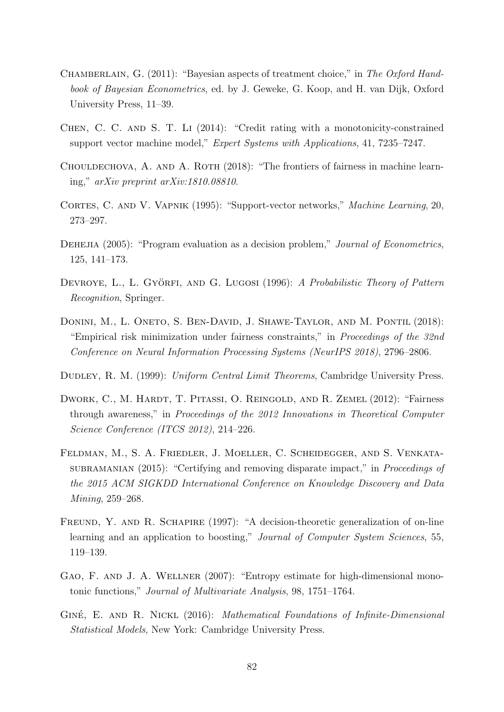- CHAMBERLAIN, G. (2011): "Bayesian aspects of treatment choice," in The Oxford Handbook of Bayesian Econometrics, ed. by J. Geweke, G. Koop, and H. van Dijk, Oxford University Press, 11–39.
- CHEN, C. C. AND S. T. LI (2014): "Credit rating with a monotonicity-constrained support vector machine model," Expert Systems with Applications, 41, 7235–7247.
- CHOULDECHOVA, A. AND A. ROTH (2018): "The frontiers of fairness in machine learning," arXiv preprint arXiv:1810.08810.
- CORTES, C. AND V. VAPNIK (1995): "Support-vector networks," Machine Learning, 20, 273–297.
- DEHEJIA (2005): "Program evaluation as a decision problem," *Journal of Econometrics*, 125, 141–173.
- DEVROYE, L., L. GYÖRFI, AND G. LUGOSI (1996): A Probabilistic Theory of Pattern Recognition, Springer.
- DONINI, M., L. ONETO, S. BEN-DAVID, J. SHAWE-TAYLOR, AND M. PONTIL (2018): "Empirical risk minimization under fairness constraints," in Proceedings of the 32nd Conference on Neural Information Processing Systems (NeurIPS 2018), 2796–2806.
- DUDLEY, R. M. (1999): Uniform Central Limit Theorems, Cambridge University Press.
- DWORK, C., M. HARDT, T. PITASSI, O. REINGOLD, AND R. ZEMEL (2012): "Fairness through awareness," in Proceedings of the 2012 Innovations in Theoretical Computer Science Conference (ITCS 2012), 214–226.
- Feldman, M., S. A. Friedler, J. Moeller, C. Scheidegger, and S. Venkatasubramanian (2015): "Certifying and removing disparate impact," in *Proceedings of* the 2015 ACM SIGKDD International Conference on Knowledge Discovery and Data Mining, 259–268.
- FREUND, Y. AND R. SCHAPIRE (1997): "A decision-theoretic generalization of on-line learning and an application to boosting," Journal of Computer System Sciences, 55, 119–139.
- GAO, F. AND J. A. WELLNER (2007): "Entropy estimate for high-dimensional monotonic functions," Journal of Multivariate Analysis, 98, 1751–1764.
- GINÉ, E. AND R. NICKL (2016): Mathematical Foundations of Infinite-Dimensional Statistical Models, New York: Cambridge University Press.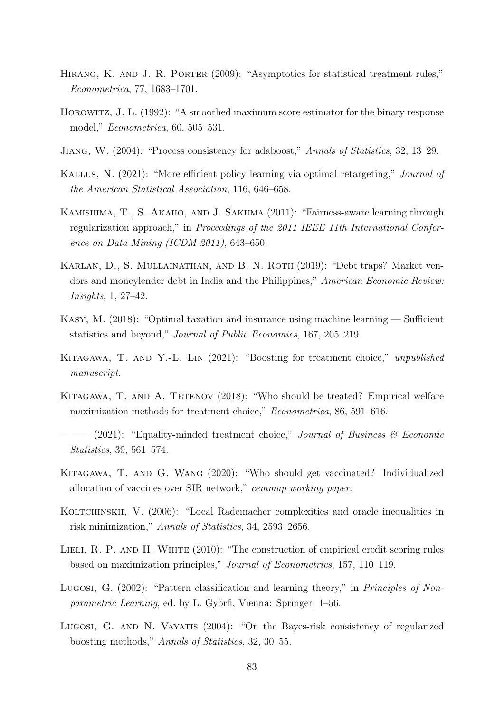- HIRANO, K. AND J. R. PORTER (2009): "Asymptotics for statistical treatment rules," Econometrica, 77, 1683–1701.
- Horowitz, J. L. (1992): "A smoothed maximum score estimator for the binary response model," Econometrica, 60, 505–531.
- Jiang, W. (2004): "Process consistency for adaboost," Annals of Statistics, 32, 13–29.
- Kallus, N. (2021): "More efficient policy learning via optimal retargeting," Journal of the American Statistical Association, 116, 646–658.
- Kamishima, T., S. Akaho, and J. Sakuma (2011): "Fairness-aware learning through regularization approach," in Proceedings of the 2011 IEEE 11th International Conference on Data Mining (ICDM 2011), 643–650.
- KARLAN, D., S. MULLAINATHAN, AND B. N. ROTH (2019): "Debt traps? Market vendors and moneylender debt in India and the Philippines," American Economic Review: Insights, 1, 27–42.
- Kasy, M. (2018): "Optimal taxation and insurance using machine learning Sufficient statistics and beyond," Journal of Public Economics, 167, 205–219.
- Kitagawa, T. and Y.-L. Lin (2021): "Boosting for treatment choice," unpublished manuscript.
- Kitagawa, T. and A. Tetenov (2018): "Who should be treated? Empirical welfare maximization methods for treatment choice," Econometrica, 86, 591–616.
- $(2021)$ : "Equality-minded treatment choice," Journal of Business & Economic Statistics, 39, 561–574.
- Kitagawa, T. and G. Wang (2020): "Who should get vaccinated? Individualized allocation of vaccines over SIR network," cemmap working paper.
- KOLTCHINSKII, V. (2006): "Local Rademacher complexities and oracle inequalities in risk minimization," Annals of Statistics, 34, 2593–2656.
- LIELI, R. P. AND H. WHITE (2010): "The construction of empirical credit scoring rules based on maximization principles," Journal of Econometrics, 157, 110–119.
- Lugosi, G. (2002): "Pattern classification and learning theory," in *Principles of Non*parametric Learning, ed. by L. Györfi, Vienna: Springer, 1–56.
- Lugosi, G. and N. Vayatis (2004): "On the Bayes-risk consistency of regularized boosting methods," Annals of Statistics, 32, 30–55.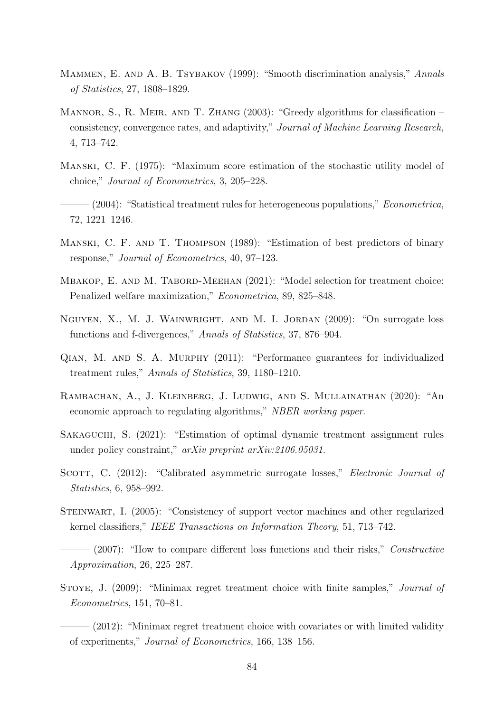- MAMMEN, E. AND A. B. TSYBAKOV (1999): "Smooth discrimination analysis," Annals of Statistics, 27, 1808–1829.
- MANNOR, S., R. MEIR, AND T. ZHANG (2003): "Greedy algorithms for classification consistency, convergence rates, and adaptivity," Journal of Machine Learning Research, 4, 713–742.
- Manski, C. F. (1975): "Maximum score estimation of the stochastic utility model of choice," Journal of Econometrics, 3, 205–228.
- $-(2004)$ : "Statistical treatment rules for heterogeneous populations," Econometrica, 72, 1221–1246.
- Manski, C. F. and T. Thompson (1989): "Estimation of best predictors of binary response," Journal of Econometrics, 40, 97–123.
- MBAKOP, E. AND M. TABORD-MEEHAN (2021): "Model selection for treatment choice: Penalized welfare maximization," Econometrica, 89, 825–848.
- Nguyen, X., M. J. Wainwright, and M. I. Jordan (2009): "On surrogate loss functions and f-divergences," Annals of Statistics, 37, 876–904.
- Qian, M. and S. A. Murphy (2011): "Performance guarantees for individualized treatment rules," Annals of Statistics, 39, 1180–1210.
- Rambachan, A., J. Kleinberg, J. Ludwig, and S. Mullainathan (2020): "An economic approach to regulating algorithms," NBER working paper.
- Sakaguchi, S. (2021): "Estimation of optimal dynamic treatment assignment rules under policy constraint," arXiv preprint arXiv:2106.05031.
- SCOTT, C. (2012): "Calibrated asymmetric surrogate losses," *Electronic Journal of* Statistics, 6, 958–992.
- Steinwart, I. (2005): "Consistency of support vector machines and other regularized kernel classifiers," IEEE Transactions on Information Theory, 51, 713–742.

– (2007): "How to compare different loss functions and their risks," Constructive Approximation, 26, 225–287.

Stoye, J. (2009): "Minimax regret treatment choice with finite samples," Journal of Econometrics, 151, 70–81.

 $-$  (2012): "Minimax regret treatment choice with covariates or with limited validity of experiments," Journal of Econometrics, 166, 138–156.